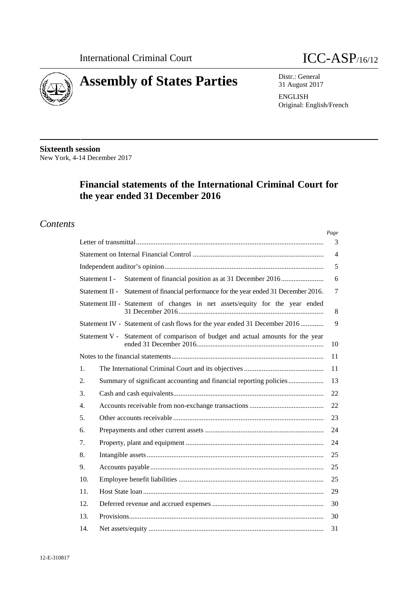



Distr.: General 31 August 2017

**ENGLISH** Original: English/French

**Sixteenth session** New York, 4-14 December 2017

# Financial statements of the International Criminal Court for the year ended 31 December 2016

# **Contents**

|                                                                                           | Page           |
|-------------------------------------------------------------------------------------------|----------------|
|                                                                                           | 3              |
|                                                                                           | $\overline{4}$ |
|                                                                                           | 5              |
| Statement of financial position as at 31 December 2016<br>Statement I -                   | 6              |
| Statement of financial performance for the year ended 31 December 2016.<br>Statement II - | $\tau$         |
| Statement III - Statement of changes in net assets/equity for the year ended              | $\,8\,$        |
| Statement IV - Statement of cash flows for the year ended 31 December 2016                | 9              |
| Statement V - Statement of comparison of budget and actual amounts for the year           | 10             |
|                                                                                           | 11             |
| 1.                                                                                        | 11             |
| Summary of significant accounting and financial reporting policies<br>2.                  | 13             |
| 3.                                                                                        | 22             |
| 4.                                                                                        | 22             |
| 5.                                                                                        | 23             |
| 6.                                                                                        | 24             |
| 7.                                                                                        | 24             |
| 8.                                                                                        | 25             |
| 9.                                                                                        | 25             |
| 10.                                                                                       | 25             |
| 11.                                                                                       | 29             |
| 12.                                                                                       | 30             |
| 13.                                                                                       | 30             |
| 14.                                                                                       | 31             |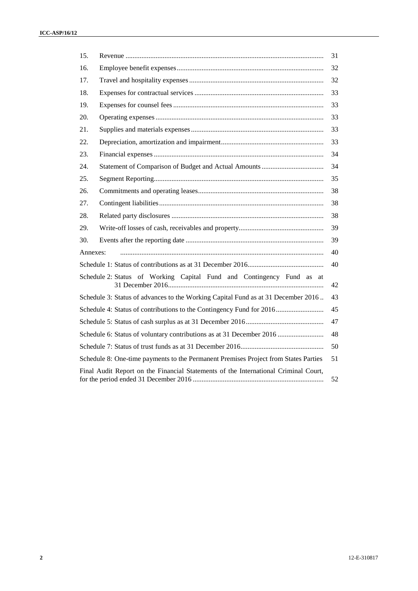| 15.      |                                                                                     | 31 |
|----------|-------------------------------------------------------------------------------------|----|
| 16.      |                                                                                     | 32 |
| 17.      |                                                                                     | 32 |
| 18.      |                                                                                     | 33 |
| 19.      |                                                                                     | 33 |
| 20.      |                                                                                     | 33 |
| 21.      |                                                                                     | 33 |
| 22.      |                                                                                     | 33 |
| 23.      |                                                                                     | 34 |
| 24.      |                                                                                     | 34 |
| 25.      |                                                                                     | 35 |
| 26.      |                                                                                     | 38 |
| 27.      |                                                                                     | 38 |
| 28.      |                                                                                     | 38 |
| 29.      |                                                                                     | 39 |
| 30.      |                                                                                     | 39 |
| Annexes: |                                                                                     | 40 |
|          |                                                                                     | 40 |
|          | Schedule 2: Status of Working Capital Fund and Contingency Fund as at               | 42 |
|          | Schedule 3: Status of advances to the Working Capital Fund as at 31 December 2016   | 43 |
|          | Schedule 4: Status of contributions to the Contingency Fund for 2016                | 45 |
|          |                                                                                     | 47 |
|          | Schedule 6: Status of voluntary contributions as at 31 December 2016                | 48 |
|          |                                                                                     | 50 |
|          | Schedule 8: One-time payments to the Permanent Premises Project from States Parties | 51 |
|          | Final Audit Report on the Financial Statements of the International Criminal Court, | 52 |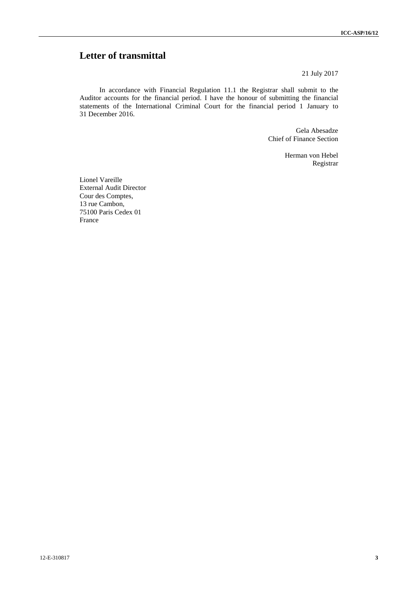# **Letter of transmittal**

21 July 2017

In accordance with Financial Regulation 11.1 the Registrar shall submit to the Auditor accounts for the financial period. I have the honour of submitting the financial statements of the International Criminal Court for the financial period 1 January to 31 December 2016.

> Gela Abesadze Chief of Finance Section

> > Herman von Hebel Registrar

Lionel Vareille External Audit Director Cour des Comptes, 13 rue Cambon, 75100 Paris Cedex 01 France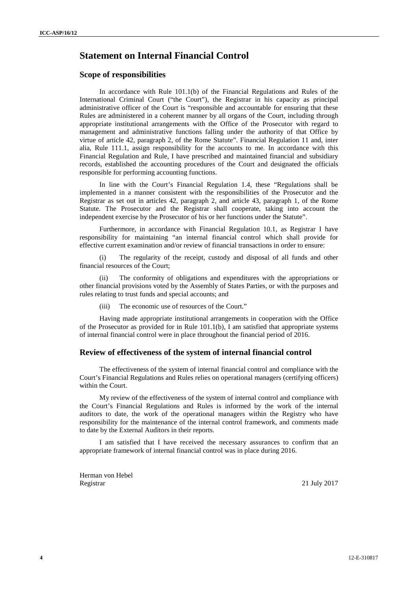## **Statement on Internal Financial Control**

### **Scope of responsibilities**

In accordance with Rule 101.1(b) of the Financial Regulations and Rules of the International Criminal Court ("the Court"), the Registrar in his capacity as principal administrative officer of the Court is "responsible and accountable for ensuring that these Rules are administered in a coherent manner by all organs of the Court, including through appropriate institutional arrangements with the Office of the Prosecutor with regard to management and administrative functions falling under the authority of that Office by virtue of article 42, paragraph 2, of the Rome Statute". Financial Regulation 11 and, inter alia, Rule 111.1, assign responsibility for the accounts to me. In accordance with this Financial Regulation and Rule, I have prescribed and maintained financial and subsidiary records, established the accounting procedures of the Court and designated the officials responsible for performing accounting functions.

In line with the Court's Financial Regulation 1.4, these "Regulations shall be implemented in a manner consistent with the responsibilities of the Prosecutor and the Registrar as set out in articles 42, paragraph 2, and article 43, paragraph 1, of the Rome Statute. The Prosecutor and the Registrar shall cooperate, taking into account the independent exercise by the Prosecutor of his or her functions under the Statute".

Furthermore, in accordance with Financial Regulation 10.1, as Registrar I have responsibility for maintaining "an internal financial control which shall provide for effective current examination and/or review of financial transactions in order to ensure:

(i) The regularity of the receipt, custody and disposal of all funds and other financial resources of the Court;

(ii) The conformity of obligations and expenditures with the appropriations or other financial provisions voted by the Assembly of States Parties, or with the purposes and rules relating to trust funds and special accounts; and

(iii) The economic use of resources of the Court."

Having made appropriate institutional arrangements in cooperation with the Office of the Prosecutor as provided for in Rule 101.1(b), I am satisfied that appropriate systems of internal financial control were in place throughout the financial period of 2016.

### **Review of effectiveness of the system of internal financial control**

The effectiveness of the system of internal financial control and compliance with the Court's Financial Regulations and Rules relies on operational managers (certifying officers) within the Court.

My review of the effectiveness of the system of internal control and compliance with the Court's Financial Regulations and Rules is informed by the work of the internal auditors to date, the work of the operational managers within the Registry who have responsibility for the maintenance of the internal control framework, and comments made to date by the External Auditors in their reports.

I am satisfied that I have received the necessary assurances to confirm that an appropriate framework of internal financial control was in place during 2016.

Herman von Hebel Registrar 21 July 2017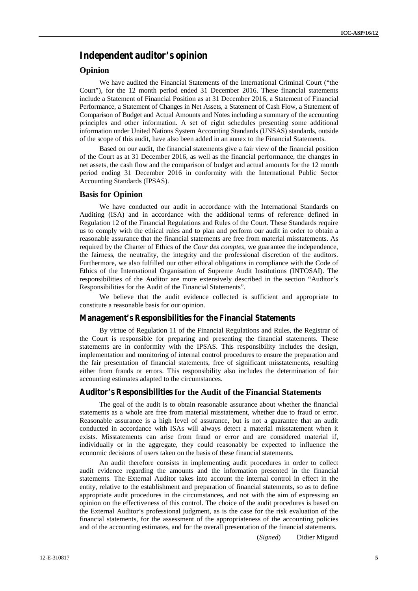## **Independent auditor's opinion**

## **Opinion**

We have audited the Financial Statements of the International Criminal Court ("the Court"), for the 12 month period ended 31 December 2016. These financial statements include a Statement of Financial Position as at 31 December 2016, a Statement of Financial Performance, a Statement of Changes in Net Assets, a Statement of Cash Flow, a Statement of Comparison of Budget and Actual Amounts and Notes including a summary of the accounting principles and other information. A set of eight schedules presenting some additional information under United Nations System Accounting Standards (UNSAS) standards, outside of the scope of this audit, have also been added in an annex to the Financial Statements.

Based on our audit, the financial statements give a fair view of the financial position of the Court as at 31 December 2016, as well as the financial performance, the changes in net assets, the cash flow and the comparison of budget and actual amounts for the 12 month period ending 31 December 2016 in conformity with the International Public Sector Accounting Standards (IPSAS).

### **Basis for Opinion**

We have conducted our audit in accordance with the International Standards on Auditing (ISA) and in accordance with the additional terms of reference defined in Regulation 12 of the Financial Regulations and Rules of the Court. These Standards require us to comply with the ethical rules and to plan and perform our audit in order to obtain a reasonable assurance that the financial statements are free from material misstatements. As required by the Charter of Ethics of the *Cour des comptes*, we guarantee the independence, the fairness, the neutrality, the integrity and the professional discretion of the auditors. Furthermore, we also fulfilled our other ethical obligations in compliance with the Code of Ethics of the International Organisation of Supreme Audit Institutions (INTOSAI). The responsibilities of the Auditor are more extensively described in the section "Auditor's Responsibilities for the Audit of the Financial Statements".

We believe that the audit evidence collected is sufficient and appropriate to constitute a reasonable basis for our opinion.

### **Management's Responsibilities for the Financial Statements**

By virtue of Regulation 11 of the Financial Regulations and Rules, the Registrar of the Court is responsible for preparing and presenting the financial statements. These statements are in conformity with the IPSAS. This responsibility includes the design, implementation and monitoring of internal control procedures to ensure the preparation and the fair presentation of financial statements, free of significant misstatements, resulting either from frauds or errors. This responsibility also includes the determination of fair accounting estimates adapted to the circumstances.

### **Auditor's Responsibilities for the Audit of the Financial Statements**

The goal of the audit is to obtain reasonable assurance about whether the financial statements as a whole are free from material misstatement, whether due to fraud or error. Reasonable assurance is a high level of assurance, but is not a guarantee that an audit conducted in accordance with ISAs will always detect a material misstatement when it exists. Misstatements can arise from fraud or error and are considered material if, individually or in the aggregate, they could reasonably be expected to influence the economic decisions of users taken on the basis of these financial statements.

An audit therefore consists in implementing audit procedures in order to collect audit evidence regarding the amounts and the information presented in the financial statements. The External Auditor takes into account the internal control in effect in the entity, relative to the establishment and preparation of financial statements, so as to define appropriate audit procedures in the circumstances, and not with the aim of expressing an opinion on the effectiveness of this control. The choice of the audit procedures is based on the External Auditor's professional judgment, as is the case for the risk evaluation of the financial statements, for the assessment of the appropriateness of the accounting policies and of the accounting estimates, and for the overall presentation of the financial statements.

(*Signed*) Didier Migaud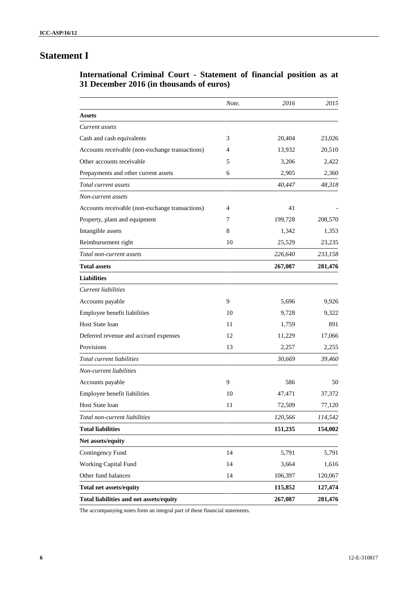# **Statement I**

# **International Criminal Court - Statement of financial position as at 31 December 2016 (in thousands of euros)**

|                                                 | Note. | 2016    | 2015    |
|-------------------------------------------------|-------|---------|---------|
| <b>Assets</b>                                   |       |         |         |
| Current assets                                  |       |         |         |
| Cash and cash equivalents                       | 3     | 20,404  | 23,026  |
| Accounts receivable (non-exchange transactions) | 4     | 13,932  | 20,510  |
| Other accounts receivable                       | 5     | 3,206   | 2,422   |
| Prepayments and other current assets            | 6     | 2,905   | 2,360   |
| Total current assets                            |       | 40,447  | 48,318  |
| Non-current assets                              |       |         |         |
| Accounts receivable (non-exchange transactions) | 4     | 41      |         |
| Property, plant and equipment                   | 7     | 199,728 | 208,570 |
| Intangible assets                               | 8     | 1,342   | 1,353   |
| Reimbursement right                             | 10    | 25,529  | 23,235  |
| Total non-current assets                        |       | 226,640 | 233,158 |
| <b>Total assets</b>                             |       | 267,087 | 281,476 |
| <b>Liabilities</b>                              |       |         |         |
| Current liabilities                             |       |         |         |
| Accounts payable                                | 9     | 5,696   | 9,926   |
| Employee benefit liabilities                    | 10    | 9,728   | 9,322   |
| Host State loan                                 | 11    | 1,759   | 891     |
| Deferred revenue and accrued expenses           | 12    | 11,229  | 17,066  |
| Provisions                                      | 13    | 2,257   | 2,255   |
| Total current liabilities                       |       | 30,669  | 39,460  |
| Non-current liabilities                         |       |         |         |
| Accounts payable                                | 9     | 586     | 50      |
| Employee benefit liabilities                    | 10    | 47,471  | 37,372  |
| <b>Host State loan</b>                          | 11    | 72,509  | 77,120  |
| Total non-current liabilities                   |       | 120,566 | 114,542 |
| <b>Total liabilities</b>                        |       | 151,235 | 154,002 |
| Net assets/equity                               |       |         |         |
| Contingency Fund                                | 14    | 5,791   | 5,791   |
| Working Capital Fund                            | 14    | 3,664   | 1,616   |
| Other fund balances                             | 14    | 106,397 | 120,067 |
| <b>Total net assets/equity</b>                  |       | 115,852 | 127,474 |
| Total liabilities and net assets/equity         |       | 267,087 | 281,476 |

The accompanying notes form an integral part of these financial statements.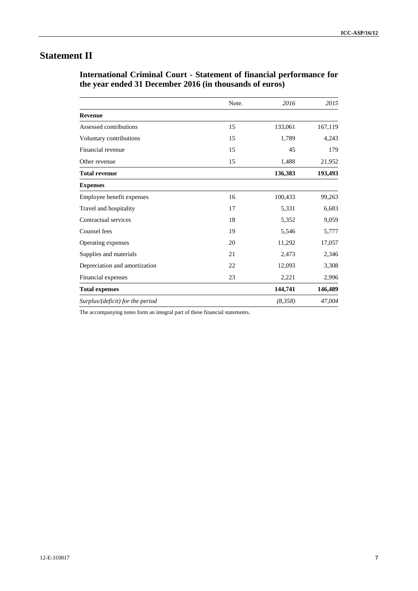# **Statement II**

**International Criminal Court - Statement of financial performance for the year ended 31 December 2016 (in thousands of euros)**

|                                  | Note. | 2016    | 2015    |
|----------------------------------|-------|---------|---------|
| <b>Revenue</b>                   |       |         |         |
| Assessed contributions           | 15    | 133,061 | 167,119 |
| Voluntary contributions          | 15    | 1,789   | 4,243   |
| Financial revenue                | 15    | 45      | 179     |
| Other revenue                    | 15    | 1,488   | 21,952  |
| <b>Total revenue</b>             |       | 136,383 | 193,493 |
| <b>Expenses</b>                  |       |         |         |
| Employee benefit expenses        | 16    | 100,433 | 99,263  |
| Travel and hospitality           | 17    | 5,331   | 6,683   |
| Contractual services             | 18    | 5,352   | 9,059   |
| Counsel fees                     | 19    | 5,546   | 5,777   |
| Operating expenses               | 20    | 11,292  | 17,057  |
| Supplies and materials           | 21    | 2,473   | 2,346   |
| Depreciation and amortization    | 22    | 12,093  | 3,308   |
| Financial expenses               | 23    | 2,221   | 2,996   |
| <b>Total expenses</b>            |       | 144,741 | 146,489 |
| Surplus/(deficit) for the period |       | (8,358) | 47,004  |

The accompanying notes form an integral part of these financial statements.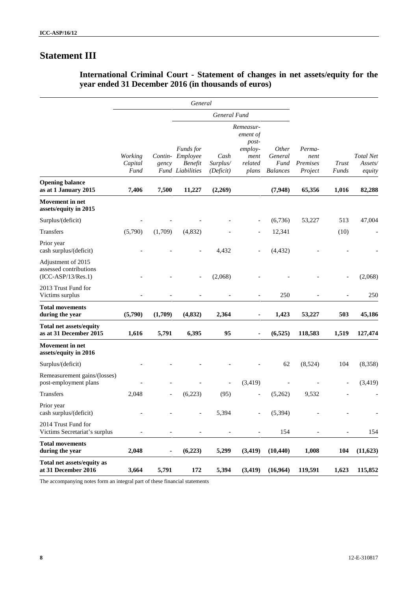# **Statement III**

|                                                                      |                            |                          | General                                                                    |                               |                                                                         |                                                    |                                                         |                                       |           |
|----------------------------------------------------------------------|----------------------------|--------------------------|----------------------------------------------------------------------------|-------------------------------|-------------------------------------------------------------------------|----------------------------------------------------|---------------------------------------------------------|---------------------------------------|-----------|
|                                                                      |                            |                          |                                                                            | General Fund                  |                                                                         |                                                    |                                                         |                                       |           |
|                                                                      | Working<br>Capital<br>Fund | gency                    | <b>Funds</b> for<br>Contin- Employee<br><b>Benefit</b><br>Fund Liabilities | Cash<br>Surplus/<br>(Deficit) | Remeasur-<br>ement of<br>post-<br>$employ-$<br>ment<br>related<br>plans | <i>Other</i><br>General<br>Fund<br><b>Balances</b> | Perma-<br>nent<br>Premises<br>Trust<br>Project<br>Funds | <b>Total Net</b><br>Assets/<br>equity |           |
| <b>Opening balance</b><br>as at 1 January 2015                       | 7,406                      | 7,500                    | 11,227                                                                     | (2,269)                       |                                                                         | (7,948)                                            | 65,356                                                  | 1,016                                 | 82,288    |
| <b>Movement</b> in net<br>assets/equity in 2015                      |                            |                          |                                                                            |                               |                                                                         |                                                    |                                                         |                                       |           |
| Surplus/(deficit)                                                    |                            |                          |                                                                            |                               | $\overline{\phantom{a}}$                                                | (6,736)                                            | 53,227                                                  | 513                                   | 47,004    |
| Transfers                                                            | (5,790)                    | (1,709)                  | (4,832)                                                                    |                               |                                                                         | 12,341                                             |                                                         | (10)                                  |           |
| Prior year<br>cash surplus/(deficit)                                 |                            |                          |                                                                            | 4,432                         |                                                                         | (4, 432)                                           |                                                         |                                       |           |
| Adjustment of 2015<br>assessed contributions<br>$(ICC-ASP/13/Res.1)$ |                            |                          |                                                                            | (2,068)                       |                                                                         |                                                    |                                                         |                                       | (2,068)   |
| 2013 Trust Fund for<br>Victims surplus                               |                            |                          |                                                                            |                               | $\overline{a}$                                                          | 250                                                |                                                         |                                       | 250       |
| <b>Total movements</b><br>during the year                            | (5,790)                    | (1,709)                  | (4, 832)                                                                   | 2,364                         | $\blacksquare$                                                          | 1,423                                              | 53,227                                                  | 503                                   | 45,186    |
| <b>Total net assets/equity</b><br>as at 31 December 2015             | 1,616                      | 5,791                    | 6,395                                                                      | 95                            | $\blacksquare$                                                          | (6, 525)                                           | 118,583                                                 | 1,519                                 | 127,474   |
| <b>Movement</b> in net<br>assets/equity in 2016                      |                            |                          |                                                                            |                               |                                                                         |                                                    |                                                         |                                       |           |
| Surplus/(deficit)                                                    |                            |                          |                                                                            |                               |                                                                         | 62                                                 | (8,524)                                                 | 104                                   | (8,358)   |
| Remeasurement gains/(losses)<br>post-employment plans                |                            |                          |                                                                            |                               | (3, 419)                                                                |                                                    |                                                         |                                       | (3, 419)  |
| Transfers                                                            | 2,048                      |                          | (6,223)                                                                    | (95)                          |                                                                         | (5,262)                                            | 9,532                                                   |                                       |           |
| Prior year<br>cash surplus/(deficit)                                 |                            |                          |                                                                            | 5,394                         |                                                                         | (5, 394)                                           |                                                         |                                       |           |
| 2014 Trust Fund for<br>Victims Secretariat's surplus                 | $\overline{a}$             | $\overline{\phantom{a}}$ | $\overline{\phantom{a}}$                                                   | $\overline{\phantom{a}}$      | $\overline{\phantom{a}}$                                                | 154                                                | $\overline{\phantom{a}}$                                | $\overline{\phantom{a}}$              | 154       |
| <b>Total movements</b><br>during the year                            | 2,048                      | $\blacksquare$           | (6,223)                                                                    | 5,299                         | (3, 419)                                                                | (10, 440)                                          | 1,008                                                   | 104                                   | (11, 623) |
| Total net assets/equity as<br>at 31 December 2016                    | 3,664                      | 5,791                    | 172                                                                        | 5,394                         | (3, 419)                                                                | (16,964)                                           | 119,591                                                 | 1,623                                 | 115,852   |

## **International Criminal Court - Statement of changes in net assets/equity for the year ended 31 December 2016 (in thousands of euros)**

The accompanying notes form an integral part of these financial statements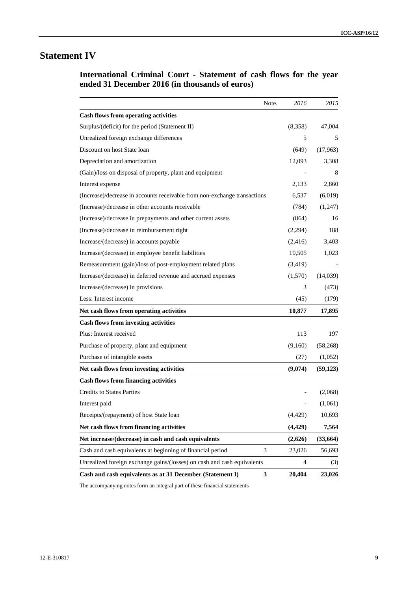# **Statement IV**

**International Criminal Court - Statement of cash flows for the year ended 31 December 2016 (in thousands of euros)**

|                                                                           | Note.        | 2016           | 2015      |
|---------------------------------------------------------------------------|--------------|----------------|-----------|
| <b>Cash flows from operating activities</b>                               |              |                |           |
| Surplus/(deficit) for the period (Statement II)                           |              | (8,358)        | 47,004    |
| Unrealized foreign exchange differences                                   |              | 5              | 5         |
| Discount on host State loan                                               |              | (649)          | (17,963)  |
| Depreciation and amortization                                             |              | 12,093         | 3,308     |
| (Gain)/loss on disposal of property, plant and equipment                  |              |                | 8         |
| Interest expense                                                          |              | 2,133          | 2,860     |
| (Increase)/decrease in accounts receivable from non-exchange transactions |              | 6,537          | (6,019)   |
| (Increase)/decrease in other accounts receivable                          |              | (784)          | (1,247)   |
| (Increase)/decrease in prepayments and other current assets               |              | (864)          | 16        |
| (Increase)/decrease in reimbursement right                                |              | (2,294)        | 188       |
| Increase/(decrease) in accounts payable                                   |              | (2, 416)       | 3,403     |
| Increase/(decrease) in employee benefit liabilities                       |              | 10,505         | 1,023     |
| Remeasurement (gain)/loss of post-employment related plans                |              | (3, 419)       |           |
| Increase/(decrease) in deferred revenue and accrued expenses              |              | (1,570)        | (14,039)  |
| Increase/(decrease) in provisions                                         |              | 3              | (473)     |
| Less: Interest income                                                     |              | (45)           | (179)     |
| Net cash flows from operating activities                                  |              | 10,877         | 17,895    |
| <b>Cash flows from investing activities</b>                               |              |                |           |
| Plus: Interest received                                                   |              | 113            | 197       |
| Purchase of property, plant and equipment                                 |              | (9,160)        | (58, 268) |
| Purchase of intangible assets                                             |              | (27)           | (1,052)   |
| Net cash flows from investing activities                                  |              | (9,074)        | (59, 123) |
| <b>Cash flows from financing activities</b>                               |              |                |           |
| <b>Credits to States Parties</b>                                          |              |                | (2,068)   |
| Interest paid                                                             |              |                | (1,061)   |
| Receipts/(repayment) of host State loan                                   |              | (4, 429)       | 10,693    |
| Net cash flows from financing activities                                  |              | (4, 429)       | 7,564     |
| Net increase/(decrease) in cash and cash equivalents                      |              | (2,626)        | (33,664)  |
| Cash and cash equivalents at beginning of financial period                | 3            | 23,026         | 56,693    |
| Unrealized foreign exchange gains/(losses) on cash and cash equivalents   |              | $\overline{4}$ | (3)       |
| Cash and cash equivalents as at 31 December (Statement I)                 | $\mathbf{3}$ | 20,404         | 23,026    |

The accompanying notes form an integral part of these financial statements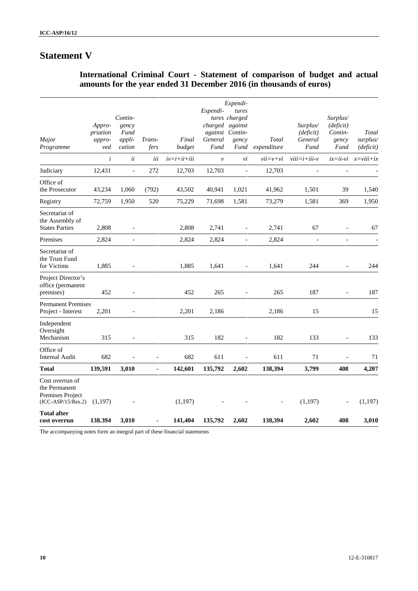# **Statement V**

| Major<br>Programme                                                           | Appro-<br>priation<br>appro-<br>ved | Contin-<br>gency<br>Fund<br>appli-<br>cation | Trans-<br>fers           | Final<br>budget | Expendi-<br>General<br>Fund | Expendi-<br>tures<br>tures charged<br>charged against<br>against Contin-<br>gency<br>Fund | Total<br>expenditure | Surplus/<br>(deficit)<br>General<br>Fund | Surplus/<br>(deficit)<br>Contin-<br>gency<br>Fund | Total<br>surplus/<br>(deficit) |
|------------------------------------------------------------------------------|-------------------------------------|----------------------------------------------|--------------------------|-----------------|-----------------------------|-------------------------------------------------------------------------------------------|----------------------|------------------------------------------|---------------------------------------------------|--------------------------------|
|                                                                              | $\boldsymbol{i}$                    | ii                                           | iii                      | $iv=i+ii+iii$   | $\mathcal{V}$               | vi                                                                                        | $vii=v+vi$           | $viii=i+iii-v$                           |                                                   | $ix = ii - vi$ $x = viii + ix$ |
| Judiciary                                                                    | 12,431                              | $\overline{a}$                               | 272                      | 12,703          | 12,703                      | $\overline{\phantom{a}}$                                                                  | 12,703               |                                          |                                                   |                                |
| Office of<br>the Prosecutor                                                  | 43,234                              | 1,060                                        | (792)                    | 43,502          | 40,941                      | 1,021                                                                                     | 41,962               | 1,501                                    | 39                                                | 1,540                          |
| Registry                                                                     | 72,759                              | 1,950                                        | 520                      | 75,229          | 71,698                      | 1,581                                                                                     | 73,279               | 1,581                                    | 369                                               | 1,950                          |
| Secretariat of<br>the Assembly of<br><b>States Parties</b>                   | 2,808                               |                                              |                          | 2,808           | 2,741                       | $\overline{\phantom{a}}$                                                                  | 2,741                | 67                                       |                                                   | 67                             |
| Premises                                                                     | 2,824                               | $\overline{a}$                               |                          | 2,824           | 2,824                       | $\overline{\phantom{a}}$                                                                  | 2,824                | $\overline{a}$                           | $\overline{a}$                                    |                                |
| Secretariat of<br>the Trust Fund<br>for Victims                              | 1,885                               |                                              |                          | 1,885           | 1,641                       | $\overline{a}$                                                                            | 1,641                | 244                                      |                                                   | 244                            |
| Project Director's<br>office (permanent<br>premises)                         | 452                                 |                                              |                          | 452             | 265                         |                                                                                           | 265                  | 187                                      | $\overline{a}$                                    | 187                            |
| <b>Permanent Premises</b><br>Project - Interest                              | 2,201                               |                                              |                          | 2,201           | 2,186                       |                                                                                           | 2,186                | 15                                       |                                                   | 15                             |
| Independent<br>Oversight<br>Mechanism                                        | 315                                 |                                              |                          | 315             | 182                         | $\overline{\phantom{a}}$                                                                  | 182                  | 133                                      | $\overline{\phantom{a}}$                          | 133                            |
| Office of<br><b>Internal Audit</b>                                           | 682                                 |                                              |                          | 682             | 611                         | $\overline{\phantom{a}}$                                                                  | 611                  | 71                                       |                                                   | 71                             |
| <b>Total</b>                                                                 | 139,591                             | 3,010                                        | $\overline{\phantom{a}}$ | 142,601         | 135,792                     | 2,602                                                                                     | 138,394              | 3,799                                    | 408                                               | 4,207                          |
| Cost overrun of<br>the Permanent<br>Premises Project<br>$(ICC-ASP/15/Res.2)$ | (1,197)                             |                                              |                          | (1, 197)        |                             |                                                                                           |                      | (1, 197)                                 |                                                   | (1, 197)                       |
| <b>Total after</b><br>cost overrun                                           | 138.394                             | 3,010                                        |                          | 141,404         | 135,792                     | 2,602                                                                                     | 138,394              | 2.602                                    | 408                                               | 3,010                          |

# **International Criminal Court - Statement of comparison of budget and actual amounts for the year ended 31 December 2016 (in thousands of euros)**

The accompanying notes form an integral part of these financial statements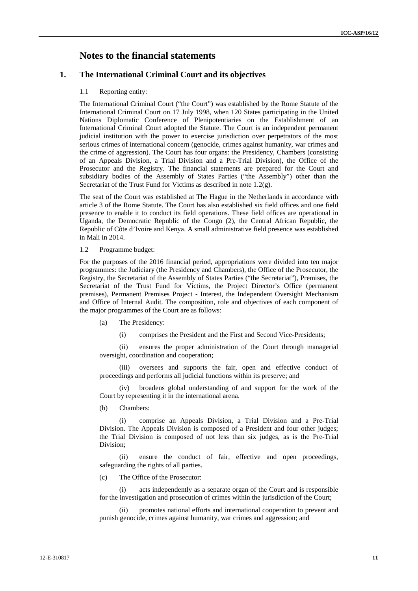## **Notes to the financial statements**

## **1. The International Criminal Court and its objectives**

### 1.1 Reporting entity:

The International Criminal Court ("the Court") was established by the Rome Statute of the International Criminal Court on 17 July 1998, when 120 States participating in the United Nations Diplomatic Conference of Plenipotentiaries on the Establishment of an International Criminal Court adopted the Statute. The Court is an independent permanent judicial institution with the power to exercise jurisdiction over perpetrators of the most serious crimes of international concern (genocide, crimes against humanity, war crimes and the crime of aggression). The Court has four organs: the Presidency, Chambers (consisting of an Appeals Division, a Trial Division and a Pre-Trial Division), the Office of the Prosecutor and the Registry. The financial statements are prepared for the Court and subsidiary bodies of the Assembly of States Parties ("the Assembly") other than the Secretariat of the Trust Fund for Victims as described in note  $1.2(g)$ .

The seat of the Court was established at The Hague in the Netherlands in accordance with article 3 of the Rome Statute. The Court has also established six field offices and one field presence to enable it to conduct its field operations. These field offices are operational in Uganda, the Democratic Republic of the Congo (2), the Central African Republic, the Republic of Côte d'Ivoire and Kenya. A small administrative field presence was established in Mali in 2014.

#### 1.2 Programme budget:

For the purposes of the 2016 financial period, appropriations were divided into ten major programmes: the Judiciary (the Presidency and Chambers), the Office of the Prosecutor, the Registry, the Secretariat of the Assembly of States Parties ("the Secretariat"), Premises, the Secretariat of the Trust Fund for Victims, the Project Director's Office (permanent premises), Permanent Premises Project - Interest, the Independent Oversight Mechanism and Office of Internal Audit. The composition, role and objectives of each component of the major programmes of the Court are as follows:

- (a) The Presidency:
	- (i) comprises the President and the First and Second Vice-Presidents;

(ii) ensures the proper administration of the Court through managerial oversight, coordination and cooperation;

(iii) oversees and supports the fair, open and effective conduct of proceedings and performs all judicial functions within its preserve; and

(iv) broadens global understanding of and support for the work of the Court by representing it in the international arena.

(b) Chambers:

(i) comprise an Appeals Division, a Trial Division and a Pre-Trial Division. The Appeals Division is composed of a President and four other judges; the Trial Division is composed of not less than six judges, as is the Pre-Trial Division;

(ii) ensure the conduct of fair, effective and open proceedings, safeguarding the rights of all parties.

(c) The Office of the Prosecutor:

(i) acts independently as a separate organ of the Court and is responsible for the investigation and prosecution of crimes within the jurisdiction of the Court;

promotes national efforts and international cooperation to prevent and punish genocide, crimes against humanity, war crimes and aggression; and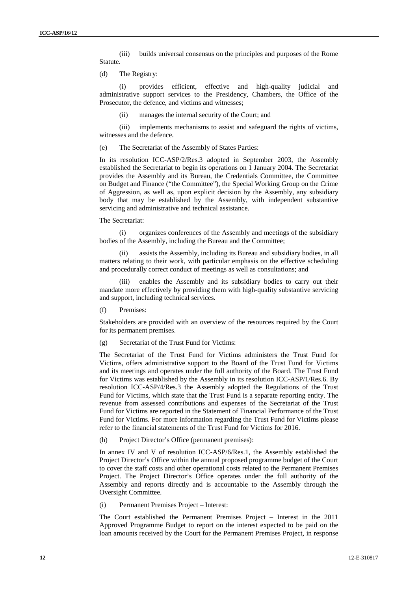(iii) builds universal consensus on the principles and purposes of the Rome Statute.

(d) The Registry:

(i) provides efficient, effective and high-quality judicial and administrative support services to the Presidency, Chambers, the Office of the Prosecutor, the defence, and victims and witnesses;

(ii) manages the internal security of the Court; and

(iii) implements mechanisms to assist and safeguard the rights of victims, witnesses and the defence.

(e) The Secretariat of the Assembly of States Parties:

In its resolution ICC-ASP/2/Res.3 adopted in September 2003, the Assembly established the Secretariat to begin its operations on 1 January 2004. The Secretariat provides the Assembly and its Bureau, the Credentials Committee, the Committee on Budget and Finance ("the Committee"), the Special Working Group on the Crime of Aggression, as well as, upon explicit decision by the Assembly, any subsidiary body that may be established by the Assembly, with independent substantive servicing and administrative and technical assistance.

#### The Secretariat:

(i) organizes conferences of the Assembly and meetings of the subsidiary bodies of the Assembly, including the Bureau and the Committee;

(ii) assists the Assembly, including its Bureau and subsidiary bodies, in all matters relating to their work, with particular emphasis on the effective scheduling and procedurally correct conduct of meetings as well as consultations; and

enables the Assembly and its subsidiary bodies to carry out their mandate more effectively by providing them with high-quality substantive servicing and support, including technical services.

(f) Premises:

Stakeholders are provided with an overview of the resources required by the Court for its permanent premises.

(g) Secretariat of the Trust Fund for Victims:

The Secretariat of the Trust Fund for Victims administers the Trust Fund for Victims, offers administrative support to the Board of the Trust Fund for Victims and its meetings and operates under the full authority of the Board. The Trust Fund for Victims was established by the Assembly in its resolution ICC-ASP/1/Res.6. By resolution ICC-ASP/4/Res.3 the Assembly adopted the Regulations of the Trust Fund for Victims, which state that the Trust Fund is a separate reporting entity. The revenue from assessed contributions and expenses of the Secretariat of the Trust Fund for Victims are reported in the Statement of Financial Performance of the Trust Fund for Victims. For more information regarding the Trust Fund for Victims please refer to the financial statements of the Trust Fund for Victims for 2016.

(h) Project Director's Office (permanent premises):

In annex IV and V of resolution ICC-ASP/6/Res.1, the Assembly established the Project Director's Office within the annual proposed programme budget of the Court to cover the staff costs and other operational costs related to the Permanent Premises Project. The Project Director's Office operates under the full authority of the Assembly and reports directly and is accountable to the Assembly through the Oversight Committee.

(i) Permanent Premises Project – Interest:

The Court established the Permanent Premises Project – Interest in the 2011 Approved Programme Budget to report on the interest expected to be paid on the loan amounts received by the Court for the Permanent Premises Project, in response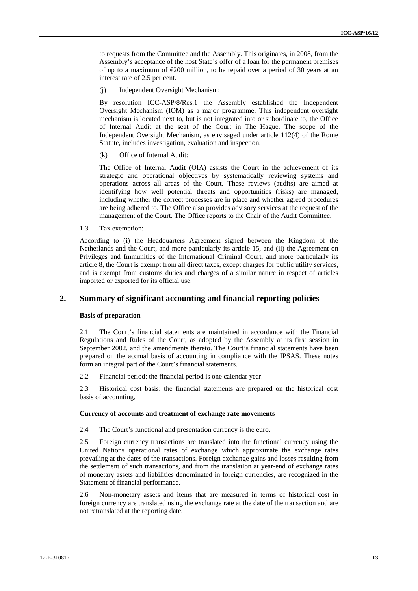to requests from the Committee and the Assembly. This originates, in 2008, from the Assembly's acceptance of the host State's offer of a loan for the permanent premises of up to a maximum of  $E(200)$  million, to be repaid over a period of 30 years at an interest rate of 2.5 per cent.

(j) Independent Oversight Mechanism:

By resolution ICC-ASP/8/Res.1 the Assembly established the Independent Oversight Mechanism (IOM) as a major programme. This independent oversight mechanism is located next to, but is not integrated into or subordinate to, the Office of Internal Audit at the seat of the Court in The Hague. The scope of the Independent Oversight Mechanism, as envisaged under article 112(4) of the Rome Statute, includes investigation, evaluation and inspection.

(k) Office of Internal Audit:

The Office of Internal Audit (OIA) assists the Court in the achievement of its strategic and operational objectives by systematically reviewing systems and operations across all areas of the Court. These reviews (audits) are aimed at identifying how well potential threats and opportunities (risks) are managed, including whether the correct processes are in place and whether agreed procedures are being adhered to. The Office also provides advisory services at the request of the management of the Court. The Office reports to the Chair of the Audit Committee.

1.3 Tax exemption:

According to (i) the Headquarters Agreement signed between the Kingdom of the Netherlands and the Court, and more particularly its article 15, and (ii) the Agreement on Privileges and Immunities of the International Criminal Court, and more particularly its article 8, the Court is exempt from all direct taxes, except charges for public utility services, and is exempt from customs duties and charges of a similar nature in respect of articles imported or exported for its official use.

## **2. Summary of significant accounting and financial reporting policies**

#### **Basis of preparation**

2.1 The Court's financial statements are maintained in accordance with the Financial Regulations and Rules of the Court, as adopted by the Assembly at its first session in September 2002, and the amendments thereto. The Court's financial statements have been prepared on the accrual basis of accounting in compliance with the IPSAS. These notes form an integral part of the Court's financial statements.

2.2 Financial period: the financial period is one calendar year.

2.3 Historical cost basis: the financial statements are prepared on the historical cost basis of accounting.

#### **Currency of accounts and treatment of exchange rate movements**

2.4 The Court's functional and presentation currency is the euro.

2.5 Foreign currency transactions are translated into the functional currency using the United Nations operational rates of exchange which approximate the exchange rates prevailing at the dates of the transactions. Foreign exchange gains and losses resulting from the settlement of such transactions, and from the translation at year-end of exchange rates of monetary assets and liabilities denominated in foreign currencies, are recognized in the Statement of financial performance.

2.6 Non-monetary assets and items that are measured in terms of historical cost in foreign currency are translated using the exchange rate at the date of the transaction and are not retranslated at the reporting date.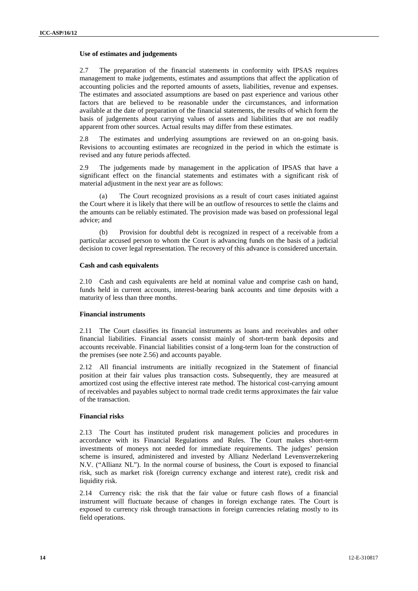#### **Use of estimates and judgements**

2.7 The preparation of the financial statements in conformity with IPSAS requires management to make judgements, estimates and assumptions that affect the application of accounting policies and the reported amounts of assets, liabilities, revenue and expenses. The estimates and associated assumptions are based on past experience and various other factors that are believed to be reasonable under the circumstances, and information available at the date of preparation of the financial statements, the results of which form the basis of judgements about carrying values of assets and liabilities that are not readily apparent from other sources. Actual results may differ from these estimates.

2.8 The estimates and underlying assumptions are reviewed on an on-going basis. Revisions to accounting estimates are recognized in the period in which the estimate is revised and any future periods affected.

2.9 The judgements made by management in the application of IPSAS that have a significant effect on the financial statements and estimates with a significant risk of material adjustment in the next year are as follows:

(a) The Court recognized provisions as a result of court cases initiated against the Court where it is likely that there will be an outflow of resources to settle the claims and the amounts can be reliably estimated. The provision made was based on professional legal advice; and

(b) Provision for doubtful debt is recognized in respect of a receivable from a particular accused person to whom the Court is advancing funds on the basis of a judicial decision to cover legal representation. The recovery of this advance is considered uncertain.

#### **Cash and cash equivalents**

2.10 Cash and cash equivalents are held at nominal value and comprise cash on hand, funds held in current accounts, interest-bearing bank accounts and time deposits with a maturity of less than three months.

#### **Financial instruments**

2.11 The Court classifies its financial instruments as loans and receivables and other financial liabilities. Financial assets consist mainly of short-term bank deposits and accounts receivable. Financial liabilities consist of a long-term loan for the construction of the premises (see note 2.56) and accounts payable.

2.12 All financial instruments are initially recognized in the Statement of financial position at their fair values plus transaction costs. Subsequently, they are measured at amortized cost using the effective interest rate method. The historical cost-carrying amount of receivables and payables subject to normal trade credit terms approximates the fair value of the transaction.

#### **Financial risks**

2.13 The Court has instituted prudent risk management policies and procedures in accordance with its Financial Regulations and Rules. The Court makes short-term investments of moneys not needed for immediate requirements. The judges' pension scheme is insured, administered and invested by Allianz Nederland Levensverzekering N.V. ("Allianz NL"). In the normal course of business, the Court is exposed to financial risk, such as market risk (foreign currency exchange and interest rate), credit risk and liquidity risk.

2.14 Currency risk: the risk that the fair value or future cash flows of a financial instrument will fluctuate because of changes in foreign exchange rates. The Court is exposed to currency risk through transactions in foreign currencies relating mostly to its field operations.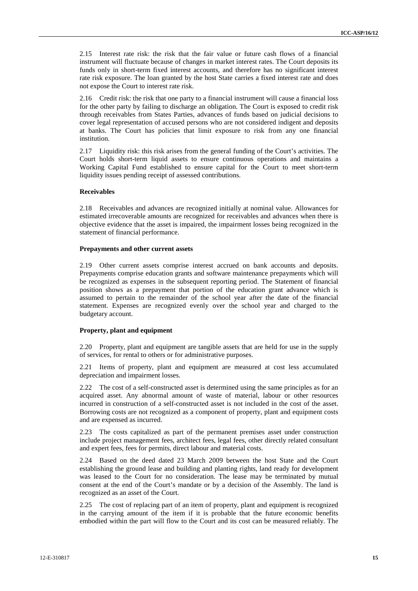2.15 Interest rate risk: the risk that the fair value or future cash flows of a financial instrument will fluctuate because of changes in market interest rates. The Court deposits its funds only in short-term fixed interest accounts, and therefore has no significant interest rate risk exposure. The loan granted by the host State carries a fixed interest rate and does not expose the Court to interest rate risk.

2.16 Credit risk: the risk that one party to a financial instrument will cause a financial loss for the other party by failing to discharge an obligation. The Court is exposed to credit risk through receivables from States Parties, advances of funds based on judicial decisions to cover legal representation of accused persons who are not considered indigent and deposits at banks. The Court has policies that limit exposure to risk from any one financial institution.

2.17 Liquidity risk: this risk arises from the general funding of the Court's activities. The Court holds short-term liquid assets to ensure continuous operations and maintains a Working Capital Fund established to ensure capital for the Court to meet short-term liquidity issues pending receipt of assessed contributions.

### **Receivables**

2.18 Receivables and advances are recognized initially at nominal value. Allowances for estimated irrecoverable amounts are recognized for receivables and advances when there is objective evidence that the asset is impaired, the impairment losses being recognized in the statement of financial performance.

#### **Prepayments and other current assets**

2.19 Other current assets comprise interest accrued on bank accounts and deposits. Prepayments comprise education grants and software maintenance prepayments which will be recognized as expenses in the subsequent reporting period. The Statement of financial position shows as a prepayment that portion of the education grant advance which is assumed to pertain to the remainder of the school year after the date of the financial statement. Expenses are recognized evenly over the school year and charged to the budgetary account.

#### **Property, plant and equipment**

2.20 Property, plant and equipment are tangible assets that are held for use in the supply of services, for rental to others or for administrative purposes.

2.21 Items of property, plant and equipment are measured at cost less accumulated depreciation and impairment losses.

2.22 The cost of a self-constructed asset is determined using the same principles as for an acquired asset. Any abnormal amount of waste of material, labour or other resources incurred in construction of a self-constructed asset is not included in the cost of the asset. Borrowing costs are not recognized as a component of property, plant and equipment costs and are expensed as incurred.

2.23 The costs capitalized as part of the permanent premises asset under construction include project management fees, architect fees, legal fees, other directly related consultant and expert fees, fees for permits, direct labour and material costs.

2.24 Based on the deed dated 23 March 2009 between the host State and the Court establishing the ground lease and building and planting rights, land ready for development was leased to the Court for no consideration. The lease may be terminated by mutual consent at the end of the Court's mandate or by a decision of the Assembly. The land is recognized as an asset of the Court.

2.25 The cost of replacing part of an item of property, plant and equipment is recognized in the carrying amount of the item if it is probable that the future economic benefits embodied within the part will flow to the Court and its cost can be measured reliably. The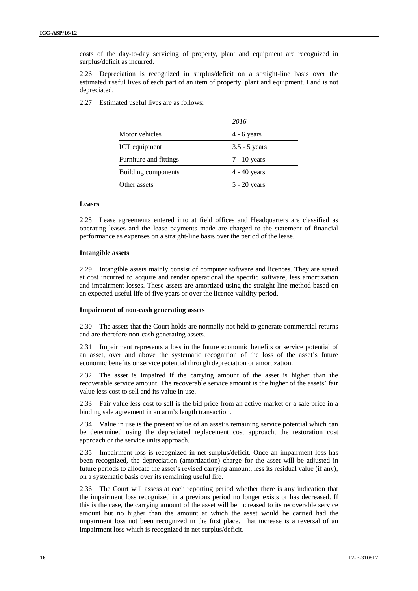costs of the day-to-day servicing of property, plant and equipment are recognized in surplus/deficit as incurred.

2.26 Depreciation is recognized in surplus/deficit on a straight-line basis over the estimated useful lives of each part of an item of property, plant and equipment. Land is not depreciated.

2.27 Estimated useful lives are as follows:

|                        | 2016            |
|------------------------|-----------------|
| Motor vehicles         | $4 - 6$ years   |
| ICT equipment          | $3.5 - 5$ years |
| Furniture and fittings | $7 - 10$ years  |
| Building components    | $4 - 40$ years  |
| Other assets           | $5 - 20$ years  |

#### **Leases**

2.28 Lease agreements entered into at field offices and Headquarters are classified as operating leases and the lease payments made are charged to the statement of financial performance as expenses on a straight-line basis over the period of the lease.

#### **Intangible assets**

2.29 Intangible assets mainly consist of computer software and licences. They are stated at cost incurred to acquire and render operational the specific software, less amortization and impairment losses. These assets are amortized using the straight-line method based on an expected useful life of five years or over the licence validity period.

#### **Impairment of non-cash generating assets**

2.30 The assets that the Court holds are normally not held to generate commercial returns and are therefore non-cash generating assets.

2.31 Impairment represents a loss in the future economic benefits or service potential of an asset, over and above the systematic recognition of the loss of the asset's future economic benefits or service potential through depreciation or amortization.

2.32 The asset is impaired if the carrying amount of the asset is higher than the recoverable service amount. The recoverable service amount is the higher of the assets' fair value less cost to sell and its value in use.

2.33 Fair value less cost to sell is the bid price from an active market or a sale price in a binding sale agreement in an arm's length transaction.

2.34 Value in use is the present value of an asset's remaining service potential which can be determined using the depreciated replacement cost approach, the restoration cost approach or the service units approach.

2.35 Impairment loss is recognized in net surplus/deficit. Once an impairment loss has been recognized, the depreciation (amortization) charge for the asset will be adjusted in future periods to allocate the asset's revised carrying amount, less its residual value (if any), on a systematic basis over its remaining useful life.

2.36 The Court will assess at each reporting period whether there is any indication that the impairment loss recognized in a previous period no longer exists or has decreased. If this is the case, the carrying amount of the asset will be increased to its recoverable service amount but no higher than the amount at which the asset would be carried had the impairment loss not been recognized in the first place. That increase is a reversal of an impairment loss which is recognized in net surplus/deficit.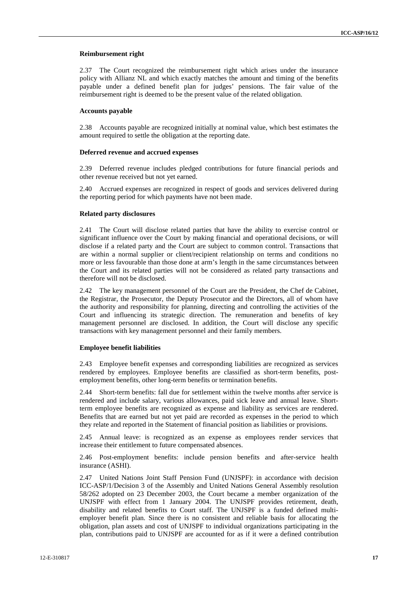#### **Reimbursement right**

2.37 The Court recognized the reimbursement right which arises under the insurance policy with Allianz NL and which exactly matches the amount and timing of the benefits payable under a defined benefit plan for judges' pensions. The fair value of the reimbursement right is deemed to be the present value of the related obligation.

#### **Accounts payable**

2.38 Accounts payable are recognized initially at nominal value, which best estimates the amount required to settle the obligation at the reporting date.

#### **Deferred revenue and accrued expenses**

2.39 Deferred revenue includes pledged contributions for future financial periods and other revenue received but not yet earned.

2.40 Accrued expenses are recognized in respect of goods and services delivered during the reporting period for which payments have not been made.

#### **Related party disclosures**

2.41 The Court will disclose related parties that have the ability to exercise control or significant influence over the Court by making financial and operational decisions, or will disclose if a related party and the Court are subject to common control. Transactions that are within a normal supplier or client/recipient relationship on terms and conditions no more or less favourable than those done at arm's length in the same circumstances between the Court and its related parties will not be considered as related party transactions and therefore will not be disclosed.

2.42 The key management personnel of the Court are the President, the Chef de Cabinet, the Registrar, the Prosecutor, the Deputy Prosecutor and the Directors, all of whom have the authority and responsibility for planning, directing and controlling the activities of the Court and influencing its strategic direction. The remuneration and benefits of key management personnel are disclosed. In addition, the Court will disclose any specific transactions with key management personnel and their family members.

#### **Employee benefit liabilities**

2.43 Employee benefit expenses and corresponding liabilities are recognized as services rendered by employees. Employee benefits are classified as short-term benefits, post employment benefits, other long-term benefits or termination benefits.

2.44 Short-term benefits: fall due for settlement within the twelve months after service is rendered and include salary, various allowances, paid sick leave and annual leave. Shortterm employee benefits are recognized as expense and liability as services are rendered. Benefits that are earned but not yet paid are recorded as expenses in the period to which they relate and reported in the Statement of financial position as liabilities or provisions.

2.45 Annual leave: is recognized as an expense as employees render services that increase their entitlement to future compensated absences.

2.46 Post-employment benefits: include pension benefits and after-service health insurance (ASHI).

2.47 United Nations Joint Staff Pension Fund (UNJSPF): in accordance with decision ICC-ASP/1/Decision 3 of the Assembly and United Nations General Assembly resolution 58/262 adopted on 23 December 2003, the Court became a member organization of the UNJSPF with effect from 1 January 2004. The UNJSPF provides retirement, death, disability and related benefits to Court staff. The UNJSPF is a funded defined multi employer benefit plan. Since there is no consistent and reliable basis for allocating the obligation, plan assets and cost of UNJSPF to individual organizations participating in the plan, contributions paid to UNJSPF are accounted for as if it were a defined contribution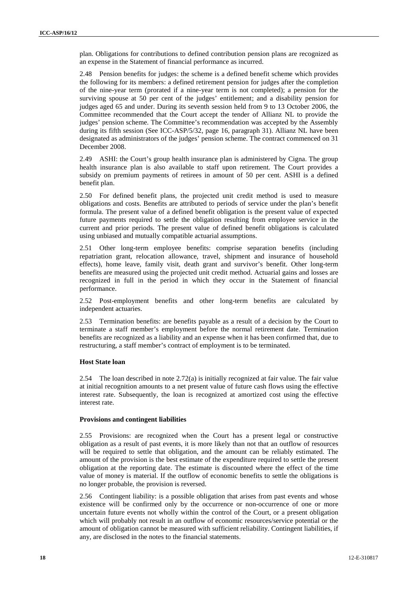plan. Obligations for contributions to defined contribution pension plans are recognized as an expense in the Statement of financial performance as incurred.

2.48 Pension benefits for judges: the scheme is a defined benefit scheme which provides the following for its members: a defined retirement pension for judges after the completion of the nine-year term (prorated if a nine-year term is not completed); a pension for the surviving spouse at 50 per cent of the judges' entitlement; and a disability pension for judges aged 65 and under. During its seventh session held from 9 to 13 October 2006, the Committee recommended that the Court accept the tender of Allianz NL to provide the judges' pension scheme. The Committee's recommendation was accepted by the Assembly during its fifth session (See ICC-ASP/5/32, page 16, paragraph 31). Allianz NL have been designated as administrators of the judges' pension scheme. The contract commenced on 31 December 2008.

2.49 ASHI: the Court's group health insurance plan is administered by Cigna. The group health insurance plan is also available to staff upon retirement. The Court provides a subsidy on premium payments of retirees in amount of 50 per cent. ASHI is a defined benefit plan.

2.50 For defined benefit plans, the projected unit credit method is used to measure obligations and costs. Benefits are attributed to periods of service under the plan's benefit formula. The present value of a defined benefit obligation is the present value of expected future payments required to settle the obligation resulting from employee service in the current and prior periods. The present value of defined benefit obligations is calculated using unbiased and mutually compatible actuarial assumptions.

2.51 Other long-term employee benefits: comprise separation benefits (including repatriation grant, relocation allowance, travel, shipment and insurance of household effects), home leave, family visit, death grant and survivor's benefit. Other long-term benefits are measured using the projected unit credit method. Actuarial gains and losses are recognized in full in the period in which they occur in the Statement of financial performance.

2.52 Post-employment benefits and other long-term benefits are calculated by independent actuaries.

2.53 Termination benefits: are benefits payable as a result of a decision by the Court to terminate a staff member's employment before the normal retirement date. Termination benefits are recognized as a liability and an expense when it has been confirmed that, due to restructuring, a staff member's contract of employment is to be terminated.

#### **Host State loan**

2.54 The loan described in note 2.72(a) is initially recognized at fair value. The fair value at initial recognition amounts to a net present value of future cash flows using the effective interest rate. Subsequently, the loan is recognized at amortized cost using the effective interest rate.

#### **Provisions and contingent liabilities**

2.55 Provisions: are recognized when the Court has a present legal or constructive obligation as a result of past events, it is more likely than not that an outflow of resources will be required to settle that obligation, and the amount can be reliably estimated. The amount of the provision is the best estimate of the expenditure required to settle the present obligation at the reporting date. The estimate is discounted where the effect of the time value of money is material. If the outflow of economic benefits to settle the obligations is no longer probable, the provision is reversed.

2.56 Contingent liability: is a possible obligation that arises from past events and whose existence will be confirmed only by the occurrence or non-occurrence of one or more uncertain future events not wholly within the control of the Court, or a present obligation which will probably not result in an outflow of economic resources/service potential or the amount of obligation cannot be measured with sufficient reliability. Contingent liabilities, if any, are disclosed in the notes to the financial statements.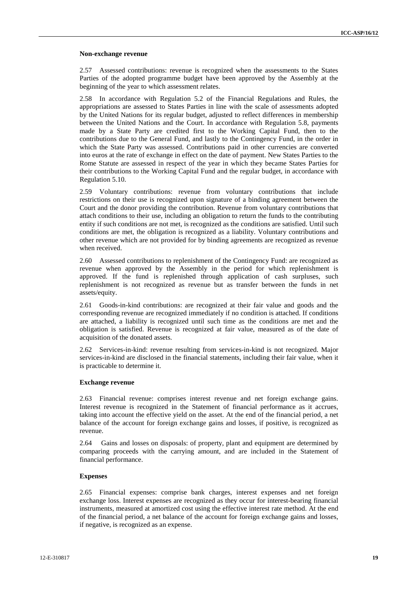#### **Non-exchange revenue**

2.57 Assessed contributions: revenue is recognized when the assessments to the States Parties of the adopted programme budget have been approved by the Assembly at the beginning of the year to which assessment relates.

2.58 In accordance with Regulation 5.2 of the Financial Regulations and Rules, the appropriations are assessed to States Parties in line with the scale of assessments adopted by the United Nations for its regular budget, adjusted to reflect differences in membership between the United Nations and the Court. In accordance with Regulation 5.8, payments made by a State Party are credited first to the Working Capital Fund, then to the contributions due to the General Fund, and lastly to the Contingency Fund, in the order in which the State Party was assessed. Contributions paid in other currencies are converted into euros at the rate of exchange in effect on the date of payment. New States Parties to the Rome Statute are assessed in respect of the year in which they became States Parties for their contributions to the Working Capital Fund and the regular budget, in accordance with Regulation 5.10.

2.59 Voluntary contributions: revenue from voluntary contributions that include restrictions on their use is recognized upon signature of a binding agreement between the Court and the donor providing the contribution. Revenue from voluntary contributions that attach conditions to their use, including an obligation to return the funds to the contributing entity if such conditions are not met, is recognized as the conditions are satisfied. Until such conditions are met, the obligation is recognized as a liability. Voluntary contributions and other revenue which are not provided for by binding agreements are recognized as revenue when received.

2.60 Assessed contributions to replenishment of the Contingency Fund: are recognized as revenue when approved by the Assembly in the period for which replenishment is approved. If the fund is replenished through application of cash surpluses, such replenishment is not recognized as revenue but as transfer between the funds in net assets/equity.

2.61 Goods-in-kind contributions: are recognized at their fair value and goods and the corresponding revenue are recognized immediately if no condition is attached. If conditions are attached, a liability is recognized until such time as the conditions are met and the obligation is satisfied. Revenue is recognized at fair value, measured as of the date of acquisition of the donated assets.

2.62 Services-in-kind: revenue resulting from services-in-kind is not recognized. Major services-in-kind are disclosed in the financial statements, including their fair value, when it is practicable to determine it.

#### **Exchange revenue**

2.63 Financial revenue: comprises interest revenue and net foreign exchange gains. Interest revenue is recognized in the Statement of financial performance as it accrues, taking into account the effective yield on the asset. At the end of the financial period, a net balance of the account for foreign exchange gains and losses, if positive, is recognized as revenue.

2.64 Gains and losses on disposals: of property, plant and equipment are determined by comparing proceeds with the carrying amount, and are included in the Statement of financial performance.

#### **Expenses**

2.65 Financial expenses: comprise bank charges, interest expenses and net foreign exchange loss. Interest expenses are recognized as they occur for interest-bearing financial instruments, measured at amortized cost using the effective interest rate method. At the end of the financial period, a net balance of the account for foreign exchange gains and losses, if negative, is recognized as an expense.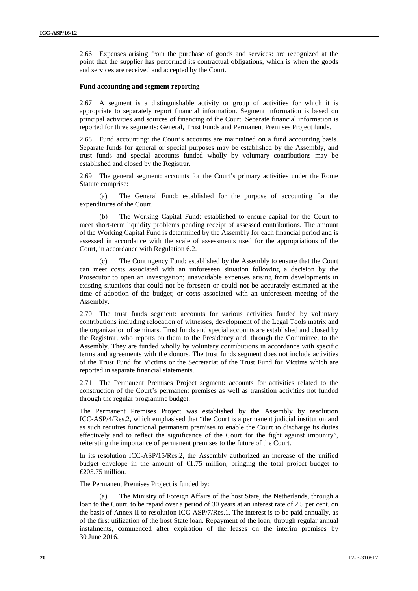2.66 Expenses arising from the purchase of goods and services: are recognized at the point that the supplier has performed its contractual obligations, which is when the goods and services are received and accepted by the Court.

#### **Fund accounting and segment reporting**

2.67 A segment is a distinguishable activity or group of activities for which it is appropriate to separately report financial information. Segment information is based on principal activities and sources of financing of the Court. Separate financial information is reported for three segments: General, Trust Funds and Permanent Premises Project funds.

2.68 Fund accounting: the Court's accounts are maintained on a fund accounting basis. Separate funds for general or special purposes may be established by the Assembly, and trust funds and special accounts funded wholly by voluntary contributions may be established and closed by the Registrar.

2.69 The general segment: accounts for the Court's primary activities under the Rome Statute comprise:

(a) The General Fund: established for the purpose of accounting for the expenditures of the Court.

The Working Capital Fund: established to ensure capital for the Court to meet short-term liquidity problems pending receipt of assessed contributions. The amount of the Working Capital Fund is determined by the Assembly for each financial period and is assessed in accordance with the scale of assessments used for the appropriations of the Court, in accordance with Regulation 6.2.

(c) The Contingency Fund: established by the Assembly to ensure that the Court can meet costs associated with an unforeseen situation following a decision by the Prosecutor to open an investigation; unavoidable expenses arising from developments in existing situations that could not be foreseen or could not be accurately estimated at the time of adoption of the budget; or costs associated with an unforeseen meeting of the Assembly.

2.70 The trust funds segment: accounts for various activities funded by voluntary contributions including relocation of witnesses, development of the Legal Tools matrix and the organization of seminars. Trust funds and special accounts are established and closed by the Registrar, who reports on them to the Presidency and, through the Committee, to the Assembly. They are funded wholly by voluntary contributions in accordance with specific terms and agreements with the donors. The trust funds segment does not include activities of the Trust Fund for Victims or the Secretariat of the Trust Fund for Victims which are reported in separate financial statements.

2.71 The Permanent Premises Project segment: accounts for activities related to the construction of the Court's permanent premises as well as transition activities not funded through the regular programme budget.

The Permanent Premises Project was established by the Assembly by resolution ICC-ASP/4/Res.2, which emphasised that "the Court is a permanent judicial institution and as such requires functional permanent premises to enable the Court to discharge its duties effectively and to reflect the significance of the Court for the fight against impunity", reiterating the importance of permanent premises to the future of the Court.

In its resolution ICC-ASP/15/Res.2, the Assembly authorized an increase of the unified budget envelope in the amount of  $\epsilon$ 1.75 million, bringing the total project budget to €205.75 million.

The Permanent Premises Project is funded by:

(a) The Ministry of Foreign Affairs of the host State, the Netherlands, through a loan to the Court, to be repaid over a period of 30 years at an interest rate of 2.5 per cent, on the basis of Annex II to resolution ICC-ASP/7/Res.1. The interest is to be paid annually, as of the first utilization of the host State loan. Repayment of the loan, through regular annual instalments, commenced after expiration of the leases on the interim premises by 30 June 2016.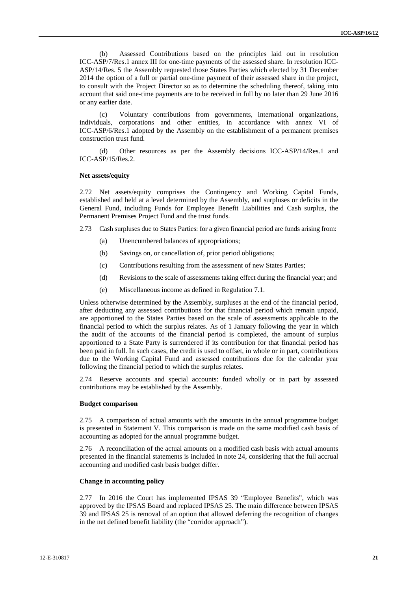(b) Assessed Contributions based on the principles laid out in resolution ICC-ASP/7/Res.1 annex III for one-time payments of the assessed share. In resolution ICC- ASP/14/Res. 5 the Assembly requested those States Parties which elected by 31 December 2014 the option of a full or partial one-time payment of their assessed share in the project, to consult with the Project Director so as to determine the scheduling thereof, taking into account that said one-time payments are to be received in full by no later than 29 June 2016 or any earlier date.

(c) Voluntary contributions from governments, international organizations, individuals, corporations and other entities, in accordance with annex VI of ICC-ASP/6/Res.1 adopted by the Assembly on the establishment of a permanent premises construction trust fund.

(d) Other resources as per the Assembly decisions ICC-ASP/14/Res.1 and ICC-ASP/15/Res.2.

#### **Net assets/equity**

2.72 Net assets/equity comprises the Contingency and Working Capital Funds, established and held at a level determined by the Assembly, and surpluses or deficits in the General Fund, including Funds for Employee Benefit Liabilities and Cash surplus, the Permanent Premises Project Fund and the trust funds.

2.73 Cash surpluses due to States Parties: for a given financial period are funds arising from:

- (a) Unencumbered balances of appropriations;
- (b) Savings on, or cancellation of, prior period obligations;
- (c) Contributions resulting from the assessment of new States Parties;
- (d) Revisions to the scale of assessments taking effect during the financial year; and
- 

(e) Miscellaneous income as defined in Regulation 7.1.<br>Unless otherwise determined by the Assembly, surpluses at the end of the financial period, after deducting any assessed contributions for that financial period which remain unpaid, are apportioned to the States Parties based on the scale of assessments applicable to the financial period to which the surplus relates. As of 1 January following the year in which the audit of the accounts of the financial period is completed, the amount of surplus apportioned to a State Party is surrendered if its contribution for that financial period has been paid in full. In such cases, the credit is used to offset, in whole or in part, contributions due to the Working Capital Fund and assessed contributions due for the calendar year following the financial period to which the surplus relates.

2.74 Reserve accounts and special accounts: funded wholly or in part by assessed contributions may be established by the Assembly.

### **Budget comparison**

2.75 A comparison of actual amounts with the amounts in the annual programme budget is presented in Statement V. This comparison is made on the same modified cash basis of accounting as adopted for the annual programme budget.

2.76 A reconciliation of the actual amounts on a modified cash basis with actual amounts presented in the financial statements is included in note 24, considering that the full accrual accounting and modified cash basis budget differ.

#### **Change in accounting policy**

2.77 In 2016 the Court has implemented IPSAS 39 "Employee Benefits", which was approved by the IPSAS Board and replaced IPSAS 25. The main difference between IPSAS 39 and IPSAS 25 is removal of an option that allowed deferring the recognition of changes in the net defined benefit liability (the "corridor approach").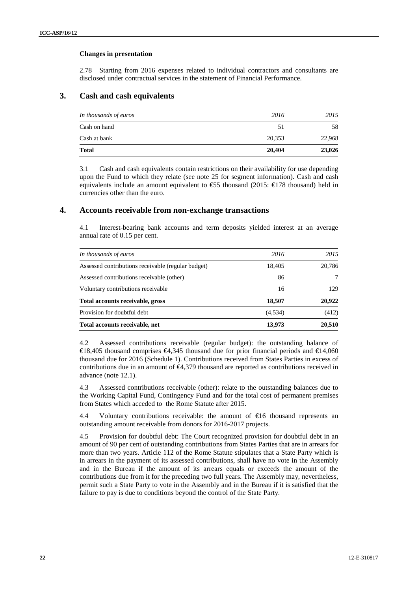### **Changes in presentation**

2.78 Starting from 2016 expenses related to individual contractors and consultants are disclosed under contractual services in the statement of Financial Performance.

## **3. Cash and cash equivalents**

| 20,353 | 22,968 |
|--------|--------|
|        |        |
| 51     | 58     |
| 2016   | 2015   |
|        |        |

3.1 Cash and cash equivalents contain restrictions on their availability for use depending upon the Fund to which they relate (see note 25 for segment information). Cash and cash equivalents include an amount equivalent to  $\text{\textsterling}5$  thousand (2015:  $\text{\textsterling}178$  thousand) held in currencies other than the euro.

## **4. Accounts receivable from non-exchange transactions**

4.1 Interest-bearing bank accounts and term deposits yielded interest at an average annual rate of 0.15 per cent.

| In thousands of euros                              | 2016     | 2015   |
|----------------------------------------------------|----------|--------|
| Assessed contributions receivable (regular budget) | 18,405   | 20,786 |
| Assessed contributions receivable (other)          | 86       |        |
| Voluntary contributions receivable                 | 16       | 129    |
| Total accounts receivable, gross                   | 18,507   | 20,922 |
| Provision for doubtful debt                        | (4, 534) | (412)  |
| Total accounts receivable, net                     | 13,973   | 20,510 |

4.2 Assessed contributions receivable (regular budget): the outstanding balance of  $\text{\textsterling}8,405$  thousand comprises  $\text{\textsterling}4,345$  thousand due for prior financial periods and  $\text{\textsterling}4,060$ thousand due for 2016 (Schedule 1). Contributions received from States Parties in excess of contributions due in an amount of €4,379 thousand are reported as contributions received in advance (note 12.1).

4.3 Assessed contributions receivable (other): relate to the outstanding balances due to the Working Capital Fund, Contingency Fund and for the total cost of permanent premises from States which acceded to the Rome Statute after 2015.

4.4 Voluntary contributions receivable: the amount of €16 thousand represents an outstanding amount receivable from donors for 2016-2017 projects.

4.5 Provision for doubtful debt: The Court recognized provision for doubtful debt in an amount of 90 per cent of outstanding contributions from States Parties that are in arrears for more than two years. Article 112 of the Rome Statute stipulates that a State Party which is in arrears in the payment of its assessed contributions, shall have no vote in the Assembly and in the Bureau if the amount of its arrears equals or exceeds the amount of the contributions due from it for the preceding two full years. The Assembly may, nevertheless, permit such a State Party to vote in the Assembly and in the Bureau if it is satisfied that the failure to pay is due to conditions beyond the control of the State Party.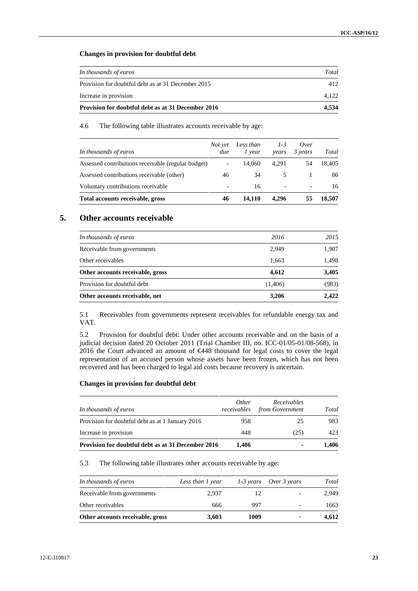### **Changes in provision for doubtful debt**

| Provision for doubtful debt as at 31 December 2016 | 4.534 |
|----------------------------------------------------|-------|
| Increase in provision                              | 4.122 |
| Provision for doubtful debt as at 31 December 2015 | 412   |
| In thousands of euros                              | Total |

4.6 The following table illustrates accounts receivable by age:

| In thousands of euros                              | Not yet<br>due           | Less than<br>1 year | $1-3$<br>vears           | Over<br>3 years          | Total  |
|----------------------------------------------------|--------------------------|---------------------|--------------------------|--------------------------|--------|
| Assessed contributions receivable (regular budget) | -                        | 14.060              | 4.291                    |                          | 18.405 |
| Assessed contributions receivable (other)          | 46                       | 34                  | 5                        |                          | 86     |
| Voluntary contributions receivable                 | $\overline{\phantom{0}}$ | 16                  | $\overline{\phantom{a}}$ | $\overline{\phantom{a}}$ | 16     |
| Total accounts receivable, gross                   | 46                       | 14.110              | 4.296                    |                          | 18,507 |

## **5. Other accounts receivable**

| 4,612<br>(1,406) | 3,405<br>(983) |
|------------------|----------------|
|                  |                |
|                  |                |
| 1,663            | 1,498          |
| 2,949            | 1,907          |
| 2016             | 2015           |
|                  |                |

5.1 Receivables from governments represent receivables for refundable energy tax and VAT.

5.2 Provision for doubtful debt: Under other accounts receivable and on the basis of a judicial decision dated 20 October 2011 (Trial Chamber III, no. ICC-01/05-01/08-568), in 2016 the Court advanced an amount of €448 thousand for legal costs to cover the legal representation of an accused person whose assets have been frozen, which has not been recovered and has been charged to legal aid costs because recovery is uncertain.

### **Changes in provision for doubtful debt**

| In thousands of euros                              | Other<br>receivables | Receivables<br>from Government | Total |
|----------------------------------------------------|----------------------|--------------------------------|-------|
| Provision for doubtful debt as at 1 January 2016   | 958                  | 25                             | 983   |
| Increase in provision                              | 448                  | (25)                           | 423   |
| Provision for doubtful debt as at 31 December 2016 | 1.406                | $\blacksquare$                 | 1.406 |

### 5.3 The following table illustrates other accounts receivable by age:

| In thousands of euros            | Less than 1 year | 1-3 years | Over 3 years             | Total |
|----------------------------------|------------------|-----------|--------------------------|-------|
| Receivable from governments      | 2.937            | 12        | $\overline{\phantom{0}}$ | 2.949 |
| Other receivables                | 666              | 997       |                          | 1663  |
| Other accounts receivable, gross | 3,603            | 1009      |                          | 4.612 |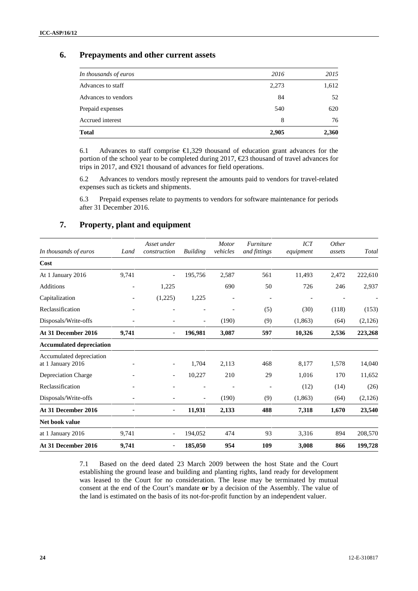## **6. Prepayments and other current assets**

| <b>Total</b>          | 2,905 | 2,360 |
|-----------------------|-------|-------|
| Accrued interest      | 8     | 76    |
| Prepaid expenses      | 540   | 620   |
| Advances to vendors   | 84    | 52    |
| Advances to staff     | 2,273 | 1,612 |
| In thousands of euros | 2016  | 2015  |
|                       |       |       |

6.1 Advances to staff comprise €1,329 thousand of education grant advances for the portion of the school year to be completed during 2017,  $\epsilon$ 23 thousand of travel advances for trips in 2017, and €921 thousand of advances for field operations.

6.2 Advances to vendors mostly represent the amounts paid to vendors for travel-related expenses such as tickets and shipments.

6.3 Prepaid expenses relate to payments to vendors for software maintenance for periods after 31 December 2016.

## **7. Property, plant and equipment**

| In thousands of euros                         | Land                     | Asset under<br>construction | <b>Building</b>          | <b>Motor</b><br>vehicles | Furniture<br>and fittings | ICT<br>equipment | Other<br>assets | Total   |
|-----------------------------------------------|--------------------------|-----------------------------|--------------------------|--------------------------|---------------------------|------------------|-----------------|---------|
| Cost                                          |                          |                             |                          |                          |                           |                  |                 |         |
| At 1 January 2016                             | 9,741                    |                             | 195,756                  | 2,587                    | 561                       | 11,493           | 2,472           | 222,610 |
| <b>Additions</b>                              | $\overline{\phantom{a}}$ | 1,225                       |                          | 690                      | 50                        | 726              | 246             | 2,937   |
| Capitalization                                | $\qquad \qquad -$        | (1,225)                     | 1,225                    |                          |                           |                  |                 |         |
| Reclassification                              |                          |                             |                          | ٠                        | (5)                       | (30)             | (118)           | (153)   |
| Disposals/Write-offs                          |                          |                             | $\overline{\phantom{a}}$ | (190)                    | (9)                       | (1, 863)         | (64)            | (2,126) |
| At 31 December 2016                           | 9,741                    |                             | 196,981                  | 3,087                    | 597                       | 10,326           | 2,536           | 223,268 |
| <b>Accumulated depreciation</b>               |                          |                             |                          |                          |                           |                  |                 |         |
| Accumulated depreciation<br>at 1 January 2016 |                          | $\overline{\phantom{a}}$    | 1,704                    | 2,113                    | 468                       | 8,177            | 1,578           | 14,040  |
| Depreciation Charge                           |                          | $\overline{\phantom{a}}$    | 10,227                   | 210                      | 29                        | 1,016            | 170             | 11,652  |
| Reclassification                              |                          |                             |                          |                          |                           | (12)             | (14)            | (26)    |
| Disposals/Write-offs                          | $\qquad \qquad -$        |                             | $\overline{\phantom{a}}$ | (190)                    | (9)                       | (1, 863)         | (64)            | (2,126) |
| At 31 December 2016                           |                          | $\blacksquare$              | 11,931                   | 2,133                    | 488                       | 7,318            | 1,670           | 23,540  |
| Net book value                                |                          |                             |                          |                          |                           |                  |                 |         |
| at 1 January 2016                             | 9,741                    | $\overline{\phantom{a}}$    | 194,052                  | 474                      | 93                        | 3,316            | 894             | 208,570 |
| At 31 December 2016                           | 9,741                    |                             | 185,050                  | 954                      | 109                       | 3,008            | 866             | 199,728 |

7.1 Based on the deed dated 23 March 2009 between the host State and the Court establishing the ground lease and building and planting rights, land ready for development was leased to the Court for no consideration. The lease may be terminated by mutual consent at the end of the Court's mandate **or** by a decision of the Assembly. The value of the land is estimated on the basis of its not-for-profit function by an independent valuer.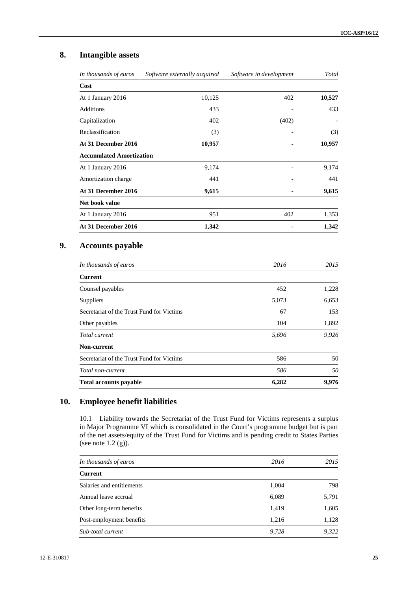# **8. Intangible assets**

| In thousands of euros           | Software externally acquired | Software in development | Total  |
|---------------------------------|------------------------------|-------------------------|--------|
| Cost                            |                              |                         |        |
| At 1 January 2016               | 10,125                       | 402                     | 10,527 |
| <b>Additions</b>                | 433                          |                         | 433    |
| Capitalization                  | 402                          | (402)                   |        |
| Reclassification                | (3)                          |                         | (3)    |
| At 31 December 2016             | 10,957                       |                         | 10,957 |
| <b>Accumulated Amortization</b> |                              |                         |        |
| At 1 January 2016               | 9,174                        |                         | 9,174  |
| Amortization charge             | 441                          |                         | 441    |
| At 31 December 2016             | 9,615                        |                         | 9,615  |
| Net book value                  |                              |                         |        |
| At 1 January 2016               | 951                          | 402                     | 1,353  |
| At 31 December 2016             | 1,342                        |                         | 1,342  |
| <b>Accounts payable</b>         |                              |                         |        |
| In thousands of euros           |                              | 2016                    | 2015   |
| <b>Current</b>                  |                              |                         |        |

| <b>Current</b>                            |       |       |
|-------------------------------------------|-------|-------|
| Counsel payables                          | 452   | 1,228 |
| <b>Suppliers</b>                          | 5,073 | 6,653 |
| Secretariat of the Trust Fund for Victims | 67    | 153   |
| Other payables                            | 104   | 1,892 |
| Total current                             | 5,696 | 9,926 |
| Non-current                               |       |       |
| Secretariat of the Trust Fund for Victims | 586   | 50    |
| Total non-current                         | 586   | 50    |
| <b>Total accounts payable</b>             | 6,282 | 9,976 |

## **10. Employee benefit liabilities**

10.1 Liability towards the Secretariat of the Trust Fund for Victims represents a surplus in Major Programme VI which is consolidated in the Court's programme budget but is part of the net assets/equity of the Trust Fund for Victims and is pending credit to States Parties (see note  $1.2$  (g)).

| In thousands of euros     | 2016  | 2015  |
|---------------------------|-------|-------|
| <b>Current</b>            |       |       |
| Salaries and entitlements | 1,004 | 798   |
| Annual leave accrual      | 6,089 | 5,791 |
| Other long-term benefits  | 1,419 | 1,605 |
| Post-employment benefits  | 1,216 | 1,128 |
| Sub-total current         | 9,728 | 9,322 |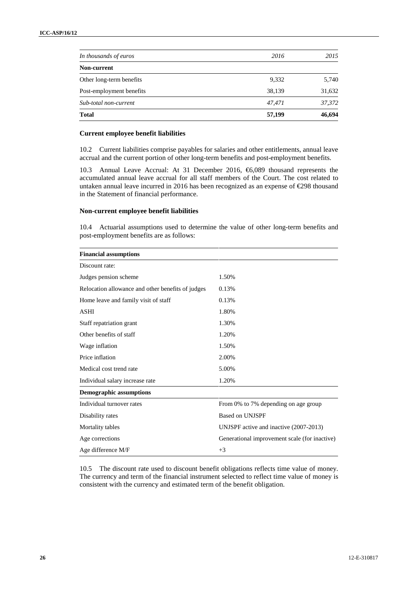| 9,332<br>38,139<br>47,471 | 5,740<br>31,632<br>37,372 |
|---------------------------|---------------------------|
|                           |                           |
|                           |                           |
|                           |                           |
|                           |                           |
| 2016                      | 2015                      |
|                           |                           |

## **Current employee benefit liabilities**

10.2 Current liabilities comprise payables for salaries and other entitlements, annual leave accrual and the current portion of other long-term benefits and post-employment benefits.

10.3 Annual Leave Accrual: At 31 December 2016, €6,089 thousand represents the accumulated annual leave accrual for all staff members of the Court. The cost related to untaken annual leave incurred in 2016 has been recognized as an expense of €298 thousand in the Statement of financial performance.

### **Non-current employee benefit liabilities**

10.4 Actuarial assumptions used to determine the value of other long-term benefits and post-employment benefits are as follows:

| <b>Financial assumptions</b>                      |                                               |
|---------------------------------------------------|-----------------------------------------------|
| Discount rate:                                    |                                               |
| Judges pension scheme                             | 1.50%                                         |
| Relocation allowance and other benefits of judges | 0.13%                                         |
| Home leave and family visit of staff              | 0.13%                                         |
| <b>ASHI</b>                                       | 1.80%                                         |
| Staff repatriation grant                          | 1.30%                                         |
| Other benefits of staff                           | 1.20%                                         |
| Wage inflation                                    | 1.50%                                         |
| Price inflation                                   | 2.00%                                         |
| Medical cost trend rate                           | 5.00%                                         |
| Individual salary increase rate                   | 1.20%                                         |
| <b>Demographic assumptions</b>                    |                                               |
| Individual turnover rates                         | From 0% to 7% depending on age group          |
| Disability rates                                  | <b>Based on UNJSPF</b>                        |
| Mortality tables                                  | UNJSPF active and inactive (2007-2013)        |
| Age corrections                                   | Generational improvement scale (for inactive) |
| Age difference M/F                                | $+3$                                          |

10.5 The discount rate used to discount benefit obligations reflects time value of money. The currency and term of the financial instrument selected to reflect time value of money is consistent with the currency and estimated term of the benefit obligation.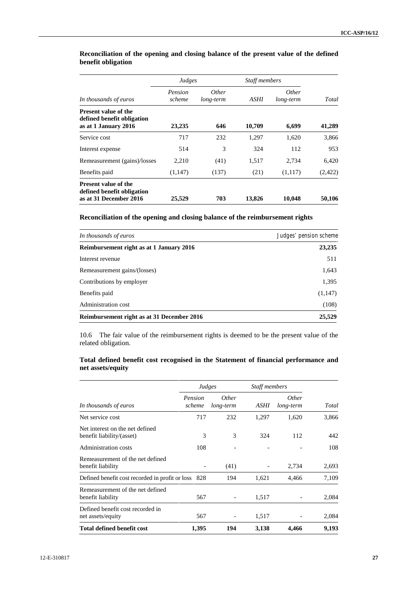|                                                                                     | Judges            |                           | <b>Staff members</b> |                           |         |
|-------------------------------------------------------------------------------------|-------------------|---------------------------|----------------------|---------------------------|---------|
| In thousands of euros                                                               | Pension<br>scheme | <i>Other</i><br>long-term | ASHI                 | <i>Other</i><br>long-term | Total   |
| <b>Present value of the</b><br>defined benefit obligation<br>as at 1 January 2016   | 23,235            | 646                       | 10,709               | 6,699                     | 41,289  |
| Service cost                                                                        | 717               | 232                       | 1,297                | 1,620                     | 3,866   |
| Interest expense                                                                    | 514               | 3                         | 324                  | 112                       | 953     |
| Remeasurement (gains)/losses                                                        | 2,210             | (41)                      | 1,517                | 2,734                     | 6,420   |
| Benefits paid                                                                       | (1,147)           | (137)                     | (21)                 | (1,117)                   | (2,422) |
| <b>Present value of the</b><br>defined benefit obligation<br>as at 31 December 2016 | 25,529            | 703                       | 13,826               | 10,048                    | 50,106  |

## **Reconciliation of the opening and closing balance of the present value of the defined benefit obligation**

**Reconciliation of the opening and closing balance of the reimbursement rights**

| In thousands of euros                      | Judges' pension scheme |
|--------------------------------------------|------------------------|
| Reimbursement right as at 1 January 2016   | 23,235                 |
| Interest revenue                           | 511                    |
| Remeasurement gains/(losses)               | 1,643                  |
| Contributions by employer                  | 1,395                  |
| Benefits paid                              | (1,147)                |
| Administration cost                        | (108)                  |
| Reimbursement right as at 31 December 2016 | 25,529                 |

10.6 The fair value of the reimbursement rights is deemed to be the present value of the related obligation.

## **Total defined benefit cost recognised in the Statement of financial performance and net assets/equity**

|                                                              | Judges            |                           | Staff members |                           |       |
|--------------------------------------------------------------|-------------------|---------------------------|---------------|---------------------------|-------|
| In thousands of euros                                        | Pension<br>scheme | <i>Other</i><br>long-term | ASHI          | <i>Other</i><br>long-term | Total |
| Net service cost                                             | 717               | 232                       | 1,297         | 1,620                     | 3,866 |
| Net interest on the net defined<br>benefit liability/(asset) | 3                 | 3                         | 324           | 112                       | 442   |
| <b>Administration costs</b>                                  | 108               |                           |               |                           | 108   |
| Remeasurement of the net defined<br>benefit liability        |                   | (41)                      |               | 2,734                     | 2,693 |
| Defined benefit cost recorded in profit or loss              | 828               | 194                       | 1,621         | 4,466                     | 7,109 |
| Remeasurement of the net defined<br>benefit liability        | 567               |                           | 1,517         |                           | 2,084 |
| Defined benefit cost recorded in<br>net assets/equity        | 567               | $\overline{\phantom{a}}$  | 1,517         |                           | 2,084 |
| <b>Total defined benefit cost</b>                            | 1,395             | 194                       | 3,138         | 4,466                     | 9,193 |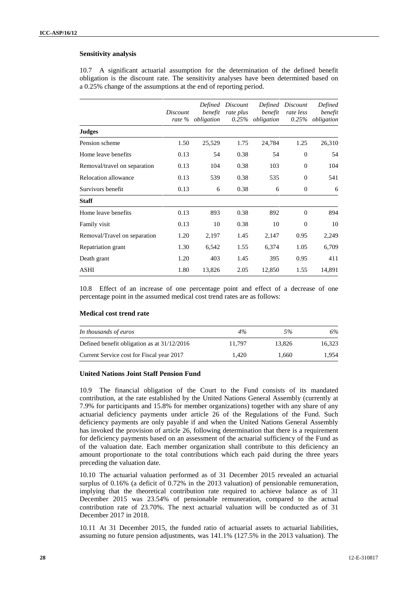### **Sensitivity analysis**

10.7 A significant actuarial assumption for the determination of the defined benefit obligation is the discount rate. The sensitivity analyses have been determined based on a 0.25% change of the assumptions at the end of reporting period.

|                              | Discount | Defined<br>benefit<br>rate % obligation | Discount<br>rate plus | benefit<br>$0.25\%$ obligation | Defined Discount<br>rate less<br>0.25% | Defined<br>benefit<br>obligation |
|------------------------------|----------|-----------------------------------------|-----------------------|--------------------------------|----------------------------------------|----------------------------------|
| <b>Judges</b>                |          |                                         |                       |                                |                                        |                                  |
| Pension scheme               | 1.50     | 25,529                                  | 1.75                  | 24,784                         | 1.25                                   | 26,310                           |
| Home leave benefits          | 0.13     | 54                                      | 0.38                  | 54                             | $\boldsymbol{0}$                       | 54                               |
| Removal/travel on separation | 0.13     | 104                                     | 0.38                  | 103                            | $\mathbf{0}$                           | 104                              |
| Relocation allowance         | 0.13     | 539                                     | 0.38                  | 535                            | $\boldsymbol{0}$                       | 541                              |
| Survivors benefit            | 0.13     | 6                                       | 0.38                  | 6                              | $\boldsymbol{0}$                       | 6                                |
| <b>Staff</b>                 |          |                                         |                       |                                |                                        |                                  |
| Home leave benefits          | 0.13     | 893                                     | 0.38                  | 892                            | $\mathbf{0}$                           | 894                              |
| Family visit                 | 0.13     | 10                                      | 0.38                  | 10                             | $\Omega$                               | 10                               |
| Removal/Travel on separation | 1.20     | 2,197                                   | 1.45                  | 2,147                          | 0.95                                   | 2,249                            |
| Repatriation grant           | 1.30     | 6,542                                   | 1.55                  | 6,374                          | 1.05                                   | 6,709                            |
| Death grant                  | 1.20     | 403                                     | 1.45                  | 395                            | 0.95                                   | 411                              |
| <b>ASHI</b>                  | 1.80     | 13,826                                  | 2.05                  | 12,850                         | 1.55                                   | 14,891                           |

10.8 Effect of an increase of one percentage point and effect of a decrease of one percentage point in the assumed medical cost trend rates are as follows:

### **Medical cost trend rate**

| In thousands of euros                         | 4%     | 5%     | 6%     |
|-----------------------------------------------|--------|--------|--------|
| Defined benefit obligation as at $31/12/2016$ | 11.797 | 13.826 | 16.323 |
| Current Service cost for Fiscal year 2017     | 1.420  | 1.660  | 1.954  |

## **United Nations Joint Staff Pension Fund**

10.9 The financial obligation of the Court to the Fund consists of its mandated contribution, at the rate established by the United Nations General Assembly (currently at 7.9% for participants and 15.8% for member organizations) together with any share of any actuarial deficiency payments under article 26 of the Regulations of the Fund. Such deficiency payments are only payable if and when the United Nations General Assembly has invoked the provision of article 26, following determination that there is a requirement for deficiency payments based on an assessment of the actuarial sufficiency of the Fund as of the valuation date. Each member organization shall contribute to this deficiency an amount proportionate to the total contributions which each paid during the three years preceding the valuation date.

10.10 The actuarial valuation performed as of 31 December 2015 revealed an actuarial surplus of 0.16% (a deficit of 0.72% in the 2013 valuation) of pensionable remuneration, implying that the theoretical contribution rate required to achieve balance as of 31 December 2015 was 23.54% of pensionable remuneration, compared to the actual contribution rate of 23.70%. The next actuarial valuation will be conducted as of 31 December 2017 in 2018.

10.11 At 31 December 2015, the funded ratio of actuarial assets to actuarial liabilities, assuming no future pension adjustments, was 141.1% (127.5% in the 2013 valuation). The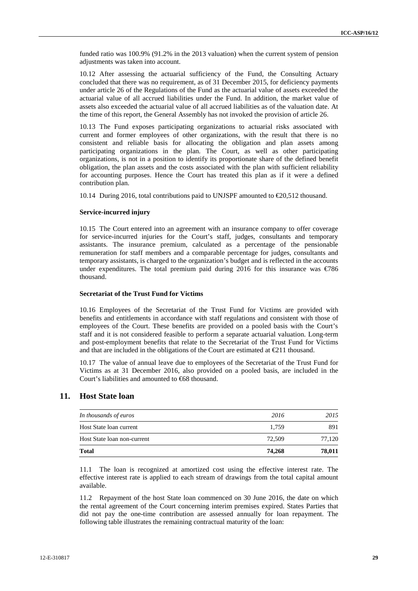funded ratio was 100.9% (91.2% in the 2013 valuation) when the current system of pension adjustments was taken into account.

10.12 After assessing the actuarial sufficiency of the Fund, the Consulting Actuary concluded that there was no requirement, as of 31 December 2015, for deficiency payments under article 26 of the Regulations of the Fund as the actuarial value of assets exceeded the actuarial value of all accrued liabilities under the Fund. In addition, the market value of assets also exceeded the actuarial value of all accrued liabilities as of the valuation date. At the time of this report, the General Assembly has not invoked the provision of article 26.

10.13 The Fund exposes participating organizations to actuarial risks associated with current and former employees of other organizations, with the result that there is no consistent and reliable basis for allocating the obligation and plan assets among participating organizations in the plan. The Court, as well as other participating organizations, is not in a position to identify its proportionate share of the defined benefit obligation, the plan assets and the costs associated with the plan with sufficient reliability for accounting purposes. Hence the Court has treated this plan as if it were a defined contribution plan.

10.14 During 2016, total contributions paid to UNJSPF amounted to €20,512 thousand.

#### **Service-incurred injury**

10.15 The Court entered into an agreement with an insurance company to offer coverage for service-incurred injuries for the Court's staff, judges, consultants and temporary assistants. The insurance premium, calculated as a percentage of the pensionable remuneration for staff members and a comparable percentage for judges, consultants and temporary assistants, is charged to the organization's budget and is reflected in the accounts under expenditures. The total premium paid during 2016 for this insurance was  $\epsilon$ 786 thousand.

#### **Secretariat of the Trust Fund for Victims**

10.16 Employees of the Secretariat of the Trust Fund for Victims are provided with benefits and entitlements in accordance with staff regulations and consistent with those of employees of the Court. These benefits are provided on a pooled basis with the Court's staff and it is not considered feasible to perform a separate actuarial valuation. Long-term and post-employment benefits that relate to the Secretariat of the Trust Fund for Victims and that are included in the obligations of the Court are estimated at €211 thousand.

10.17 The value of annual leave due to employees of the Secretariat of the Trust Fund for Victims as at 31 December 2016, also provided on a pooled basis, are included in the Court's liabilities and amounted to €68 thousand.

## **11. Host State loan**

| <b>Total</b>                | 74.268 | 78,011 |
|-----------------------------|--------|--------|
| Host State loan non-current | 72,509 | 77.120 |
| Host State loan current     | 1.759  | 891    |
| In thousands of euros       | 2016   | 2015   |

11.1 The loan is recognized at amortized cost using the effective interest rate. The effective interest rate is applied to each stream of drawings from the total capital amount available.

11.2 Repayment of the host State loan commenced on 30 June 2016, the date on which the rental agreement of the Court concerning interim premises expired. States Parties that did not pay the one-time contribution are assessed annually for loan repayment. The following table illustrates the remaining contractual maturity of the loan: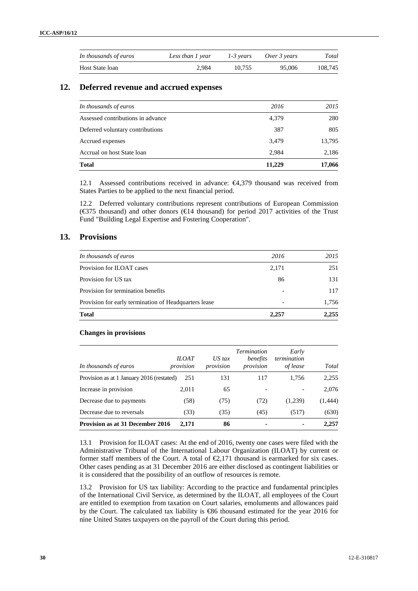| In thousands of euros | Less than 1 year | 1-3 years | Over 3 years | Total   |
|-----------------------|------------------|-----------|--------------|---------|
| Host State loan       | 2.984            | 10.755    | 95,006       | 108.745 |

## **12. Deferred revenue and accrued expenses**

| <b>Total</b>                      | 11.229 | 17,066 |
|-----------------------------------|--------|--------|
| Accrual on host State loan        | 2,984  | 2,186  |
| Accrued expenses                  | 3,479  | 13,795 |
| Deferred voluntary contributions  | 387    | 805    |
| Assessed contributions in advance | 4,379  | 280    |
| In thousands of euros             | 2016   | 2015   |
|                                   |        |        |

12.1 Assessed contributions received in advance: €4,379 thousand was received from States Parties to be applied to the next financial period.

12.2 Deferred voluntary contributions represent contributions of European Commission ( $\epsilon$ 375 thousand) and other donors ( $\epsilon$ 14 thousand) for period 2017 activities of the Trust Fund "Building Legal Expertise and Fostering Cooperation".

## **13. Provisions**

| In thousands of euros                                 | 2016  | 2015  |
|-------------------------------------------------------|-------|-------|
| Provision for ILOAT cases                             | 2,171 | 251   |
| Provision for US tax                                  | 86    | 131   |
| Provision for termination benefits                    |       | 117   |
| Provision for early termination of Headquarters lease | -     | 1,756 |
| <b>Total</b>                                          | 2,257 | 2,255 |

## **Changes in provisions**

| In thousands of euros                     | <b>ILOAT</b><br>provision | $US$ tax<br>provision | <b>Termination</b><br>benefits<br>provision | Early<br>termination<br>of lease | Total    |
|-------------------------------------------|---------------------------|-----------------------|---------------------------------------------|----------------------------------|----------|
| Provision as at 1 January 2016 (restated) | 251                       | 131                   | 117                                         | 1.756                            | 2,255    |
| Increase in provision                     | 2.011                     | 65                    |                                             | -                                | 2,076    |
| Decrease due to payments                  | (58)                      | (75)                  | (72)                                        | (1,239)                          | (1, 444) |
| Decrease due to reversals                 | (33)                      | (35)                  | (45)                                        | (517)                            | (630)    |
| <b>Provision as at 31 December 2016</b>   | 2.171                     | 86                    |                                             | $\blacksquare$                   | 2,257    |

13.1 Provision for ILOAT cases: At the end of 2016, twenty one cases were filed with the Administrative Tribunal of the International Labour Organization (ILOAT) by current or former staff members of the Court. A total of  $\epsilon$ 2,171 thousand is earmarked for six cases. Other cases pending as at 31 December 2016 are either disclosed as contingent liabilities or it is considered that the possibility of an outflow of resources is remote.

13.2 Provision for US tax liability: According to the practice and fundamental principles of the International Civil Service, as determined by the ILOAT, all employees of the Court are entitled to exemption from taxation on Court salaries, emoluments and allowances paid by the Court. The calculated tax liability is €86 thousand estimated for the year 2016 for nine United States taxpayers on the payroll of the Court during this period.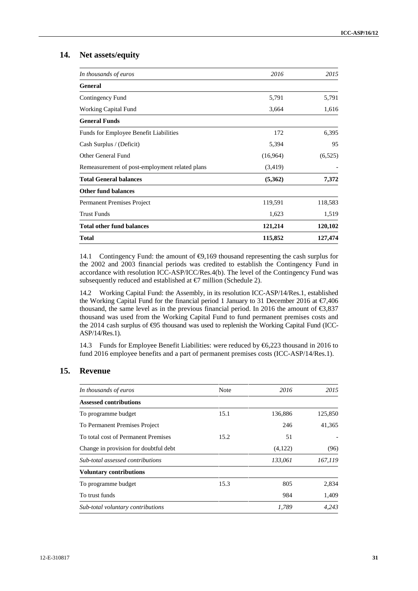## **14. Net assets/equity**

| In thousands of euros                          | 2016     | 2015    |
|------------------------------------------------|----------|---------|
| <b>General</b>                                 |          |         |
| Contingency Fund                               | 5,791    | 5,791   |
| Working Capital Fund                           | 3,664    | 1,616   |
| <b>General Funds</b>                           |          |         |
| Funds for Employee Benefit Liabilities         | 172      | 6,395   |
| Cash Surplus / (Deficit)                       | 5,394    | 95      |
| Other General Fund                             | (16,964) | (6,525) |
| Remeasurement of post-employment related plans | (3,419)  |         |
| <b>Total General balances</b>                  | (5,362)  | 7,372   |
| <b>Other fund balances</b>                     |          |         |
| Permanent Premises Project                     | 119,591  | 118,583 |
| <b>Trust Funds</b>                             | 1,623    | 1,519   |
| <b>Total other fund balances</b>               | 121,214  | 120,102 |
| <b>Total</b>                                   | 115,852  | 127,474 |

14.1 Contingency Fund: the amount of  $\Theta$ , 169 thousand representing the cash surplus for the 2002 and 2003 financial periods was credited to establish the Contingency Fund in accordance with resolution ICC-ASP/ICC/Res.4(b). The level of the Contingency Fund was subsequently reduced and established at  $\epsilon$ 7 million (Schedule 2).

14.2 Working Capital Fund: the Assembly, in its resolution ICC-ASP/14/Res.1, established the Working Capital Fund for the financial period 1 January to 31 December 2016 at €7,406 thousand, the same level as in the previous financial period. In 2016 the amount of  $\epsilon$ 3,837 thousand was used from the Working Capital Fund to fund permanent premises costs and the 2014 cash surplus of  $\bigoplus$ 5 thousand was used to replenish the Working Capital Fund (ICC-ASP/14/Res.1).

14.3 Funds for Employee Benefit Liabilities: were reduced by €6,223 thousand in 2016 to fund 2016 employee benefits and a part of permanent premises costs (ICC-ASP/14/Res.1).

## **15. Revenue**

| In thousands of euros                 | Note | 2016    | 2015    |
|---------------------------------------|------|---------|---------|
| <b>Assessed contributions</b>         |      |         |         |
| To programme budget                   | 15.1 | 136,886 | 125,850 |
| To Permanent Premises Project         |      | 246     | 41,365  |
| To total cost of Permanent Premises   | 15.2 | 51      |         |
| Change in provision for doubtful debt |      | (4,122) | (96)    |
| Sub-total assessed contributions      |      | 133,061 | 167,119 |
| <b>Voluntary contributions</b>        |      |         |         |
| To programme budget                   | 15.3 | 805     | 2,834   |
| To trust funds                        |      | 984     | 1,409   |
| Sub-total voluntary contributions     |      | 1,789   | 4.243   |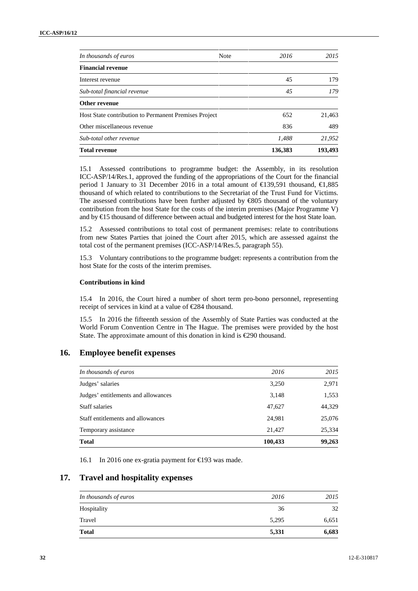| In thousands of euros                                 | <b>Note</b> | 2016    | 2015    |
|-------------------------------------------------------|-------------|---------|---------|
| <b>Financial revenue</b>                              |             |         |         |
| Interest revenue                                      |             | 45      | 179     |
| Sub-total financial revenue                           |             | 45      | 179     |
| Other revenue                                         |             |         |         |
| Host State contribution to Permanent Premises Project |             | 652     | 21,463  |
| Other miscellaneous revenue                           |             | 836     | 489     |
| Sub-total other revenue                               |             | 1,488   | 21,952  |
| <b>Total revenue</b>                                  |             | 136,383 | 193,493 |

15.1 Assessed contributions to programme budget: the Assembly, in its resolution ICC-ASP/14/Res.1, approved the funding of the appropriations of the Court for the financial period 1 January to 31 December 2016 in a total amount of €139,591 thousand, €1,885 thousand of which related to contributions to the Secretariat of the Trust Fund for Victims. The assessed contributions have been further adjusted by €805 thousand of the voluntary contribution from the host State for the costs of the interim premises (Major Programme V) and by €15 thousand of difference between actual and budgeted interest for the host State loan.

15.2 Assessed contributions to total cost of permanent premises: relate to contributions from new States Parties that joined the Court after 2015, which are assessed against the total cost of the permanent premises (ICC-ASP/14/Res.5, paragraph 55).

15.3 Voluntary contributions to the programme budget: represents a contribution from the host State for the costs of the interim premises.

### **Contributions in kind**

15.4 In 2016, the Court hired a number of short term pro-bono personnel, representing receipt of services in kind at a value of €284 thousand.

15.5 In 2016 the fifteenth session of the Assembly of State Parties was conducted at the World Forum Convention Centre in The Hague. The premises were provided by the host State. The approximate amount of this donation in kind is €290 thousand.

#### **16. Employee benefit expenses**

| In thousands of euros               | 2016    | 2015   |
|-------------------------------------|---------|--------|
| Judges' salaries                    | 3,250   | 2,971  |
| Judges' entitlements and allowances | 3,148   | 1,553  |
| Staff salaries                      | 47,627  | 44,329 |
| Staff entitlements and allowances   | 24,981  | 25,076 |
| Temporary assistance                | 21,427  | 25,334 |
| <b>Total</b>                        | 100,433 | 99,263 |

16.1 In 2016 one ex-gratia payment for €193 was made.

## **17. Travel and hospitality expenses**

| In thousands of euros | 2016  | 2015  |
|-----------------------|-------|-------|
| Hospitality           | 36    | 32    |
| Travel                | 5,295 | 6,651 |
| <b>Total</b>          | 5,331 | 6,683 |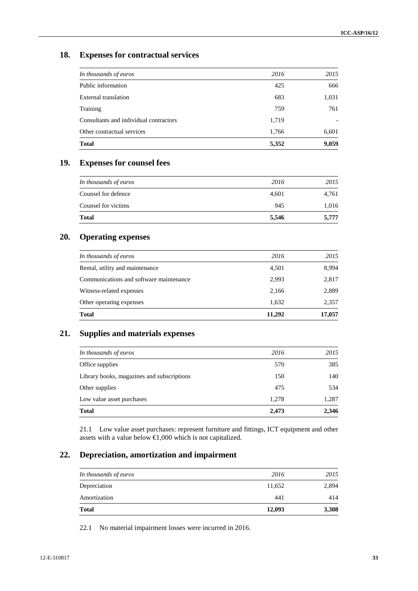## **18. Expenses for contractual services**

| In thousands of euros                  | 2016  | 2015                     |
|----------------------------------------|-------|--------------------------|
| Public information                     | 425   | 666                      |
| External translation                   | 683   | 1,031                    |
| Training                               | 759   | 761                      |
| Consultants and individual contractors | 1,719 | $\overline{\phantom{a}}$ |
| Other contractual services             | 1,766 | 6,601                    |
| <b>Total</b>                           | 5,352 | 9,059                    |

# **19. Expenses for counsel fees**

| <b>Total</b>          | 5,546 | 5,777 |
|-----------------------|-------|-------|
| Counsel for victims   | 945   | 1,016 |
| Counsel for defence   | 4,601 | 4,761 |
| In thousands of euros | 2016  | 2015  |

## **20. Operating expenses**

| <b>Total</b>                            | 11,292 | 17,057 |
|-----------------------------------------|--------|--------|
| Other operating expenses                | 1,632  | 2,357  |
| Witness-related expenses                | 2,166  | 2,889  |
| Communications and software maintenance | 2,993  | 2,817  |
| Rental, utility and maintenance         | 4,501  | 8,994  |
| In thousands of euros                   | 2016   | 2015   |
|                                         |        |        |

## **21. Supplies and materials expenses**

|       | 1,287 |
|-------|-------|
| 1.278 |       |
| 475   | 534   |
| 150   | 140   |
| 570   | 385   |
| 2016  | 2015  |
|       |       |

21.1 Low value asset purchases: represent furniture and fittings, ICT equipment and other assets with a value below  $\bigoplus$ ,000 which is not capitalized.

## **22. Depreciation, amortization and impairment**

| 11,652<br>441 | 2,894<br>414 |
|---------------|--------------|
|               |              |
|               |              |
| 2016          | 2015         |
|               |              |

22.1 No material impairment losses were incurred in 2016.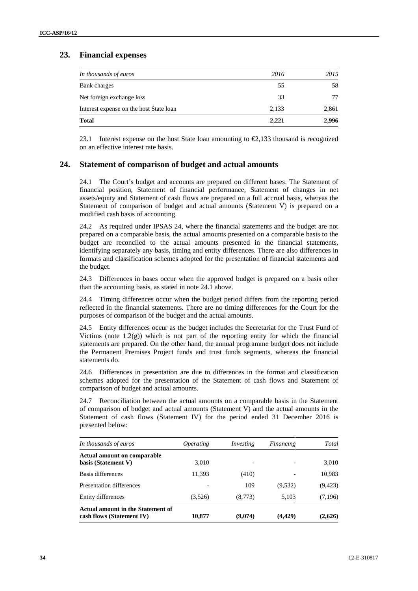## **23. Financial expenses**

| In thousands of euros                   | 2016  | 2015  |
|-----------------------------------------|-------|-------|
| Bank charges                            | 55    | 58    |
| Net foreign exchange loss               | 33    | 77    |
| Interest expense on the host State loan | 2,133 | 2,861 |
| <b>Total</b>                            | 2,221 | 2,996 |

23.1 Interest expense on the host State loan amounting to  $\epsilon$ , 133 thousand is recognized on an effective interest rate basis.

## **24. Statement of comparison of budget and actual amounts**

24.1 The Court's budget and accounts are prepared on different bases. The Statement of financial position, Statement of financial performance, Statement of changes in net assets/equity and Statement of cash flows are prepared on a full accrual basis, whereas the Statement of comparison of budget and actual amounts (Statement V) is prepared on a modified cash basis of accounting.

24.2 As required under IPSAS 24, where the financial statements and the budget are not prepared on a comparable basis, the actual amounts presented on a comparable basis to the budget are reconciled to the actual amounts presented in the financial statements, identifying separately any basis, timing and entity differences. There are also differences in formats and classification schemes adopted for the presentation of financial statements and the budget.

24.3 Differences in bases occur when the approved budget is prepared on a basis other than the accounting basis, as stated in note 24.1 above.

24.4 Timing differences occur when the budget period differs from the reporting period reflected in the financial statements. There are no timing differences for the Court for the purposes of comparison of the budget and the actual amounts.

24.5 Entity differences occur as the budget includes the Secretariat for the Trust Fund of Victims (note  $1.2(g)$ ) which is not part of the reporting entity for which the financial statements are prepared. On the other hand, the annual programme budget does not include the Permanent Premises Project funds and trust funds segments, whereas the financial statements do.

24.6 Differences in presentation are due to differences in the format and classification schemes adopted for the presentation of the Statement of cash flows and Statement of comparison of budget and actual amounts.

24.7 Reconciliation between the actual amounts on a comparable basis in the Statement of comparison of budget and actual amounts (Statement V) and the actual amounts in the Statement of cash flows (Statement IV) for the period ended 31 December 2016 is presented below:

| In thousands of euros                                          | <i>Operating</i> | Investing                | Financing | Total    |
|----------------------------------------------------------------|------------------|--------------------------|-----------|----------|
| <b>Actual amount on comparable</b><br>basis (Statement V)      | 3,010            | $\overline{\phantom{0}}$ |           | 3,010    |
| Basis differences                                              | 11,393           | (410)                    |           | 10,983   |
| Presentation differences                                       |                  | 109                      | (9,532)   | (9, 423) |
| Entity differences                                             | (3,526)          | (8,773)                  | 5,103     | (7,196)  |
| Actual amount in the Statement of<br>cash flows (Statement IV) | 10.877           | (9,074)                  | (4, 429)  | (2,626)  |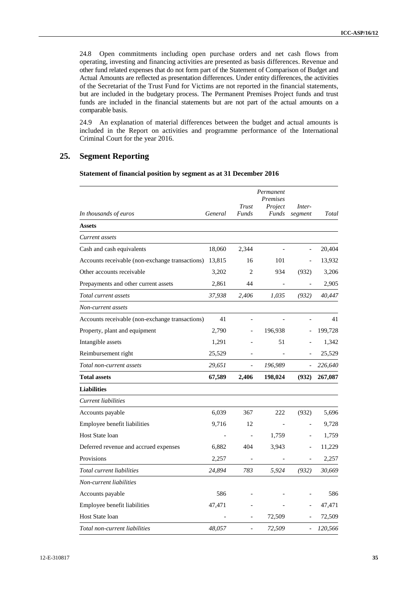24.8 Open commitments including open purchase orders and net cash flows from operating, investing and financing activities are presented as basis differences. Revenue and other fund related expenses that do not form part of the Statement of Comparison of Budget and Actual Amounts are reflected as presentation differences. Under entity differences, the activities of the Secretariat of the Trust Fund for Victims are not reported in the financial statements, but are included in the budgetary process. The Permanent Premises Project funds and trust funds are included in the financial statements but are not part of the actual amounts on a comparable basis.

24.9 An explanation of material differences between the budget and actual amounts is included in the Report on activities and programme performance of the International Criminal Court for the year 2016.

## **25. Segment Reporting**

**Statement of financial position by segment as at 31 December 2016**

| In thousands of euros                           | General | Trust<br>Funds           | Permanent<br>Premises<br>Project<br>Funds | Inter-<br>segment | Total   |
|-------------------------------------------------|---------|--------------------------|-------------------------------------------|-------------------|---------|
| <b>Assets</b>                                   |         |                          |                                           |                   |         |
| Current assets                                  |         |                          |                                           |                   |         |
| Cash and cash equivalents                       | 18,060  | 2,344                    |                                           |                   | 20,404  |
| Accounts receivable (non-exchange transactions) | 13,815  | 16                       | 101                                       | $\overline{a}$    | 13,932  |
| Other accounts receivable                       | 3,202   | $\overline{c}$           | 934                                       | (932)             | 3,206   |
| Prepayments and other current assets            | 2,861   | 44                       |                                           |                   | 2,905   |
| Total current assets                            | 37,938  | 2.406                    | 1,035                                     | (932)             | 40,447  |
| Non-current assets                              |         |                          |                                           |                   |         |
| Accounts receivable (non-exchange transactions) | 41      |                          |                                           |                   | 41      |
| Property, plant and equipment                   | 2,790   |                          | 196,938                                   |                   | 199,728 |
| Intangible assets                               | 1,291   |                          | 51                                        |                   | 1,342   |
| Reimbursement right                             | 25,529  |                          |                                           |                   | 25,529  |
| Total non-current assets                        | 29,651  |                          | 196,989                                   |                   | 226,640 |
|                                                 | 67,589  |                          |                                           |                   | 267,087 |
| <b>Total assets</b>                             |         | 2,406                    | 198,024                                   | (932)             |         |
| <b>Liabilities</b>                              |         |                          |                                           |                   |         |
| Current liabilities                             |         |                          |                                           |                   |         |
| Accounts payable                                | 6,039   | 367                      | 222                                       | (932)             | 5,696   |
| Employee benefit liabilities                    | 9,716   | 12                       |                                           | $\qquad \qquad -$ | 9,728   |
| Host State loan                                 |         | $\overline{\phantom{a}}$ | 1,759                                     | $\overline{a}$    | 1,759   |
| Deferred revenue and accrued expenses           | 6,882   | 404                      | 3,943                                     | $\overline{a}$    | 11,229  |
| Provisions                                      | 2,257   |                          |                                           |                   | 2,257   |
| Total current liabilities                       | 24,894  | 783                      | 5,924                                     | (932)             | 30,669  |
| Non-current liabilities                         |         |                          |                                           |                   |         |
| Accounts payable                                | 586     |                          |                                           |                   | 586     |
| Employee benefit liabilities                    | 47,471  |                          |                                           |                   | 47,471  |
| <b>Host State loan</b>                          |         |                          | 72,509                                    |                   | 72,509  |
| Total non-current liabilities                   | 48,057  |                          | 72,509                                    |                   | 120,566 |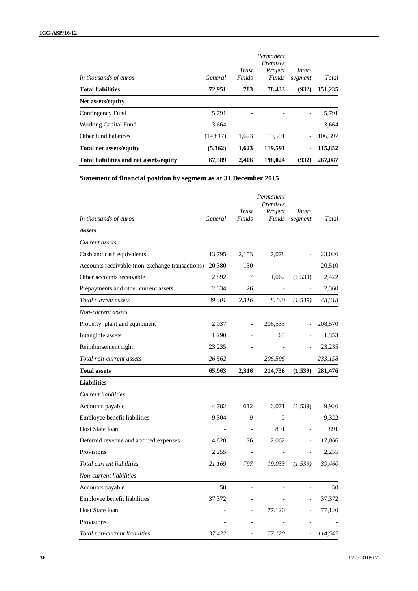| In thousands of euros                   | General   | Trust<br>Funds | Permanent<br><i>Premises</i><br>Project<br>Funds | Inter-<br>segment        | Total   |
|-----------------------------------------|-----------|----------------|--------------------------------------------------|--------------------------|---------|
| <b>Total liabilities</b>                | 72.951    | 783            | 78.433                                           | (932)                    | 151,235 |
| Net assets/equity                       |           |                |                                                  |                          |         |
| Contingency Fund                        | 5,791     |                |                                                  | $\overline{\phantom{a}}$ | 5,791   |
| <b>Working Capital Fund</b>             | 3,664     |                |                                                  | $\overline{\phantom{a}}$ | 3,664   |
| Other fund balances                     | (14, 817) | 1,623          | 119,591                                          | $\qquad \qquad -$        | 106,397 |
| <b>Total net assets/equity</b>          | (5,362)   | 1,623          | 119,591                                          | ٠                        | 115,852 |
| Total liabilities and net assets/equity | 67,589    | 2.406          | 198,024                                          | (932)                    | 267,087 |

**Statement of financial position by segment as at 31 December 2015**

|                                                 | General | Trust<br>Funds               | Permanent<br>Premises<br>Project<br><b>Funds</b> | Inter-                       | Total   |
|-------------------------------------------------|---------|------------------------------|--------------------------------------------------|------------------------------|---------|
| In thousands of euros                           |         |                              |                                                  | segment                      |         |
| <b>Assets</b>                                   |         |                              |                                                  |                              |         |
| Current assets                                  |         |                              |                                                  |                              |         |
| Cash and cash equivalents                       | 13,795  | 2,153                        | 7,078                                            | $\overline{a}$               | 23,026  |
| Accounts receivable (non-exchange transactions) | 20,380  | 130                          |                                                  |                              | 20,510  |
| Other accounts receivable                       | 2,892   | 7                            | 1,062                                            | (1, 539)                     | 2,422   |
| Prepayments and other current assets            | 2,334   | 26                           |                                                  |                              | 2,360   |
| Total current assets                            | 39,401  | 2,316                        | 8,140                                            | (1, 539)                     | 48,318  |
| Non-current assets                              |         |                              |                                                  |                              |         |
| Property, plant and equipment                   | 2,037   |                              | 206,533                                          |                              | 208,570 |
| Intangible assets                               | 1,290   |                              | 63                                               |                              | 1,353   |
| Reimbursement right                             | 23,235  |                              |                                                  |                              | 23,235  |
| Total non-current assets                        | 26,562  | $\qquad \qquad \blacksquare$ | 206,596                                          |                              | 233,158 |
| <b>Total assets</b>                             | 65,963  | 2,316                        | 214,736                                          | (1,539)                      | 281,476 |
| <b>Liabilities</b>                              |         |                              |                                                  |                              |         |
| Current liabilities                             |         |                              |                                                  |                              |         |
| Accounts payable                                | 4,782   | 612                          | 6,071                                            | (1,539)                      | 9,926   |
| Employee benefit liabilities                    | 9,304   | 9                            | 9                                                |                              | 9,322   |
| Host State loan                                 |         |                              | 891                                              |                              | 891     |
| Deferred revenue and accrued expenses           | 4,828   | 176                          | 12,062                                           | $\overline{a}$               | 17,066  |
| Provisions                                      | 2,255   |                              |                                                  | $\overline{a}$               | 2,255   |
| Total current liabilities                       | 21,169  | 797                          | 19,033                                           | (1, 539)                     | 39,460  |
| Non-current liabilities                         |         |                              |                                                  |                              |         |
| Accounts payable                                | 50      |                              |                                                  |                              | 50      |
| Employee benefit liabilities                    | 37,372  |                              |                                                  |                              | 37,372  |
| Host State loan                                 |         |                              | 77,120                                           |                              | 77,120  |
| Provisions                                      |         |                              |                                                  |                              |         |
| Total non-current liabilities                   | 37,422  |                              | 77,120                                           | $\qquad \qquad \blacksquare$ | 114,542 |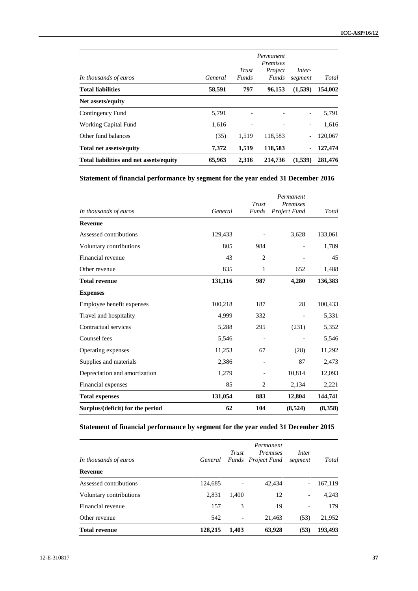| In thousands of euros                   | General | Trust<br><b>Funds</b> | Permanent<br><i>Premises</i><br>Project<br>Funds | Inter-<br>segment        | Total   |
|-----------------------------------------|---------|-----------------------|--------------------------------------------------|--------------------------|---------|
| <b>Total liabilities</b>                | 58,591  | 797                   | 96,153                                           | (1,539)                  | 154,002 |
| Net assets/equity                       |         |                       |                                                  |                          |         |
| Contingency Fund                        | 5,791   |                       |                                                  | $\overline{\phantom{a}}$ | 5,791   |
| <b>Working Capital Fund</b>             | 1.616   |                       |                                                  | $\overline{\phantom{a}}$ | 1,616   |
| Other fund balances                     | (35)    | 1.519                 | 118,583                                          | $\overline{\phantom{a}}$ | 120,067 |
| <b>Total net assets/equity</b>          | 7,372   | 1,519                 | 118,583                                          | ٠                        | 127,474 |
| Total liabilities and net assets/equity | 65,963  | 2,316                 | 214,736                                          | (1,539)                  | 281,476 |

## **Statement of financial performance by segment for the year ended 31 December 2016**

| In thousands of euros            | General | Trust<br><b>Funds</b> | Permanent<br><b>Premises</b><br>Project Fund | Total   |
|----------------------------------|---------|-----------------------|----------------------------------------------|---------|
| <b>Revenue</b>                   |         |                       |                                              |         |
| Assessed contributions           | 129,433 |                       | 3,628                                        | 133,061 |
| Voluntary contributions          | 805     | 984                   |                                              | 1,789   |
| Financial revenue                | 43      | $\overline{2}$        |                                              | 45      |
| Other revenue                    | 835     | 1                     | 652                                          | 1,488   |
| <b>Total revenue</b>             | 131,116 | 987                   | 4,280                                        | 136,383 |
| <b>Expenses</b>                  |         |                       |                                              |         |
| Employee benefit expenses        | 100,218 | 187                   | 28                                           | 100,433 |
| Travel and hospitality           | 4,999   | 332                   |                                              | 5,331   |
| Contractual services             | 5,288   | 295                   | (231)                                        | 5,352   |
| Counsel fees                     | 5,546   |                       |                                              | 5,546   |
| Operating expenses               | 11,253  | 67                    | (28)                                         | 11,292  |
| Supplies and materials           | 2,386   |                       | 87                                           | 2,473   |
| Depreciation and amortization    | 1,279   |                       | 10,814                                       | 12,093  |
| Financial expenses               | 85      | $\overline{c}$        | 2,134                                        | 2,221   |
| <b>Total expenses</b>            | 131,054 | 883                   | 12,804                                       | 144,741 |
| Surplus/(deficit) for the period | 62      | 104                   | (8,524)                                      | (8,358) |

## **Statement of financial performance by segment for the year ended 31 December 2015**

| In thousands of euros   | General | Trust                    | Permanent<br><i>Premises</i><br>Funds Project Fund | Inter<br>segment             | Total   |
|-------------------------|---------|--------------------------|----------------------------------------------------|------------------------------|---------|
| Revenue                 |         |                          |                                                    |                              |         |
| Assessed contributions  | 124,685 | $\overline{\phantom{a}}$ | 42,434                                             | $\overline{\phantom{0}}$     | 167,119 |
| Voluntary contributions | 2,831   | 1,400                    | 12                                                 | $\overline{\phantom{0}}$     | 4,243   |
| Financial revenue       | 157     | 3                        | 19                                                 | $\qquad \qquad \blacksquare$ | 179     |
| Other revenue           | 542     | $\overline{\phantom{a}}$ | 21,463                                             | (53)                         | 21,952  |
| <b>Total revenue</b>    | 128,215 | 1,403                    | 63,928                                             | (53)                         | 193,493 |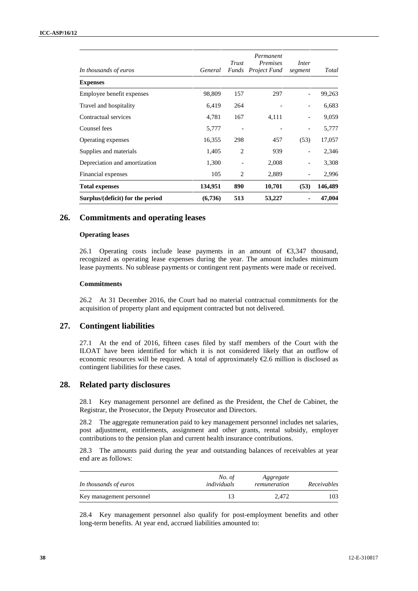| In thousands of euros            | General | Trust<br><b>Funds</b>    | Permanent<br><i>Premises</i><br>Project Fund | Inter<br>segment         | Total   |
|----------------------------------|---------|--------------------------|----------------------------------------------|--------------------------|---------|
| <b>Expenses</b>                  |         |                          |                                              |                          |         |
| Employee benefit expenses        | 98,809  | 157                      | 297                                          | $\overline{\phantom{a}}$ | 99,263  |
| Travel and hospitality           | 6,419   | 264                      |                                              |                          | 6,683   |
| Contractual services             | 4,781   | 167                      | 4,111                                        | $\qquad \qquad -$        | 9,059   |
| Counsel fees                     | 5,777   |                          |                                              |                          | 5,777   |
| Operating expenses               | 16,355  | 298                      | 457                                          | (53)                     | 17,057  |
| Supplies and materials           | 1,405   | 2                        | 939                                          | $\overline{\phantom{a}}$ | 2,346   |
| Depreciation and amortization    | 1,300   | $\overline{\phantom{a}}$ | 2,008                                        | $\overline{\phantom{a}}$ | 3,308   |
| Financial expenses               | 105     | 2                        | 2,889                                        |                          | 2,996   |
| <b>Total expenses</b>            | 134,951 | 890                      | 10,701                                       | (53)                     | 146,489 |
| Surplus/(deficit) for the period | (6,736) | 513                      | 53,227                                       |                          | 47,004  |

## **26. Commitments and operating leases**

### **Operating leases**

26.1 Operating costs include lease payments in an amount of €3,347 thousand, recognized as operating lease expenses during the year. The amount includes minimum lease payments. No sublease payments or contingent rent payments were made or received.

### **Commitments**

26.2 At 31 December 2016, the Court had no material contractual commitments for the acquisition of property plant and equipment contracted but not delivered.

## **27. Contingent liabilities**

27.1 At the end of 2016, fifteen cases filed by staff members of the Court with the ILOAT have been identified for which it is not considered likely that an outflow of economic resources will be required. A total of approximately €2.6 million is disclosed as contingent liabilities for these cases.

## **28. Related party disclosures**

28.1 Key management personnel are defined as the President, the Chef de Cabinet, the Registrar, the Prosecutor, the Deputy Prosecutor and Directors.

28.2 The aggregate remuneration paid to key management personnel includes net salaries, post adjustment, entitlements, assignment and other grants, rental subsidy, employer contributions to the pension plan and current health insurance contributions.

28.3 The amounts paid during the year and outstanding balances of receivables at year end are as follows:

| In thousands of euros    | No. of<br>individuals | Aggregate<br>remuneration | Receivables |
|--------------------------|-----------------------|---------------------------|-------------|
| Key management personnel |                       | 2.472                     | 103         |

28.4 Key management personnel also qualify for post-employment benefits and other long-term benefits. At year end, accrued liabilities amounted to: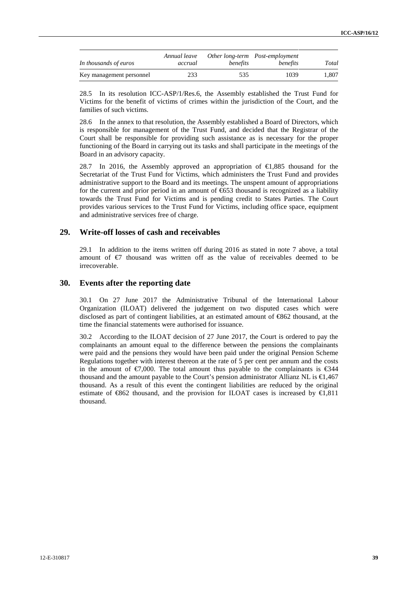| In thousands of euros    | Annual leave<br>accrual | benefits | Other long-term Post-employment<br>benefits | Total |
|--------------------------|-------------------------|----------|---------------------------------------------|-------|
| Key management personnel | 233                     | 535      | 1039                                        | 1.807 |

28.5 In its resolution ICC-ASP/1/Res.6, the Assembly established the Trust Fund for Victims for the benefit of victims of crimes within the jurisdiction of the Court, and the families of such victims.

28.6 In the annex to that resolution, the Assembly established a Board of Directors, which is responsible for management of the Trust Fund, and decided that the Registrar of the Court shall be responsible for providing such assistance as is necessary for the proper functioning of the Board in carrying out its tasks and shall participate in the meetings of the Board in an advisory capacity.

28.7 In 2016, the Assembly approved an appropriation of €1,885 thousand for the Secretariat of the Trust Fund for Victims, which administers the Trust Fund and provides administrative support to the Board and its meetings. The unspent amount of appropriations for the current and prior period in an amount of  $653$  thousand is recognized as a liability towards the Trust Fund for Victims and is pending credit to States Parties. The Court provides various services to the Trust Fund for Victims, including office space, equipment and administrative services free of charge.

## **29. Write-off losses of cash and receivables**

29.1 In addition to the items written off during 2016 as stated in note 7 above, a total amount of €7 thousand was written off as the value of receivables deemed to be irrecoverable.

## **30. Events after the reporting date**

30.1 On 27 June 2017 the Administrative Tribunal of the International Labour Organization (ILOAT) delivered the judgement on two disputed cases which were disclosed as part of contingent liabilities, at an estimated amount of €862 thousand, at the time the financial statements were authorised for issuance.

30.2 According to the ILOAT decision of 27 June 2017, the Court is ordered to pay the complainants an amount equal to the difference between the pensions the complainants were paid and the pensions they would have been paid under the original Pension Scheme Regulations together with interest thereon at the rate of 5 per cent per annum and the costs in the amount of  $\epsilon$ 7,000. The total amount thus payable to the complainants is  $\epsilon$ 344 thousand and the amount payable to the Court's pension administrator Allianz NL is  $\epsilon$ ,467 thousand. As a result of this event the contingent liabilities are reduced by the original estimate of  $\text{\textsterling}62$  thousand, and the provision for ILOAT cases is increased by  $\text{\textsterling}1,811$ thousand.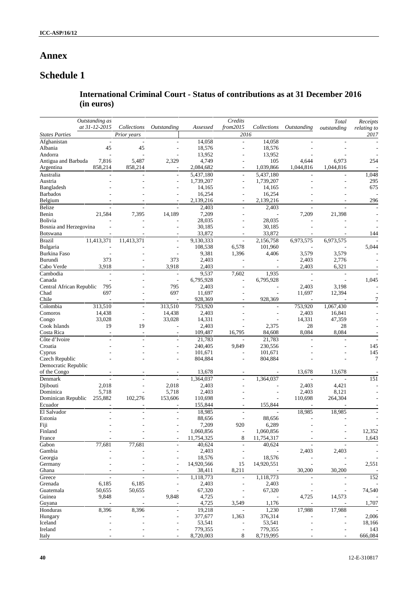# **Annex**

# **Schedule 1**

## **International Criminal Court - Status of contributions as at 31 December 2016 (in euros)**

|                                 | Outstanding as<br>Credits     |                          |            | Total          | Receipts    |                          |                          |             |
|---------------------------------|-------------------------------|--------------------------|------------|----------------|-------------|--------------------------|--------------------------|-------------|
| at 31-12-2015                   | Collections                   | Outstanding              | Assessed   | from2015       | Collections | Outstanding              | outstanding              | relating to |
| <b>States Parties</b>           | Prior years                   |                          |            | 2016           |             |                          |                          | 2017        |
| Afghanistan                     | ÷,                            | $\overline{a}$           | 14,058     | ÷,             | 14,058      |                          |                          |             |
| Albania<br>45                   | 45                            | $\overline{a}$           | 18,576     | ÷,             | 18,576      |                          |                          |             |
| Andorra                         |                               |                          | 13,952     |                | 13,952      |                          |                          |             |
| Antigua and Barbuda<br>7,816    | 5,487                         | 2,329                    | 4,749      |                | 105         | 4,644                    | 6,973                    | 254         |
| 858,214<br>Argentina            | 858,214                       |                          | 2,084,682  |                | 1,039,866   | 1,044,816                | 1,044,816                |             |
| Australia                       |                               | $\overline{\phantom{a}}$ | 5,437,180  | $\overline{a}$ | 5,437,180   |                          |                          | 1,048       |
| Austria                         |                               | $\overline{a}$           | 1,739,207  | $\overline{a}$ | 1,739,207   |                          |                          | 295         |
| Bangladesh                      |                               |                          | 14,165     |                | 14,165      |                          |                          | 675         |
| <b>Barbados</b>                 |                               |                          | 16,254     |                | 16,254      |                          |                          |             |
| Belgium                         |                               |                          | 2,139,216  |                | 2,139,216   |                          |                          | 296         |
| <b>Belize</b>                   |                               |                          | 2,403      | ÷,             | 2,403       |                          |                          |             |
| Benin<br>21,584                 | 7,395                         | 14,189                   | 7,209      |                |             | 7,209                    | 21,398                   |             |
| Bolivia                         |                               |                          | 28,035     |                | 28,035      |                          |                          |             |
| Bosnia and Herzegovina          |                               |                          | 30,185     |                | 30,185      |                          |                          |             |
| <b>Botswana</b>                 |                               |                          | 33,872     | ٠              | 33,872      |                          |                          | 144         |
| 11,413,371<br><b>Brazil</b>     | 11,413,371                    | $\overline{a}$           | 9,130,333  | $\overline{a}$ | 2,156,758   | 6,973,575                | 6,973,575                |             |
| Bulgaria                        |                               | $\overline{a}$           | 108,538    | 6,578          | 101,960     |                          |                          | 5,044       |
| Burkina Faso                    |                               |                          | 9,381      | 1,396          | 4,406       | 3,579                    | 3,579                    |             |
| 373<br>Burundi                  |                               | 373                      | 2,403      |                |             | 2,403                    | 2,776                    |             |
| 3,918<br>Cabo Verde             |                               | 3,918                    | 2,403      |                |             | 2,403                    | 6,321                    |             |
| Cambodia                        | $\overline{\phantom{a}}$<br>÷ | $\overline{\phantom{a}}$ | 9,537      | 7,602          | 1,935       | $\overline{\phantom{a}}$ | $\overline{\phantom{a}}$ |             |
| Canada                          |                               | $\overline{a}$           | 6,795,928  | ÷,             | 6,795,928   | ÷                        |                          | 1,045       |
| 795<br>Central African Republic |                               | 795                      | 2,403      |                |             | 2,403                    | 3,198                    |             |
| 697<br>Chad                     |                               | 697                      | 11,697     |                |             | 11,697                   | 12,394                   |             |
| Chile                           |                               |                          | 928,369    |                | 928,369     |                          |                          |             |
| Colombia<br>313,510             | ä,                            | 313,510                  | 753,920    | ÷,             |             | 753,920                  | 1,067,430                |             |
| 14,438<br>Comoros               | L,                            | 14,438                   | 2,403      |                |             | 2,403                    | 16,841                   |             |
| 33,028<br>Congo                 | $\overline{\phantom{a}}$      | 33,028                   | 14,331     |                | ٠           | 14,331                   | 47,359                   |             |
| Cook Islands<br>19              | 19                            |                          | 2,403      |                | 2,375       | 28                       | 28                       |             |
| Costa Rica                      | $\sim$<br>$\sim$              | $\overline{\phantom{a}}$ | 109,487    | 16,795         | 84,608      | 8,084                    | 8,084                    |             |
| Côte d'Ivoire                   |                               |                          | 21,783     |                | 21,783      |                          |                          |             |
| Croatia                         |                               |                          | 240,405    | 9,849          | 230,556     |                          |                          | 145         |
| Cyprus                          |                               |                          | 101,671    |                | 101,671     |                          |                          | 145         |
| Czech Republic                  |                               |                          | 804,884    |                | 804,884     |                          |                          | 7           |
| Democratic Republic             |                               |                          |            |                |             |                          |                          |             |
| of the Congo                    |                               |                          | 13,678     |                |             | 13,678                   | 13,678                   |             |
| Denmark                         | $\overline{a}$<br>÷,          | $\overline{a}$           | 1,364,037  | $\frac{1}{2}$  | 1,364,037   | $\sim$                   | $\overline{\phantom{a}}$ | 151         |
| 2,018<br>Djibouti               |                               | 2,018                    | 2,403      |                |             | 2,403                    | 4,421                    |             |
| 5,718<br>Dominica               |                               | 5,718                    | 2,403      |                |             | 2,403                    | 8,121                    |             |
| Dominican Republic<br>255,882   | 102,276                       | 153,606                  | 110,698    |                |             | 110,698                  | 264,304                  |             |
| Ecuador                         |                               |                          | 155,844    |                | 155,844     |                          |                          |             |
| El Salvador                     |                               |                          | 18,985     | $\overline{a}$ |             | 18,985                   | 18,985                   |             |
| Estonia                         |                               |                          | 88,656     |                | 88,656      |                          |                          |             |
| Fiji                            |                               |                          | 7,209      | 920            | 6,289       |                          |                          |             |
| Finland                         |                               |                          | 1,060,856  |                | 1,060,856   |                          |                          | 12,352      |
| France                          |                               | $\overline{\phantom{0}}$ | 11,754,325 | 8              | 11,754,317  |                          |                          | 1,643       |
| 77,681<br>Gabon                 | 77,681                        |                          | 40,624     | $\frac{1}{2}$  | 40,624      |                          |                          |             |
| Gambia                          |                               |                          | 2,403      |                |             | 2,403                    | 2,403                    |             |
| Georgia                         |                               |                          | 18,576     | $\overline{a}$ | 18,576      |                          |                          |             |
| Germany                         |                               |                          | 14,920,566 | 15             | 14,920,551  |                          |                          | 2,551       |
| Ghana                           |                               |                          | 38,411     | 8,211          |             | 30,200                   | 30,200                   |             |
| Greece                          |                               |                          | 1,118,773  | ÷,             | 1,118,773   |                          |                          | 152         |
| Grenada<br>6,185                | 6,185                         |                          | 2,403      |                | 2,403       |                          |                          |             |
| 50,655<br>Guatemala             | 50,655                        |                          | 67,320     |                | 67,320      |                          |                          | 74,540      |
| Guinea<br>9,848                 |                               | 9,848                    | 4,725      |                |             | 4,725                    | 14,573                   |             |
| Guyana                          |                               |                          | 4,725      | 3,549          | 1,176       |                          |                          | 1,707       |
| 8,396<br>Honduras               | 8,396                         |                          | 19,218     |                | 1,230       | 17,988                   | 17,988                   |             |
| Hungary                         |                               |                          | 377,677    | 1,363          | 376,314     |                          |                          | 2,006       |
| Iceland                         |                               |                          | 53,541     |                | 53,541      |                          |                          | 18,166      |
| Ireland                         |                               |                          | 779,355    | $\overline{a}$ | 779,355     |                          |                          | 143         |
| Italy                           |                               |                          | 8,720,003  | 8              | 8,719,995   |                          |                          | 666,084     |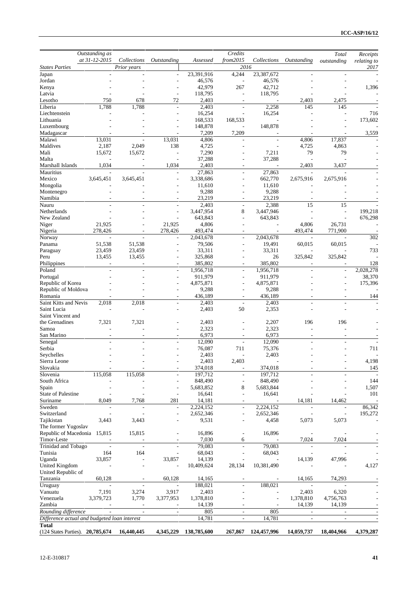|                                              | Outstanding as           |                            |                          |                  | Credits                       |                |                           | Total                    | Receipts                 |
|----------------------------------------------|--------------------------|----------------------------|--------------------------|------------------|-------------------------------|----------------|---------------------------|--------------------------|--------------------------|
| <b>States Parties</b>                        | at 31-12-2015            | Collections<br>Prior years | Outstanding              | Assessed         | from 2015<br>2016             | Collections    | <i><b>Outstanding</b></i> | outstanding              | relating to<br>2017      |
| Japan                                        |                          | L,                         | $\overline{\phantom{a}}$ | 23,391,916       | 4,244                         | 23,387,672     | $\overline{a}$            |                          |                          |
| Jordan                                       |                          |                            |                          | 46,576           |                               | 46,576         |                           |                          |                          |
| Kenya                                        |                          |                            |                          | 42,979           | 267                           | 42,712         |                           |                          | 1,396                    |
| Latvia                                       |                          |                            |                          | 118,795          | L,                            | 118,795        |                           |                          |                          |
| Lesotho                                      | 750                      | 678                        | 72                       | 2,403            | $\overline{\phantom{a}}$      |                | 2,403                     | 2,475                    |                          |
| Liberia                                      | 1,788                    | 1,788                      |                          | 2,403            | ÷,                            | 2,258          | 145                       | 145                      |                          |
| Liechtenstein                                |                          |                            |                          | 16,254           |                               | 16,254         |                           |                          | 716                      |
| Lithuania                                    |                          |                            |                          | 168,533          | 168,533                       |                |                           |                          | 173,602                  |
| Luxembourg<br>Madagascar                     |                          |                            |                          | 148,878<br>7,209 | 7,209                         | 148,878        |                           |                          | 3,559                    |
| Malawi                                       | 13,031                   |                            | 13,031                   | 4,806            |                               |                | 4,806                     | 17,837                   |                          |
| Maldives                                     | 2,187                    | 2,049                      | 138                      | 4,725            |                               |                | 4,725                     | 4,863                    |                          |
| Mali                                         | 15,672                   | 15,672                     |                          | 7,290            |                               | 7,211          | 79                        | 79                       |                          |
| Malta                                        |                          |                            |                          | 37,288           |                               | 37,288         |                           |                          |                          |
| Marshall Islands                             | 1,034                    |                            | 1,034                    | 2,403            |                               |                | 2,403                     | 3,437                    |                          |
| Mauritius                                    |                          |                            | $\overline{a}$           | 27,863           | $\overline{a}$                | 27,863         |                           |                          |                          |
| Mexico                                       | 3,645,451                | 3,645,451                  |                          | 3,338,686        |                               | 662,770        | 2,675,916                 | 2,675,916                |                          |
| Mongolia                                     |                          |                            |                          | 11,610           |                               | 11,610         |                           |                          |                          |
| Montenegro                                   |                          |                            |                          | 9,288            |                               | 9,288          |                           |                          |                          |
| Namibia                                      |                          |                            |                          | 23,219           |                               | 23,219         |                           |                          |                          |
| Nauru                                        |                          |                            | $\overline{a}$           | 2,403            | $\overline{a}$                | 2,388          | 15                        | 15                       |                          |
| Netherlands                                  |                          |                            |                          | 3,447,954        | $\,$ 8 $\,$                   | 3,447,946      |                           |                          | 199,218                  |
| New Zealand                                  |                          |                            |                          | 643,843          | L,                            | 643,843        |                           |                          | 676,298                  |
| Niger                                        | 21,925<br>278,426        |                            | 21,925<br>278,426        | 4,806<br>493,474 | ۰                             |                | 4,806<br>493,474          | 26,731<br>771,900        |                          |
| Nigeria<br>Norway                            |                          | $\overline{\phantom{a}}$   |                          | 2,043,678        | $\overline{a}$                | 2,043,678      |                           | ÷                        | 302                      |
| Panama                                       | 51,538                   | 51,538                     |                          | 79,506           |                               | 19,491         | 60,015                    | 60,015                   |                          |
| Paraguay                                     | 23,459                   | 23,459                     |                          | 33,311           |                               | 33,311         |                           |                          | 733                      |
| Peru                                         | 13,455                   | 13,455                     |                          | 325,868          |                               | 26             | 325,842                   | 325,842                  |                          |
| Philippines                                  |                          |                            |                          | 385,802          |                               | 385,802        |                           |                          | 128                      |
| Poland                                       |                          |                            | $\overline{a}$           | 1,956,718        | ÷,                            | 1,956,718      |                           |                          | 2,028,278                |
| Portugal                                     |                          |                            |                          | 911,979          | L,                            | 911,979        |                           |                          | 38,370                   |
| Republic of Korea                            |                          |                            |                          | 4,875,871        |                               | 4,875,871      |                           |                          | 175,396                  |
| Republic of Moldova                          |                          |                            |                          | 9,288            | ۰                             | 9,288          |                           |                          |                          |
| Romania                                      |                          |                            |                          | 436,189          | ۰                             | 436,189        |                           |                          | 144                      |
| Saint Kitts and Nevis                        | 2,018                    | 2,018                      | L,                       | 2,403            | $\overline{\phantom{a}}$      | 2,403          |                           |                          |                          |
| Saint Lucia                                  |                          |                            |                          | 2,403            | 50                            | 2,353          |                           |                          |                          |
| Saint Vincent and                            |                          |                            |                          |                  |                               |                |                           |                          |                          |
| the Grenadines<br>Samoa                      | 7,321                    | 7,321                      |                          | 2,403<br>2,323   |                               | 2,207<br>2,323 | 196                       | 196                      |                          |
| San Marino                                   |                          |                            |                          | 6,973            |                               | 6,973          |                           |                          |                          |
| Senegal                                      |                          |                            |                          | 12,090           | $\overline{a}$                | 12,090         |                           |                          |                          |
| Serbia                                       |                          |                            |                          | 76,087           | 711                           | 75,376         |                           |                          | 711                      |
| Seychelles                                   |                          |                            |                          | 2,403            | ä,                            | 2,403          |                           |                          |                          |
| Sierra Leone                                 |                          |                            |                          | 2,403            | 2,403                         |                |                           |                          | 4,198                    |
| Slovakia                                     |                          |                            |                          | 374,018          | $\overline{\phantom{0}}$      | 374,018        |                           |                          | 145                      |
| Slovenia                                     | 115,058                  | 115,058                    |                          | 197,712          | $\overline{a}$                | 197,712        |                           |                          |                          |
| South Africa                                 |                          |                            |                          | 848,490          | $\overline{a}$                | 848,490        |                           |                          | 144                      |
| Spain                                        |                          |                            |                          | 5,683,852        | $\,$ 8 $\,$                   | 5,683,844      |                           |                          | 1,507                    |
| <b>State of Palestine</b>                    |                          |                            | $\overline{\phantom{a}}$ | 16,641           | $\overline{a}$                | 16,641         |                           |                          | 101                      |
| Suriname                                     | 8,049                    | 7,768                      | 281                      | 14,181           |                               |                | 14,181                    | 14,462                   | $\overline{\phantom{a}}$ |
| Sweden                                       | $\overline{\phantom{a}}$ | L,                         | $\overline{\phantom{a}}$ | 2,224,152        | $\overline{\phantom{a}}$      | 2,224,152      |                           | $\overline{\phantom{a}}$ | 86,342                   |
| Switzerland                                  |                          |                            | L,                       | 2,652,346        | ÷,                            | 2,652,346      |                           |                          | 195,272                  |
| Tajikistan                                   | 3,443                    | 3,443                      |                          | 9,531            | ä,                            | 4,458          | 5,073                     | 5,073                    |                          |
| The former Yugoslav<br>Republic of Macedonia | 15,815                   | 15,815                     | $\overline{\phantom{a}}$ | 16,896           |                               | 16,896         |                           |                          |                          |
| Timor-Leste                                  |                          |                            |                          | 7,030            | $\overline{\phantom{a}}$<br>6 |                | 7,024                     | 7,024                    |                          |
| Trinidad and Tobago                          |                          | $\overline{\phantom{a}}$   | $\sim$                   | 79,083           | $\overline{\phantom{a}}$      | 79,083         |                           |                          |                          |
| Tunisia                                      | 164                      | 164                        |                          | 68,043           | $\overline{\phantom{a}}$      | 68,043         |                           |                          |                          |
| Uganda                                       | 33,857                   | $\blacksquare$             | 33,857                   | 14,139           |                               |                | 14,139                    | 47,996                   |                          |
| United Kingdom                               |                          | L,                         |                          | 10,409,624       | 28,134                        | 10,381,490     |                           |                          | 4,127                    |
| United Republic of                           |                          |                            |                          |                  |                               |                |                           |                          |                          |
| Tanzania                                     | 60,128                   |                            | 60,128                   | 14,165           |                               |                | 14,165                    | 74,293                   |                          |
| Uruguay                                      |                          |                            |                          | 188,021          |                               | 188,021        |                           |                          |                          |
| Vanuatu                                      | 7,191                    | 3,274                      | 3,917                    | 2,403            |                               |                | 2,403                     | 6,320                    |                          |
| Venezuela                                    | 3,379,723                | 1,770                      | 3,377,953                | 1,378,810        |                               |                | 1,378,810                 | 4,756,763                |                          |
| Zambia                                       |                          |                            | $\overline{\phantom{a}}$ | 14,139           |                               |                | 14,139                    | 14,139                   |                          |
| Rounding difference                          |                          | $\overline{\phantom{a}}$   | $\overline{\phantom{a}}$ | 805              | $\overline{\phantom{a}}$      | 805            | $\overline{\phantom{a}}$  |                          |                          |
| Difference actual and budgeted loan interest |                          |                            |                          | 14,781           | $\overline{a}$                | 14,781         | $\overline{\phantom{a}}$  | $\overline{a}$           |                          |
| <b>Total</b>                                 |                          |                            |                          |                  |                               |                |                           |                          |                          |
| (124 States Parties). 20,785,674             |                          | 16,440,445                 | 4,345,229                | 138,785,600      | 267,867                       | 124,457,996    | 14,059,737                | 18,404,966               | 4,379,287                |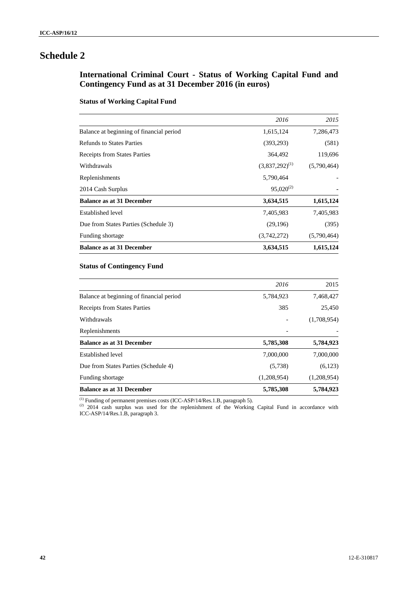## **International Criminal Court - Status of Working Capital Fund and Contingency Fund as at 31 December 2016 (in euros)**

## **Status of Working Capital Fund**

|                                          | 2016                | 2015        |
|------------------------------------------|---------------------|-------------|
| Balance at beginning of financial period | 1,615,124           | 7,286,473   |
| <b>Refunds to States Parties</b>         | (393, 293)          | (581)       |
| <b>Receipts from States Parties</b>      | 364,492             | 119,696     |
| Withdrawals                              | $(3,837,292)^{(1)}$ | (5,790,464) |
| Replenishments                           | 5,790,464           |             |
| 2014 Cash Surplus                        | $95,020^{(2)}$      |             |
| <b>Balance as at 31 December</b>         | 3,634,515           | 1,615,124   |
| Established level                        | 7,405,983           | 7,405,983   |
| Due from States Parties (Schedule 3)     | (29,196)            | (395)       |
| Funding shortage                         | (3,742,272)         | (5,790,464) |
| <b>Balance as at 31 December</b>         | 3,634,515           | 1,615,124   |

## **Status of Contingency Fund**

|                                          | 2016        | 2015        |
|------------------------------------------|-------------|-------------|
| Balance at beginning of financial period | 5,784,923   | 7,468,427   |
| <b>Receipts from States Parties</b>      | 385         | 25,450      |
| Withdrawals                              |             | (1,708,954) |
| Replenishments                           |             |             |
| <b>Balance as at 31 December</b>         | 5,785,308   | 5,784,923   |
| Established level                        | 7,000,000   | 7,000,000   |
| Due from States Parties (Schedule 4)     | (5,738)     | (6,123)     |
| Funding shortage                         | (1,208,954) | (1,208,954) |
| <b>Balance as at 31 December</b>         | 5,785,308   | 5,784,923   |

 $(1)$  Funding of permanent premises costs (ICC-ASP/14/Res.1.B, paragraph 5).

 $(2)$  2014 cash surplus was used for the replenishment of the Working Capital Fund in accordance with ICC-ASP/14/Res.1.B, paragraph 3.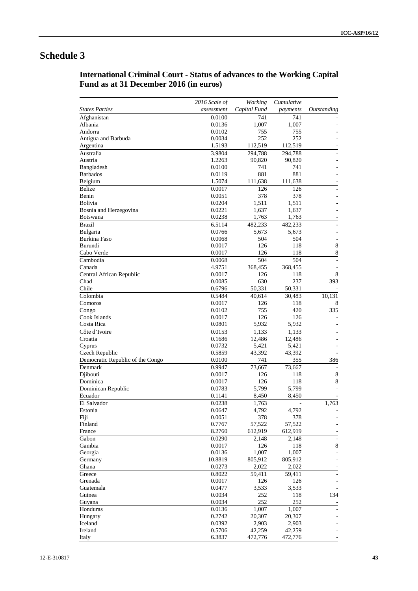# **International Criminal Court - Status of advances to the Working Capital Fund as at 31 December 2016 (in euros)**

|                                  | 2016 Scale of | Working      | Cumulative |             |
|----------------------------------|---------------|--------------|------------|-------------|
| <b>States Parties</b>            | assessment    | Capital Fund | payments   | Outstanding |
| Afghanistan                      | 0.0100        | 741          | 741        |             |
| Albania                          | 0.0136        | 1,007        | 1,007      |             |
| Andorra                          | 0.0102        | 755          | 755        |             |
| Antigua and Barbuda              | 0.0034        | 252          | 252        |             |
| Argentina                        | 1.5193        | 112,519      | 112,519    |             |
| Australia                        | 3.9804        | 294,788      | 294,788    |             |
| Austria                          | 1.2263        | 90,820       | 90,820     |             |
| Bangladesh                       | 0.0100        | 741          | 741        |             |
| <b>Barbados</b>                  | 0.0119        | 881          | 881        |             |
| Belgium                          | 1.5074        | 111,638      | 111,638    |             |
| <b>Belize</b>                    | 0.0017        | 126          | 126        |             |
| Benin                            | 0.0051        | 378          | 378        |             |
| <b>Bolivia</b>                   | 0.0204        | 1,511        | 1,511      |             |
| Bosnia and Herzegovina           | 0.0221        | 1,637        | 1,637      |             |
| <b>Botswana</b>                  | 0.0238        | 1,763        | 1,763      |             |
| <b>Brazil</b>                    | 6.5114        | 482,233      | 482,233    |             |
| Bulgaria                         | 0.0766        | 5,673        | 5,673      |             |
| Burkina Faso                     | 0.0068        | 504          | 504        |             |
| Burundi                          | 0.0017        | 126          | 118        | 8           |
| Cabo Verde                       | 0.0017        | 126          | 118        | 8           |
| Cambodia                         | 0.0068        | 504          | 504        |             |
| Canada                           | 4.9751        | 368,455      | 368,455    |             |
| Central African Republic         | 0.0017        | 126          | 118        | 8           |
| Chad                             | 0.0085        | 630          | 237        | 393         |
| Chile                            | 0.6796        | 50,331       | 50,331     |             |
| Colombia                         | 0.5484        | 40,614       | 30,483     | 10,131      |
| Comoros                          | 0.0017        | 126          | 118        | 8           |
| Congo                            | 0.0102        | 755          | 420        | 335         |
| Cook Islands                     | 0.0017        | 126          | 126        |             |
| Costa Rica                       | 0.0801        | 5,932        | 5,932      |             |
| Côte d'Ivoire                    | 0.0153        | 1,133        | 1,133      |             |
| Croatia                          | 0.1686        | 12,486       | 12,486     |             |
| Cyprus                           | 0.0732        | 5,421        | 5,421      |             |
| Czech Republic                   | 0.5859        | 43,392       | 43,392     |             |
| Democratic Republic of the Congo | 0.0100        | 741          | 355        | 386         |
| Denmark                          | 0.9947        | 73,667       | 73,667     |             |
| Djibouti                         | 0.0017        | 126          | 118        | 8           |
| Dominica                         | 0.0017        | 126          | 118        | 8           |
| Dominican Republic               | 0.0783        | 5,799        | 5,799      |             |
| Ecuador                          | 0.1141        | 8,450        | 8,450      |             |
| El Salvador                      | 0.0238        | 1,763        |            | 1,763       |
| Estonia                          | 0.0647        | 4,792        | 4,792      |             |
| Fiji                             | 0.0051        | 378          | 378        |             |
| Finland                          | 0.7767        | 57,522       | 57,522     |             |
| France                           | 8.2760        | 612,919      | 612,919    |             |
| Gabon                            | 0.0290        | 2,148        | 2,148      |             |
| Gambia                           | 0.0017        | 126          | 118        | 8           |
| Georgia                          | 0.0136        | 1,007        | 1,007      |             |
| Germany                          | 10.8819       | 805,912      | 805,912    |             |
| Ghana                            | 0.0273        | 2,022        | 2,022      |             |
| Greece                           | 0.8022        | 59,411       | 59,411     |             |
| Grenada                          | 0.0017        | 126          | 126        |             |
| Guatemala                        | 0.0477        | 3,533        | 3,533      |             |
| Guinea                           | 0.0034        | 252          | 118        | 134         |
| Guyana                           | 0.0034        | 252          | 252        |             |
| Honduras                         | 0.0136        | 1,007        | 1,007      |             |
| Hungary                          | 0.2742        | 20,307       | 20,307     |             |
| Iceland                          | 0.0392        | 2,903        | 2,903      |             |
| Ireland                          | 0.5706        | 42,259       | 42,259     |             |
| Italy                            | 6.3837        | 472,776      | 472,776    |             |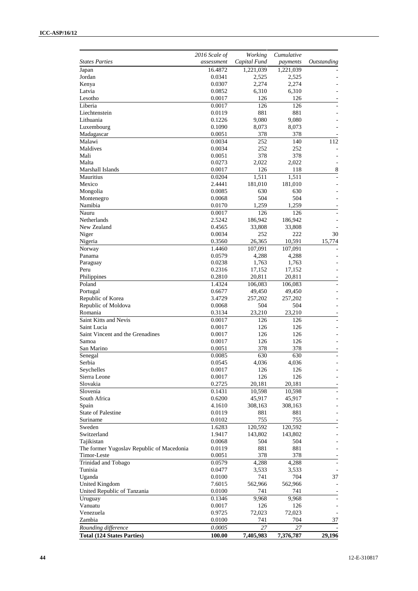|                                           | 2016 Scale of | Working      | Cumulative |             |
|-------------------------------------------|---------------|--------------|------------|-------------|
| <b>States Parties</b>                     | assessment    | Capital Fund | payments   | Outstanding |
| Japan                                     | 16.4872       | 1,221,039    | 1,221,039  |             |
| Jordan                                    | 0.0341        | 2,525        | 2,525      |             |
| Kenya                                     | 0.0307        | 2,274        | 2,274      |             |
| Latvia                                    | 0.0852        | 6,310        | 6,310      |             |
| Lesotho                                   | 0.0017        | 126          | 126        |             |
| Liberia                                   | 0.0017        | 126          | 126        |             |
| Liechtenstein                             | 0.0119        | 881          | 881        |             |
| Lithuania                                 | 0.1226        | 9,080        | 9,080      |             |
| Luxembourg                                | 0.1090        | 8,073        | 8,073      |             |
| Madagascar                                | 0.0051        | 378          | 378        |             |
| Malawi                                    | 0.0034        | 252          | 140        | 112         |
| Maldives                                  | 0.0034        | 252          | 252        |             |
| Mali                                      | 0.0051        | 378          | 378        |             |
| Malta                                     | 0.0273        | 2,022        | 2,022      |             |
| Marshall Islands                          | 0.0017        | 126          | 118        | 8           |
| Mauritius                                 | 0.0204        | 1,511        | 1,511      |             |
| Mexico                                    | 2.4441        | 181,010      | 181,010    |             |
| Mongolia                                  | 0.0085        | 630          | 630        |             |
| Montenegro                                | 0.0068        | 504          | 504        |             |
| Namibia                                   | 0.0170        | 1,259        | 1,259      |             |
| Nauru                                     | 0.0017        | 126          | 126        |             |
| Netherlands                               | 2.5242        | 186,942      | 186,942    |             |
| New Zealand                               | 0.4565        | 33,808       | 33,808     |             |
| Niger                                     | 0.0034        | 252          | 222        | 30          |
| Nigeria                                   | 0.3560        | 26,365       | 10,591     | 15,774      |
| Norway                                    | 1.4460        | 107,091      | 107,091    |             |
| Panama                                    | 0.0579        | 4,288        | 4,288      |             |
| Paraguay                                  | 0.0238        | 1,763        | 1,763      |             |
| Peru                                      | 0.2316        | 17,152       | 17,152     |             |
| Philippines                               | 0.2810        | 20,811       | 20,811     |             |
| Poland                                    | 1.4324        | 106,083      | 106,083    |             |
| Portugal                                  | 0.6677        | 49,450       | 49,450     |             |
| Republic of Korea                         | 3.4729        | 257,202      | 257,202    |             |
| Republic of Moldova                       | 0.0068        | 504          | 504        |             |
| Romania                                   | 0.3134        | 23,210       | 23,210     |             |
| Saint Kitts and Nevis                     | 0.0017        | 126          | 126        |             |
| Saint Lucia                               | 0.0017        | 126          | 126        |             |
| Saint Vincent and the Grenadines          | 0.0017        | 126          | 126        |             |
| Samoa                                     | 0.0017        | 126          | 126        |             |
| San Marino                                | 0.0051        | 378          | 378        |             |
| Senegal                                   | 0.0085        | 630          | 630        |             |
| Serbia                                    | 0.0545        | 4,036        | 4,036      |             |
| Seychelles                                | 0.0017        | 126          | 126        |             |
| Sierra Leone                              | 0.0017        | 126          | 126        |             |
| Slovakia                                  | 0.2725        | 20,181       | 20,181     |             |
| Slovenia                                  | 0.1431        | 10,598       | 10,598     |             |
| South Africa                              | 0.6200        | 45,917       | 45,917     |             |
| Spain                                     | 4.1610        | 308,163      | 308,163    |             |
| State of Palestine                        | 0.0119        | 881          | 881        |             |
| Suriname                                  | 0.0102        | 755          | 755        |             |
| Sweden                                    | 1.6283        | 120,592      | 120,592    |             |
| Switzerland                               | 1.9417        | 143,802      | 143,802    |             |
| Tajikistan                                | 0.0068        | 504          | 504        |             |
| The former Yugoslav Republic of Macedonia | 0.0119        | 881          | 881        |             |
| Timor-Leste                               | 0.0051        | 378          | 378        |             |
| Trinidad and Tobago                       | 0.0579        | 4,288        | 4,288      |             |
| Tunisia                                   | 0.0477        | 3,533        | 3,533      |             |
| Uganda                                    | 0.0100        | 741          | 704        | 37          |
| <b>United Kingdom</b>                     | 7.6015        | 562,966      | 562,966    |             |
| United Republic of Tanzania               | 0.0100        | 741          | 741        |             |
| Uruguay                                   | 0.1346        | 9,968        | 9,968      |             |
| Vanuatu                                   | 0.0017        | 126          | 126        |             |
| Venezuela                                 | 0.9725        | 72,023       | 72,023     |             |
|                                           |               |              | 704        | 37          |
| Zambia                                    | 0.0100        | 741          |            |             |
| Rounding difference                       | 0.0005        | 27           | 27         |             |
| <b>Total (124 States Parties)</b>         | 100.00        | 7,405,983    | 7,376,787  | 29,196      |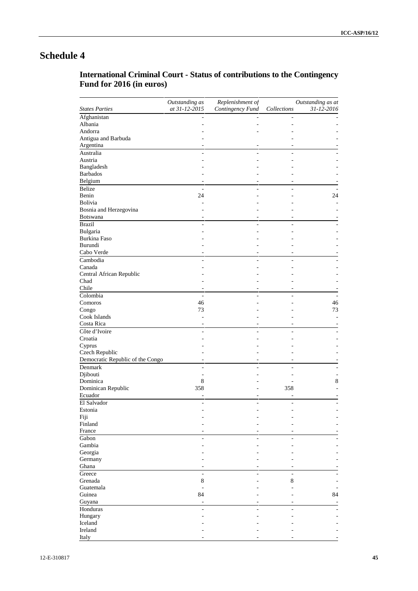## **International Criminal Court - Status of contributions to the Contingency Fund for 2016 (in euros)**

|                                  | Outstanding as | Replenishment of |                | Outstanding as at |
|----------------------------------|----------------|------------------|----------------|-------------------|
| <b>States Parties</b>            | at 31-12-2015  | Contingency Fund | Collections    | 31-12-2016        |
| Afghanistan                      |                |                  |                |                   |
| Albania                          |                |                  |                |                   |
| Andorra                          |                |                  |                |                   |
| Antigua and Barbuda              |                |                  |                |                   |
| Argentina                        |                |                  |                |                   |
| Australia                        | L.             |                  | ä,             |                   |
| Austria                          |                |                  |                |                   |
| Bangladesh                       |                |                  |                |                   |
| <b>Barbados</b>                  |                |                  |                |                   |
| Belgium                          |                |                  |                |                   |
| <b>Belize</b>                    | L.             |                  |                |                   |
| Benin                            | 24             |                  |                | 24                |
| <b>Bolivia</b>                   |                |                  |                |                   |
| Bosnia and Herzegovina           |                |                  |                |                   |
| Botswana                         |                |                  |                |                   |
| <b>Brazil</b>                    | ÷,             |                  |                |                   |
| Bulgaria                         |                |                  |                |                   |
| <b>Burkina Faso</b>              |                |                  |                |                   |
| Burundi                          |                |                  |                |                   |
| Cabo Verde                       |                |                  |                |                   |
|                                  |                |                  |                |                   |
| Cambodia                         |                |                  |                |                   |
| Canada                           |                |                  |                |                   |
| Central African Republic         |                |                  |                |                   |
| Chad                             |                |                  |                |                   |
| Chile                            |                |                  |                |                   |
| Colombia                         | ÷,             |                  |                |                   |
| Comoros                          | 46             |                  |                | 46                |
| Congo                            | 73             |                  |                | 73                |
| Cook Islands                     |                |                  |                |                   |
| Costa Rica                       |                |                  |                |                   |
| Côte d'Ivoire                    |                |                  |                |                   |
| Croatia                          |                |                  |                |                   |
| Cyprus                           |                |                  |                |                   |
| Czech Republic                   |                |                  |                |                   |
| Democratic Republic of the Congo | ÷,             |                  |                |                   |
| Denmark                          |                |                  |                |                   |
| Djibouti                         | ٠              |                  |                |                   |
| Dominica                         | 8              |                  |                | 8                 |
| Dominican Republic               | 358            |                  | 358            |                   |
| Ecuador                          |                |                  |                |                   |
| El Salvador                      |                |                  | $\overline{a}$ |                   |
| Estonia                          |                |                  |                |                   |
| Fiji                             |                |                  |                |                   |
| Finland                          |                |                  |                |                   |
| France                           |                |                  |                |                   |
| Gabon                            |                |                  |                |                   |
| Gambia                           |                |                  |                |                   |
|                                  |                |                  |                |                   |
| Georgia                          |                |                  |                |                   |
| Germany                          |                |                  |                |                   |
| Ghana                            |                |                  |                |                   |
| Greece                           | L.             |                  | ä,             |                   |
| Grenada                          | 8              |                  | 8              |                   |
| Guatemala                        |                |                  |                |                   |
| Guinea                           | 84             |                  |                | 84                |
| Guyana                           | ÷              |                  |                |                   |
| Honduras                         |                |                  |                |                   |
| Hungary                          |                |                  |                |                   |
| Iceland                          |                |                  |                |                   |
| Ireland                          |                |                  |                |                   |
| Italy                            |                |                  |                |                   |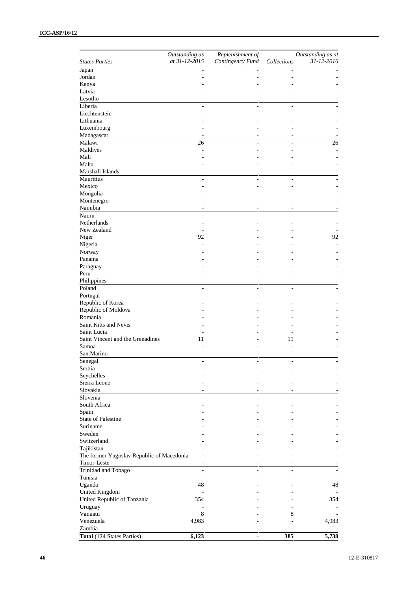|                                           | Outstanding as           | Replenishment of |                | Outstanding as at |
|-------------------------------------------|--------------------------|------------------|----------------|-------------------|
| <b>States Parties</b>                     | at 31-12-2015            | Contingency Fund | Collections    | 31-12-2016        |
| Japan                                     |                          |                  |                |                   |
| Jordan                                    |                          |                  |                |                   |
| Kenya                                     |                          |                  |                |                   |
| Latvia                                    |                          |                  |                |                   |
| Lesotho                                   |                          |                  |                |                   |
| Liberia                                   |                          |                  |                |                   |
| Liechtenstein                             |                          |                  |                |                   |
| Lithuania                                 |                          |                  |                |                   |
| Luxembourg                                |                          |                  |                |                   |
| Madagascar                                |                          |                  |                |                   |
| Malawi                                    | 26                       |                  | $\overline{a}$ | 26                |
| Maldives                                  |                          |                  |                |                   |
| Mali                                      |                          |                  |                |                   |
| Malta                                     |                          |                  |                |                   |
| Marshall Islands                          |                          |                  |                |                   |
| Mauritius                                 |                          |                  |                |                   |
| Mexico                                    |                          |                  |                |                   |
| Mongolia                                  |                          |                  |                |                   |
| Montenegro                                |                          |                  |                |                   |
| Namibia                                   |                          |                  |                |                   |
| Nauru                                     |                          |                  |                |                   |
| <b>Netherlands</b>                        |                          |                  |                |                   |
| New Zealand                               |                          |                  |                |                   |
| Niger                                     | 92                       |                  |                | 92                |
| Nigeria                                   |                          |                  |                |                   |
| Norway                                    |                          |                  |                |                   |
| Panama                                    |                          |                  |                |                   |
| Paraguay                                  |                          |                  |                |                   |
| Peru                                      |                          |                  |                |                   |
| Philippines                               | ٠                        |                  | ٠              |                   |
| Poland                                    |                          |                  |                |                   |
| Portugal                                  |                          |                  |                |                   |
| Republic of Korea                         |                          |                  |                |                   |
| Republic of Moldova                       |                          |                  |                |                   |
| Romania                                   |                          |                  |                |                   |
| Saint Kitts and Nevis                     |                          |                  |                |                   |
| Saint Lucia                               | ÷,                       |                  |                |                   |
|                                           | $\overline{a}$           |                  |                |                   |
| Saint Vincent and the Grenadines          | 11                       |                  | 11             |                   |
| Samoa                                     |                          |                  |                |                   |
| San Marino                                |                          |                  |                |                   |
| Senegal                                   |                          |                  |                |                   |
| Serbia                                    |                          |                  |                |                   |
| Seychelles                                |                          |                  |                |                   |
| Sierra Leone                              |                          |                  |                |                   |
| Slovakia                                  |                          |                  |                |                   |
| Slovenia                                  |                          |                  |                |                   |
| South Africa                              |                          |                  |                |                   |
| Spain                                     |                          |                  |                |                   |
| State of Palestine                        |                          |                  |                |                   |
| Suriname                                  |                          |                  |                |                   |
| Sweden                                    |                          |                  |                |                   |
| Switzerland                               |                          |                  |                |                   |
| Tajikistan                                |                          |                  |                |                   |
| The former Yugoslav Republic of Macedonia |                          |                  |                |                   |
| Timor-Leste                               | ٠                        |                  |                |                   |
| Trinidad and Tobago                       | $\overline{\phantom{a}}$ |                  | $\equiv$       |                   |
| Tunisia                                   | $\overline{\phantom{m}}$ |                  |                |                   |
| Uganda                                    | 48                       |                  |                | 48                |
| <b>United Kingdom</b>                     | ÷,                       |                  |                |                   |
| United Republic of Tanzania               | 354                      |                  |                | 354               |
|                                           | ÷,                       |                  | $\sim$         |                   |
| Uruguay                                   |                          |                  |                |                   |
| Vanuatu                                   | $\,8\,$                  |                  | 8              |                   |
| Venezuela                                 | 4,983                    |                  |                | 4,983             |
| Zambia                                    |                          |                  |                |                   |
| Total (124 States Parties)                | 6,123                    | $\blacksquare$   | 385            | 5,738             |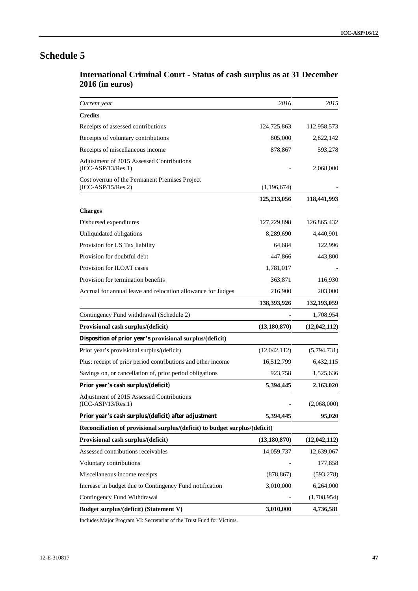| <b>International Criminal Court - Status of cash surplus as at 31 December</b> |  |
|--------------------------------------------------------------------------------|--|
| <b>2016 (in euros)</b>                                                         |  |

| Current year                                                                | 2016           | 2015           |
|-----------------------------------------------------------------------------|----------------|----------------|
| <b>Credits</b>                                                              |                |                |
| Receipts of assessed contributions                                          | 124,725,863    | 112,958,573    |
| Receipts of voluntary contributions                                         | 805,000        | 2,822,142      |
| Receipts of miscellaneous income                                            | 878,867        | 593,278        |
| Adjustment of 2015 Assessed Contributions<br>$(ICC-ASP/13/Res.1)$           |                | 2,068,000      |
| Cost overrun of the Permanent Premises Project<br>$(ICC-ASP/15/Res.2)$      | (1,196,674)    |                |
|                                                                             | 125,213,056    | 118,441,993    |
| <b>Charges</b>                                                              |                |                |
| Disbursed expenditures                                                      | 127,229,898    | 126,865,432    |
| Unliquidated obligations                                                    | 8,289,690      | 4,440,901      |
| Provision for US Tax liability                                              | 64,684         | 122,996        |
| Provision for doubtful debt                                                 | 447,866        | 443,800        |
| Provision for ILOAT cases                                                   | 1,781,017      |                |
| Provision for termination benefits                                          | 363,871        | 116,930        |
| Accrual for annual leave and relocation allowance for Judges                | 216,900        | 203,000        |
|                                                                             | 138,393,926    | 132,193,059    |
| Contingency Fund withdrawal (Schedule 2)                                    |                | 1,708,954      |
| Provisional cash surplus/(deficit)                                          | (13, 180, 870) | (12,042,112)   |
| Disposition of prior year's provisional surplus/(deficit)                   |                |                |
| Prior year's provisional surplus/(deficit)                                  | (12,042,112)   | (5,794,731)    |
| Plus: receipt of prior period contributions and other income                | 16,512,799     | 6,432,115      |
| Savings on, or cancellation of, prior period obligations                    | 923,758        | 1,525,636      |
| Prior year's cash surplus/(deficit)                                         | 5,394,445      | 2,163,020      |
| Adjustment of 2015 Assessed Contributions<br>$(ICC-ASP/13/Res.1)$           |                | (2,068,000)    |
| Prior year's cash surplus/(deficit) after adjustment                        | 5,394,445      | 95,020         |
| Reconciliation of provisional surplus/(deficit) to budget surplus/(deficit) |                |                |
| Provisional cash surplus/(deficit)                                          | (13, 180, 870) | (12, 042, 112) |
| Assessed contributions receivables                                          | 14,059,737     | 12,639,067     |
| Voluntary contributions                                                     |                | 177,858        |
| Miscellaneous income receipts                                               | (878, 867)     | (593, 278)     |
| Increase in budget due to Contingency Fund notification                     | 3,010,000      | 6,264,000      |
| Contingency Fund Withdrawal                                                 |                | (1,708,954)    |
| Budget surplus/(deficit) (Statement V)                                      | 3,010,000      | 4,736,581      |

Includes Major Program VI: Secretariat of the Trust Fund for Victims.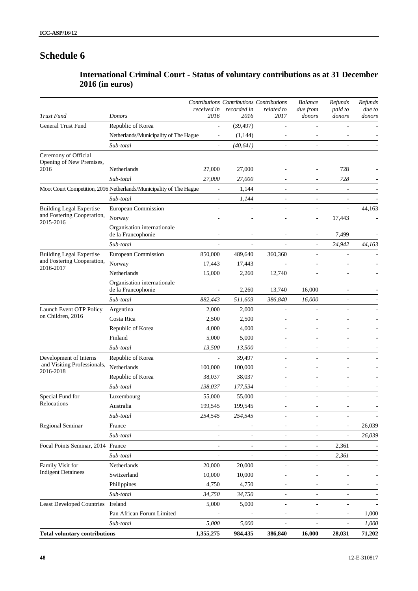# **International Criminal Court - Status of voluntary contributions as at 31 December 2016 (in euros)**

|                                                                    |                                                                    | received in              | Contributions Contributions Contributions<br>recorded in | related to               | <b>Balance</b><br>due from | Refunds<br>paid to       | Refunds<br>due to |
|--------------------------------------------------------------------|--------------------------------------------------------------------|--------------------------|----------------------------------------------------------|--------------------------|----------------------------|--------------------------|-------------------|
| Trust Fund                                                         | Donors                                                             | 2016                     | 2016                                                     | 2017                     | donors                     | donors                   | donors            |
| <b>General Trust Fund</b>                                          | Republic of Korea                                                  | ÷,                       | (39, 497)                                                |                          |                            |                          |                   |
|                                                                    | Netherlands/Municipality of The Hague                              | $\overline{\phantom{a}}$ | (1,144)                                                  | $\overline{a}$           |                            |                          |                   |
|                                                                    | Sub-total                                                          |                          | (40, 641)                                                | ÷,                       |                            |                          |                   |
| Ceremony of Official<br>Opening of New Premises,<br>2016           | Netherlands                                                        | 27,000                   | 27,000                                                   |                          | $\overline{a}$             | 728                      |                   |
|                                                                    | Sub-total                                                          | 27,000                   | 27,000                                                   |                          |                            | 728                      |                   |
|                                                                    | Moot Court Competition, 2016 Netherlands/Municipality of The Hague | ÷,                       | 1,144                                                    |                          | ł,                         | ÷,                       |                   |
|                                                                    | Sub-total                                                          | $\overline{\phantom{a}}$ | 1,144                                                    | $\overline{\phantom{a}}$ | ÷,                         | $\bar{\phantom{a}}$      |                   |
| <b>Building Legal Expertise</b>                                    | European Commission                                                | ä,                       |                                                          |                          | ٠                          | $\bar{\phantom{a}}$      | 44,163            |
| and Fostering Cooperation,                                         | Norway                                                             |                          |                                                          |                          |                            | 17,443                   |                   |
| 2015-2016                                                          | Organisation internationale<br>de la Francophonie                  |                          |                                                          |                          | ÷,                         | 7,499                    |                   |
|                                                                    | Sub-total                                                          |                          |                                                          |                          | $\overline{\phantom{a}}$   | 24,942                   | 44,163            |
| <b>Building Legal Expertise</b>                                    | European Commission                                                | 850,000                  | 489,640                                                  | 360,360                  |                            |                          |                   |
| and Fostering Cooperation,                                         | Norway                                                             | 17,443                   | 17,443                                                   |                          |                            |                          |                   |
| 2016-2017                                                          | Netherlands                                                        | 15,000                   | 2,260                                                    | 12,740                   |                            |                          |                   |
|                                                                    | Organisation internationale<br>de la Francophonie                  |                          | 2,260                                                    | 13,740                   | 16,000                     |                          |                   |
|                                                                    | Sub-total                                                          | 882,443                  | 511,603                                                  | 386,840                  | 16,000                     |                          |                   |
| Launch Event OTP Policy<br>on Children, 2016                       | Argentina                                                          | 2,000                    | 2,000                                                    | $\overline{a}$           |                            |                          |                   |
|                                                                    | Costa Rica                                                         | 2,500                    | 2,500                                                    |                          |                            |                          |                   |
|                                                                    | Republic of Korea                                                  | 4,000                    | 4,000                                                    |                          |                            |                          |                   |
|                                                                    | Finland                                                            | 5,000                    | 5,000                                                    |                          |                            |                          |                   |
|                                                                    | Sub-total                                                          | 13,500                   | 13,500                                                   | ÷,                       | $\overline{\phantom{a}}$   |                          |                   |
|                                                                    | Republic of Korea                                                  | L.                       | 39,497                                                   |                          |                            |                          |                   |
| Development of Interns<br>and Visiting Professionals,<br>2016-2018 | Netherlands                                                        | 100,000                  | 100,000                                                  |                          |                            |                          |                   |
|                                                                    | Republic of Korea                                                  | 38,037                   | 38,037                                                   |                          |                            |                          |                   |
|                                                                    | Sub-total                                                          | 138,037                  | 177,534                                                  | ä,                       | ä,                         |                          |                   |
| Special Fund for                                                   | Luxembourg                                                         | 55,000                   | 55,000                                                   | ÷,                       | ÷,                         |                          |                   |
| Relocations                                                        | Australia                                                          | 199,545                  | 199,545                                                  |                          |                            |                          |                   |
|                                                                    | Sub-total                                                          | 254,545                  | 254,545                                                  | ÷,                       | ä,                         | $\sim$                   |                   |
| Regional Seminar                                                   | France                                                             | $\overline{\phantom{0}}$ | $\overline{\phantom{a}}$                                 | $\overline{\phantom{a}}$ | $\overline{\phantom{a}}$   | $\overline{\phantom{m}}$ | 26,039            |
|                                                                    | Sub-total                                                          | ÷,                       | $\overline{\phantom{a}}$                                 | ÷,                       |                            | $\blacksquare$           | 26,039            |
| Focal Points Seminar, 2014                                         | France                                                             | ÷,                       | $\blacksquare$                                           | ÷,                       | ÷,                         | 2,361                    |                   |
|                                                                    | Sub-total                                                          | $\overline{\phantom{a}}$ | $\overline{\phantom{a}}$                                 | $\overline{\phantom{a}}$ | $\blacksquare$             | 2,361                    |                   |
| Family Visit for                                                   | Netherlands                                                        | 20,000                   | 20,000                                                   | ÷,                       | ÷                          |                          |                   |
| <b>Indigent Detainees</b>                                          | Switzerland                                                        | 10,000                   | 10,000                                                   |                          |                            |                          |                   |
|                                                                    | Philippines                                                        | 4,750                    | 4,750                                                    |                          |                            |                          |                   |
|                                                                    | Sub-total                                                          | 34,750                   | 34,750                                                   | ÷,                       |                            |                          |                   |
| <b>Least Developed Countries</b>                                   | Ireland                                                            | 5,000                    | 5,000                                                    | ÷,                       | ÷,                         | ÷,                       |                   |
|                                                                    | Pan African Forum Limited                                          |                          |                                                          | $\overline{a}$           | $\overline{a}$             | $\overline{\phantom{a}}$ | 1,000             |
|                                                                    | Sub-total                                                          | 5,000                    | 5,000                                                    | ÷                        | $\overline{\phantom{a}}$   | ÷,                       | 1,000             |
| <b>Total voluntary contributions</b>                               |                                                                    | 1,355,275                | 984,435                                                  | 386,840                  | 16,000                     | 28,031                   | 71,202            |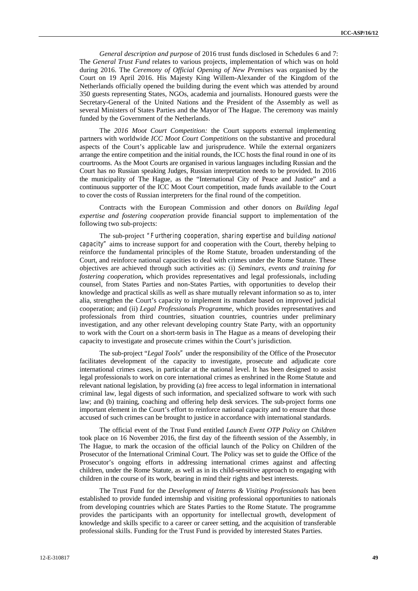*General description and purpose* of 2016 trust funds disclosed in Schedules 6 and 7: The *General Trust Fund* relates to various projects, implementation of which was on hold during 2016. The *Ceremony of Official Opening of New Premises* was organised by the Court on 19 April 2016. His Majesty King Willem-Alexander of the Kingdom of the Netherlands officially opened the building during the event which was attended by around 350 guests representing States, NGOs, academia and journalists. Honoured guests were the Secretary-General of the United Nations and the President of the Assembly as well as several Ministers of States Parties and the Mayor of The Hague. The ceremony was mainly funded by the Government of the Netherlands.

The *2016 Moot Court Competition:* the Court supports external implementing partners with worldwide *ICC Moot Court Competitions* on the substantive and procedural aspects of the Court's applicable law and jurisprudence. While the external organizers arrange the entire competition and the initial rounds, the ICC hosts the final round in one of its courtrooms. As the Moot Courts are organised in various languages including Russian and the Court has no Russian speaking Judges, Russian interpretation needs to be provided. In 2016 the municipality of The Hague, as the "International City of Peace and Justice" and a continuous supporter of the ICC Moot Court competition, made funds available to the Court to cover the costs of Russian interpreters for the final round of the competition.

Contracts with the European Commission and other donors on *Building legal expertise and fostering cooperation* provide financial support to implementation of the following two sub-projects:

The sub-project *"Furthering cooperation, sharing expertise and building national capacity"* aims to increase support for and cooperation with the Court, thereby helping to reinforce the fundamental principles of the Rome Statute, broaden understanding of the Court, and reinforce national capacities to deal with crimes under the Rome Statute. These objectives are achieved through such activities as: (i) *Seminars, events and training for fostering cooperation***,** which provides representatives and legal professionals, including counsel, from States Parties and non-States Parties, with opportunities to develop their knowledge and practical skills as well as share mutually relevant information so as to, inter alia*,* strengthen the Court's capacity to implement its mandate based on improved judicial cooperation; and (ii) *Legal Professionals Programme*, which provides representatives and professionals from third countries, situation countries, countries under preliminary investigation, and any other relevant developing country State Party, with an opportunity to work with the Court on a short-term basis in The Hague as a means of developing their capacity to investigate and prosecute crimes within the Court's jurisdiction.

The sub-project "*Legal Tools"* under the responsibility of the Office of the Prosecutor facilitates development of the capacity to investigate, prosecute and adjudicate core international crimes cases, in particular at the national level. It has been designed to assist legal professionals to work on core international crimes as enshrined in the Rome Statute and relevant national legislation, by providing (a) free access to legal information in international criminal law, legal digests of such information, and specialized software to work with such law; and (b) training, coaching and offering help desk services. The sub-project forms one important element in the Court's effort to reinforce national capacity and to ensure that those accused of such crimes can be brought to justice in accordance with international standards.

The official event of the Trust Fund entitled *Launch Event OTP Policy on Children* took place on 16 November 2016, the first day of the fifteenth session of the Assembly, in The Hague, to mark the occasion of the official launch of the Policy on Children of the Prosecutor of the International Criminal Court. The Policy was set to guide the Office of the Prosecutor's ongoing efforts in addressing international crimes against and affecting children, under the Rome Statute, as well as in its child-sensitive approach to engaging with children in the course of its work, bearing in mind their rights and best interests.

The Trust Fund for the *Development of Interns & Visiting Professionals* has been established to provide funded internship and visiting professional opportunities to nationals from developing countries which are States Parties to the Rome Statute. The programme provides the participants with an opportunity for intellectual growth, development of knowledge and skills specific to a career or career setting, and the acquisition of transferable professional skills. Funding for the Trust Fund is provided by interested States Parties.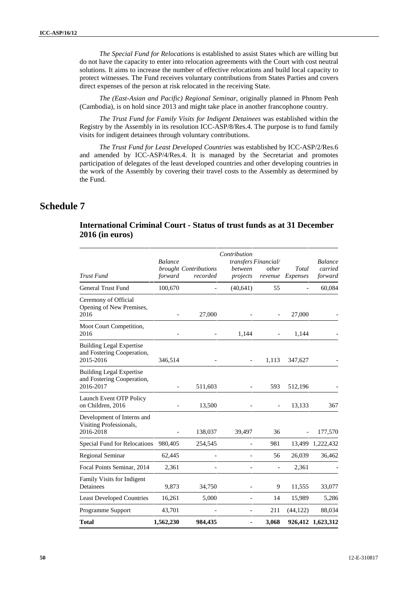*The Special Fund for Relocations* is established to assist States which are willing but do not have the capacity to enter into relocation agreements with the Court with cost neutral solutions. It aims to increase the number of effective relocations and build local capacity to protect witnesses. The Fund receives voluntary contributions from States Parties and covers direct expenses of the person at risk relocated in the receiving State.

*The (East-Asian and Pacific) Regional Seminar*, originally planned in Phnom Penh (Cambodia), is on hold since 2013 and might take place in another francophone country.

*The Trust Fund for Family Visits for Indigent Detainees* was established within the Registry by the Assembly in its resolution ICC-ASP/8/Res.4. The purpose is to fund family visits for indigent detainees through voluntary contributions.

*The Trust Fund for Least Developed Countries* was established by ICC-ASP/2/Res.6 and amended by ICC-ASP/4/Res.4. It is managed by the Secretariat and promotes participation of delegates of the least developed countries and other developing countries in the work of the Assembly by covering their travel costs to the Assembly as determined by the Fund.

# **Schedule 7**

## **International Criminal Court - Status of trust funds as at 31 December 2016 (in euros)**

|                                                                            | <b>Balance</b> |                                   | Contribution<br>transfers Financial/ |                          | <b>Balance</b>               |                    |  |
|----------------------------------------------------------------------------|----------------|-----------------------------------|--------------------------------------|--------------------------|------------------------------|--------------------|--|
| <b>Trust Fund</b>                                                          | forward        | brought Contributions<br>recorded | between<br>projects                  | other<br>revenue         | Total<br>Expenses            | carried<br>forward |  |
| <b>General Trust Fund</b>                                                  | 100,670        |                                   | (40,641)                             | 55                       |                              | 60,084             |  |
| Ceremony of Official<br>Opening of New Premises,<br>2016                   |                | 27,000                            |                                      |                          | 27,000                       |                    |  |
| Moot Court Competition,<br>2016                                            |                |                                   | 1,144                                |                          | 1,144                        |                    |  |
| <b>Building Legal Expertise</b><br>and Fostering Cooperation,<br>2015-2016 | 346,514        |                                   |                                      | 1,113                    | 347,627                      |                    |  |
| <b>Building Legal Expertise</b><br>and Fostering Cooperation,<br>2016-2017 |                | 511,603                           |                                      | 593                      | 512,196                      |                    |  |
| Launch Event OTP Policy<br>on Children, 2016                               |                | 13,500                            |                                      | $\overline{\phantom{0}}$ | 13,133                       | 367                |  |
| Development of Interns and<br>Visiting Professionals,<br>2016-2018         |                | 138,037                           | 39,497                               | 36                       | $\qquad \qquad \blacksquare$ | 177,570            |  |
| Special Fund for Relocations                                               | 980,405        | 254,545                           |                                      | 981                      | 13,499                       | 1,222,432          |  |
| Regional Seminar                                                           | 62,445         |                                   |                                      | 56                       | 26,039                       | 36,462             |  |
| Focal Points Seminar, 2014                                                 | 2,361          |                                   |                                      |                          | 2,361                        |                    |  |
| Family Visits for Indigent<br>Detainees                                    | 9,873          | 34,750                            |                                      | 9                        | 11,555                       | 33,077             |  |
| <b>Least Developed Countries</b>                                           | 16,261         | 5,000                             |                                      | 14                       | 15,989                       | 5,286              |  |
| Programme Support                                                          | 43,701         |                                   |                                      | 211                      | (44, 122)                    | 88,034             |  |
| <b>Total</b>                                                               | 1,562,230      | 984,435                           |                                      | 3,068                    |                              | 926,412 1,623,312  |  |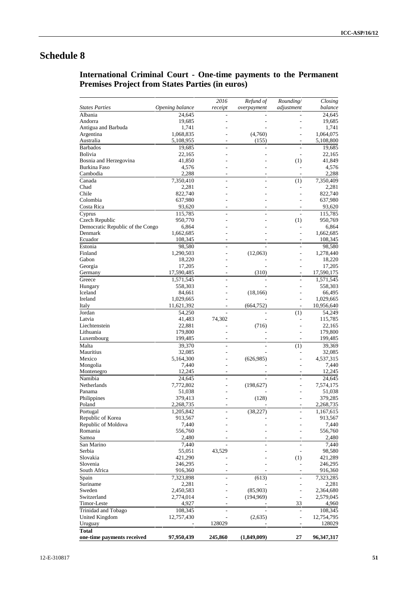# **International Criminal Court - One-time payments to the Permanent Premises Project from States Parties (in euros)**

|                                  |                  | 2016                     | Refund of   | Rounding/                | Closing            |
|----------------------------------|------------------|--------------------------|-------------|--------------------------|--------------------|
| <b>States Parties</b>            | Opening balance  | receipt                  | overpayment | adjustment               | balance            |
| Albania                          | 24,645           | ÷,                       |             |                          | 24,645             |
| Andorra                          | 19,685           |                          |             |                          | 19,685             |
| Antigua and Barbuda              | 1,741            |                          |             |                          | 1,741              |
| Argentina                        | 1,068,835        |                          | (4,760)     |                          | 1,064,075          |
| Australia                        | 5,108,955        |                          | (155)       |                          | 5,108,800          |
| <b>Barbados</b>                  | 19,685           | L,                       |             | $\overline{\phantom{a}}$ | 19,685             |
| Bolivia                          | 22,165           |                          |             | ÷                        | 22,165             |
| Bosnia and Herzegovina           | 41,850           |                          |             | (1)                      | 41,849             |
| Burkina Faso                     | 4,576            |                          |             |                          | 4,576              |
| Cambodia                         | 2,288            | ٠                        |             | $\overline{\phantom{a}}$ | 2,288              |
| Canada                           | 7,350,410        |                          |             | (1)                      | 7,350,409          |
| Chad<br>Chile                    | 2,281<br>822,740 |                          |             |                          | 2,281              |
| Colombia                         | 637,980          |                          |             |                          | 822,740<br>637,980 |
| Costa Rica                       | 93,620           |                          |             |                          | 93,620             |
|                                  | 115,785          |                          |             |                          |                    |
| Cyprus<br>Czech Republic         | 950,770          | ÷                        |             | (1)                      | 115,785<br>950,769 |
| Democratic Republic of the Congo | 6,864            |                          |             |                          | 6,864              |
| Denmark                          | 1,662,685        |                          |             |                          | 1,662,685          |
| Ecuador                          | 108,345          |                          |             |                          | 108,345            |
| Estonia                          | 98,580           |                          |             |                          | 98,580             |
| Finland                          | 1,290,503        |                          | (12,063)    |                          | 1,278,440          |
| Gabon                            | 18,220           |                          |             |                          | 18,220             |
| Georgia                          | 17,205           |                          |             |                          | 17,205             |
| Germany                          | 17,590,485       | ٠                        | (310)       |                          | 17,590,175         |
| Greece                           | 1,571,545        |                          |             | $\overline{a}$           | 1,571,545          |
| Hungary                          | 558,303          |                          |             |                          | 558,303            |
| Iceland                          | 84,661           |                          | (18, 166)   |                          | 66,495             |
| Ireland                          | 1,029,665        |                          |             | ä,                       | 1,029,665          |
| Italy                            | 11,621,392       |                          | (664, 752)  |                          | 10,956,640         |
| Jordan                           | 54,250           |                          |             | (1)                      | 54,249             |
| Latvia                           | 41,483           | 74,302                   |             |                          | 115,785            |
| Liechtenstein                    | 22,881           |                          | (716)       |                          | 22,165             |
| Lithuania                        | 179,800          |                          |             |                          | 179,800            |
| Luxembourg                       | 199,485          |                          |             |                          | 199,485            |
| Malta                            | 39,370           | $\overline{a}$           |             | (1)                      | 39,369             |
| Mauritius                        | 32,085           |                          |             |                          | 32,085             |
| Mexico                           | 5,164,300        |                          | (626, 985)  |                          | 4,537,315          |
| Mongolia                         | 7,440            |                          |             |                          | 7,440              |
| Montenegro                       | 12,245           | $\overline{\phantom{a}}$ |             | ٠                        | 12,245             |
| Namibia                          | 24,645           |                          |             |                          | 24,645             |
| Netherlands                      | 7,772,802        | ÷                        | (198, 627)  | ä,                       | 7,574,175          |
| Panama                           | 51,038           | L,                       |             | L,                       | 51,038             |
| Philippines                      | 379,413          |                          | (128)       |                          | 379,285            |
| Poland                           | 2,268,735        |                          |             |                          | 2,268,735          |
| Portugal                         | 1,205,842        |                          | (38,227)    |                          | 1,167,615          |
| Republic of Korea                | 913,567          |                          |             | ٠                        | 913,567            |
| Republic of Moldova              | 7,440            |                          |             |                          | 7,440              |
| Romania                          | 556,760          |                          |             |                          | 556,760            |
| Samoa                            | 2,480            |                          |             |                          | 2,480              |
| San Marino                       | 7,440            |                          |             | ÷                        | 7,440              |
| Serbia                           | 55,051           | 43,529                   |             | $\overline{a}$           | 98,580             |
| Slovakia                         | 421,290          |                          |             | (1)                      | 421,289            |
| Slovenia                         | 246,295          |                          |             | ÷                        | 246,295            |
| South Africa                     | 916,360          |                          |             |                          | 916,360            |
| Spain                            | 7,323,898        | $\overline{a}$           | (613)       | $\overline{a}$           | 7,323,285          |
| Suriname                         | 2,281            |                          |             | L,                       | 2,281              |
| Sweden                           | 2,450,583        |                          | (85,903)    | $\overline{a}$           | 2,364,680          |
| Switzerland                      | 2,774,014        | ÷                        | (194, 969)  | $\overline{\phantom{a}}$ | 2,579,045          |
| Timor-Leste                      | 4,927            |                          |             | 33                       | 4,960              |
| Trinidad and Tobago              | 108,345          | ÷                        |             | $\overline{a}$           | 108,345            |
| United Kingdom                   | 12,757,430       |                          | (2,635)     | ÷,                       | 12,754,795         |
| Uruguay                          |                  | 128029                   |             |                          | 128029             |
| <b>Total</b>                     |                  |                          |             |                          |                    |
| one-time payments received       | 97,950,439       | 245,860                  | (1,849,009) | 27                       | 96,347,317         |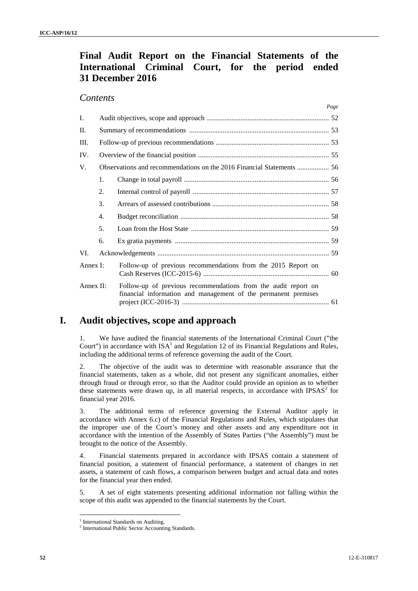# **Final Audit Report on the Financial Statements of the International Criminal Court, for the period ended 31 December 2016**

## *Contents*

|              |    | 1 ихс                                                                                                                            |
|--------------|----|----------------------------------------------------------------------------------------------------------------------------------|
| I.           |    |                                                                                                                                  |
| $\Pi$ .      |    |                                                                                                                                  |
| III.         |    |                                                                                                                                  |
| IV.          |    |                                                                                                                                  |
| V.           |    | Observations and recommendations on the 2016 Financial Statements  56                                                            |
|              | 1. |                                                                                                                                  |
|              | 2. |                                                                                                                                  |
|              | 3. |                                                                                                                                  |
|              | 4. |                                                                                                                                  |
|              | 5. |                                                                                                                                  |
|              | 6. |                                                                                                                                  |
| VI.          |    |                                                                                                                                  |
| Annex I:     |    | Follow-up of previous recommendations from the 2015 Report on                                                                    |
| Annex $II$ : |    | Follow-up of previous recommendations from the audit report on<br>financial information and management of the permanent premises |

# **I. Audit objectives, scope and approach**

1. We have audited the financial statements of the International Criminal Court ("the Court") in accordance with  $ISA<sup>1</sup>$  and Regulation 12 of its Financial Regulations and Rules, including the additional terms of reference governing the audit of the Court.

2. The objective of the audit was to determine with reasonable assurance that the financial statements, taken as a whole, did not present any significant anomalies, either through fraud or through error, so that the Auditor could provide an opinion as to whether these statements were drawn up, in all material respects, in accordance with  $IPSAS<sup>2</sup>$  for financial year 2016.

3. The additional terms of reference governing the External Auditor apply in accordance with Annex 6.c) of the Financial Regulations and Rules, which stipulates that the improper use of the Court's money and other assets and any expenditure not in accordance with the intention of the Assembly of States Parties ("the Assembly") must be brought to the notice of the Assembly.

4. Financial statements prepared in accordance with IPSAS contain a statement of financial position, a statement of financial performance, a statement of changes in net assets, a statement of cash flows, a comparison between budget and actual data and notes for the financial year then ended.

5. A set of eight statements presenting additional information not falling within the scope of this audit was appended to the financial statements by the Court.

*Page*

<sup>1</sup> International Standards on Auditing. <sup>2</sup> International Public Sector Accounting Standards*.*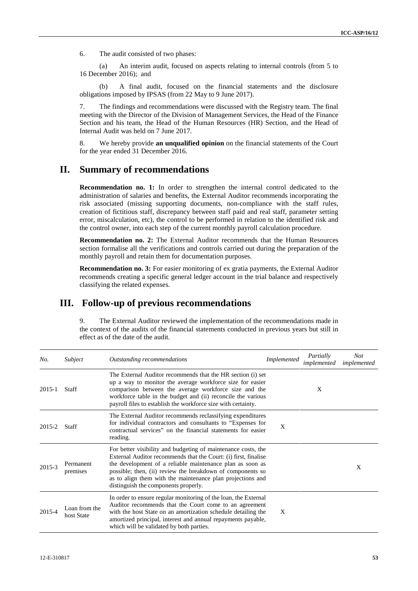6. The audit consisted of two phases:

(a) An interim audit, focused on aspects relating to internal controls (from 5 to 16 December 2016); and

(b) A final audit, focused on the financial statements and the disclosure obligations imposed by IPSAS (from 22 May to 9 June 2017).

7. The findings and recommendations were discussed with the Registry team. The final meeting with the Director of the Division of Management Services, the Head of the Finance Section and his team, the Head of the Human Resources (HR) Section, and the Head of Internal Audit was held on 7 June 2017.

8. We hereby provide **an unqualified opinion** on the financial statements of the Court for the year ended 31 December 2016.

## **II. Summary of recommendations**

**Recommendation no. 1:** In order to strengthen the internal control dedicated to the administration of salaries and benefits, the External Auditor recommends incorporating the risk associated (missing supporting documents, non-compliance with the staff rules, creation of fictitious staff, discrepancy between staff paid and real staff, parameter setting error, miscalculation, etc), the control to be performed in relation to the identified risk and the control owner, into each step of the current monthly payroll calculation procedure.

**Recommendation no. 2:** The External Auditor recommends that the Human Resources section formalise all the verifications and controls carried out during the preparation of the monthly payroll and retain them for documentation purposes.

**Recommendation no. 3:** For easier monitoring of ex gratia payments, the External Auditor recommends creating a specific general ledger account in the trial balance and respectively classifying the related expenses.

# **III. Follow-up of previous recommendations**

9. The External Auditor reviewed the implementation of the recommendations made in the context of the audits of the financial statements conducted in previous years but still in effect as of the date of the audit.

| No.    | Subject                     | Outstanding recommendations                                                                                                                                                                                                                                                                                                                                       | <i>Implemented</i> | Partially<br>implemented | <b>Not</b><br>implemented |
|--------|-----------------------------|-------------------------------------------------------------------------------------------------------------------------------------------------------------------------------------------------------------------------------------------------------------------------------------------------------------------------------------------------------------------|--------------------|--------------------------|---------------------------|
| 2015-1 | Staff                       | The External Auditor recommends that the HR section (i) set<br>up a way to monitor the average workforce size for easier<br>comparison between the average workforce size and the<br>workforce table in the budget and (ii) reconcile the various<br>payroll files to establish the workforce size with certainty.                                                |                    | X                        |                           |
| 2015-2 | <b>Staff</b>                | The External Auditor recommends reclassifying expenditures<br>for individual contractors and consultants to "Expenses for<br>contractual services" on the financial statements for easier<br>reading.                                                                                                                                                             | X                  |                          |                           |
| 2015-3 | Permanent<br>premises       | For better visibility and budgeting of maintenance costs, the<br>External Auditor recommends that the Court: (i) first, finalise<br>the development of a reliable maintenance plan as soon as<br>possible; then, (ii) review the breakdown of components so<br>as to align them with the maintenance plan projections and<br>distinguish the components properly. |                    |                          | X                         |
| 2015-4 | Loan from the<br>host State | In order to ensure regular monitoring of the loan, the External<br>Auditor recommends that the Court come to an agreement<br>with the host State on an amortization schedule detailing the<br>amortized principal, interest and annual repayments payable,<br>which will be validated by both parties.                                                            | X                  |                          |                           |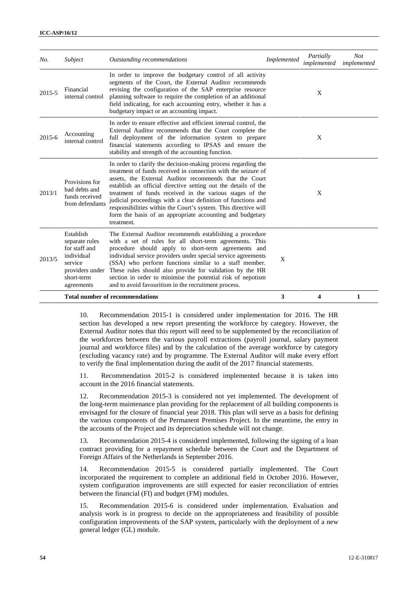| No.    | Subject                                                                                                              | Outstanding recommendations                                                                                                                                                                                                                                                                                                                                                                                                                                                                                                           | Implemented | Partially<br>implemented | <b>Not</b><br>implemented |
|--------|----------------------------------------------------------------------------------------------------------------------|---------------------------------------------------------------------------------------------------------------------------------------------------------------------------------------------------------------------------------------------------------------------------------------------------------------------------------------------------------------------------------------------------------------------------------------------------------------------------------------------------------------------------------------|-------------|--------------------------|---------------------------|
| 2015-5 | Financial<br>internal control                                                                                        | In order to improve the budgetary control of all activity<br>segments of the Court, the External Auditor recommends<br>revising the configuration of the SAP enterprise resource<br>planning software to require the completion of an additional<br>field indicating, for each accounting entry, whether it has a<br>budgetary impact or an accounting impact.                                                                                                                                                                        |             | X                        |                           |
| 2015-6 | Accounting<br>internal control                                                                                       | In order to ensure effective and efficient internal control, the<br>External Auditor recommends that the Court complete the<br>full deployment of the information system to prepare<br>financial statements according to IPSAS and ensure the<br>stability and strength of the accounting function.                                                                                                                                                                                                                                   |             | X                        |                           |
| 2013/1 | Provisions for<br>bad debts and<br>funds received<br>from defendants                                                 | In order to clarify the decision-making process regarding the<br>treatment of funds received in connection with the seizure of<br>assets, the External Auditor recommends that the Court<br>establish an official directive setting out the details of the<br>treatment of funds received in the various stages of the<br>judicial proceedings with a clear definition of functions and<br>responsibilities within the Court's system. This directive will<br>form the basis of an appropriate accounting and budgetary<br>treatment. |             | X                        |                           |
| 2013/5 | Establish<br>separate rules<br>for staff and<br>individual<br>service<br>providers under<br>short-term<br>agreements | The External Auditor recommends establishing a procedure<br>with a set of rules for all short-term agreements. This<br>procedure should apply to short-term agreements and<br>individual service providers under special service agreements<br>(SSA) who perform functions similar to a staff member.<br>These rules should also provide for validation by the HR<br>section in order to minimise the potential risk of nepotism<br>and to avoid favouritism in the recruitment process.                                              | X           |                          |                           |
|        |                                                                                                                      | <b>Total number of recommendations</b>                                                                                                                                                                                                                                                                                                                                                                                                                                                                                                | 3           | 4                        | 1                         |

10. Recommendation 2015-1 is considered under implementation for 2016. The HR section has developed a new report presenting the workforce by category. However, the External Auditor notes that this report will need to be supplemented by the reconciliation of the workforces between the various payroll extractions (payroll journal, salary payment journal and workforce files) and by the calculation of the average workforce by category (excluding vacancy rate) and by programme. The External Auditor will make every effort to verify the final implementation during the audit of the 2017 financial statements.

11. Recommendation 2015-2 is considered implemented because it is taken into account in the 2016 financial statements.

12. Recommendation 2015-3 is considered not yet implemented. The development of the long-term maintenance plan providing for the replacement of all building components is envisaged for the closure of financial year 2018. This plan will serve as a basis for defining the various components of the Permanent Premises Project. In the meantime, the entry in the accounts of the Project and its depreciation schedule will not change.

13. Recommendation 2015-4 is considered implemented, following the signing of a loan contract providing for a repayment schedule between the Court and the Department of Foreign Affairs of the Netherlands in September 2016.

14. Recommendation 2015-5 is considered partially implemented. The Court incorporated the requirement to complete an additional field in October 2016. However, system configuration improvements are still expected for easier reconciliation of entries between the financial (FI) and budget (FM) modules.

15. Recommendation 2015-6 is considered under implementation. Evaluation and analysis work is in progress to decide on the appropriateness and feasibility of possible configuration improvements of the SAP system, particularly with the deployment of a new general ledger (GL) module.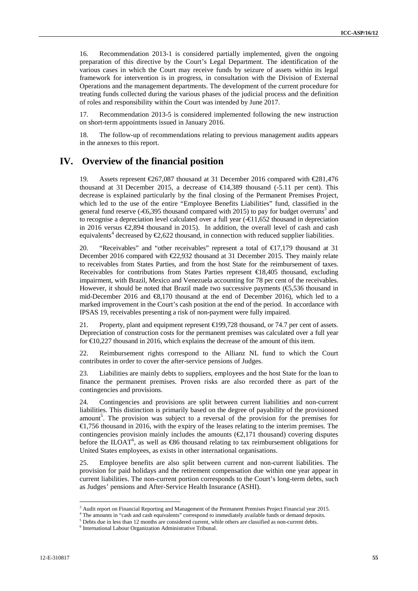16. Recommendation 2013-1 is considered partially implemented, given the ongoing preparation of this directive by the Court's Legal Department. The identification of the various cases in which the Court may receive funds by seizure of assets within its legal framework for intervention is in progress, in consultation with the Division of External Operations and the management departments. The development of the current procedure for treating funds collected during the various phases of the judicial process and the definition of roles and responsibility within the Court was intended by June 2017.

17. Recommendation 2013-5 is considered implemented following the new instruction on short-term appointments issued in January 2016.

18. The follow-up of recommendations relating to previous management audits appears in the annexes to this report.

## **IV. Overview of the financial position**

19. Assets represent €267,087 thousand at 31 December 2016 compared with €281,476 thousand at 31 December 2015, a decrease of  $\text{ } \in \text{ } 4,389$  thousand (-5.11 per cent). This decrease is explained particularly by the final closing of the Permanent Premises Project, which led to the use of the entire "Employee Benefits Liabilities" fund, classified in the general fund reserve  $(-66,395)$  thousand compared with 2015) to pay for budget overruns<sup>3</sup> and to recognise a depreciation level calculated over a full year  $(-\epsilon 11,652)$  thousand in depreciation in 2016 versus  $\mathcal{Q}$ ,894 thousand in 2015). In addition, the overall level of cash and cash equivalents<sup>4</sup> decreased by  $\epsilon$ ,622 thousand, in connection with reduced supplier liabilities.

20. "Receivables" and "other receivables" represent a total of €17,179 thousand at 31 December 2016 compared with  $\epsilon$ 2.932 thousand at 31 December 2015. They mainly relate to receivables from States Parties, and from the host State for the reimbursement of taxes. Receivables for contributions from States Parties represent  $\bigoplus 8,405$  thousand, excluding impairment, with Brazil, Mexico and Venezuela accounting for 78 per cent of the receivables. However, it should be noted that Brazil made two successive payments  $(\mathfrak{S}, 536)$  thousand in mid-December 2016 and  $\mathfrak{S}$ ,170 thousand at the end of December 2016), which led to a marked improvement in the Court's cash position at the end of the period. In accordance with IPSAS 19, receivables presenting a risk of non-payment were fully impaired.

21. Property, plant and equipment represent €199,728 thousand, or 74.7 per cent of assets. Depreciation of construction costs for the permanent premises was calculated over a full year for  $\in$  10,227 thousand in 2016, which explains the decrease of the amount of this item.

22. Reimbursement rights correspond to the Allianz NL fund to which the Court contributes in order to cover the after-service pensions of Judges.

23. Liabilities are mainly debts to suppliers, employees and the host State for the loan to finance the permanent premises. Proven risks are also recorded there as part of the contingencies and provisions.

24. Contingencies and provisions are split between current liabilities and non-current liabilities. This distinction is primarily based on the degree of payability of the provisioned amount<sup>5</sup>. The provision was subject to a reversal of the provision for the premises for €1,756 thousand in 2016, with the expiry of the leases relating to the interim premises. The contingencies provision mainly includes the amounts  $(\mathcal{Q}, 171)$  thousand) covering disputes before the ILOAT<sup>6</sup>, as well as  $\epsilon$ 86 thousand relating to tax reimbursement obligations for United States employees, as exists in other international organisations.

25. Employee benefits are also split between current and non-current liabilities. The provision for paid holidays and the retirement compensation due within one year appear in current liabilities. The non-current portion corresponds to the Court's long-term debts, such as Judges' pensions and After-Service Health Insurance (ASHI).

<sup>&</sup>lt;sup>3</sup> Audit report on Financial Reporting and Management of the Permanent Premises Project Financial year 2015.

The amounts in "cash and cash equivalents" correspond to immediately available funds or demand deposits.<br>
<sup>5</sup> Debts due in less than 12 months are considered current, while others are classified as non-current debts.<br>
<sup>6</sup>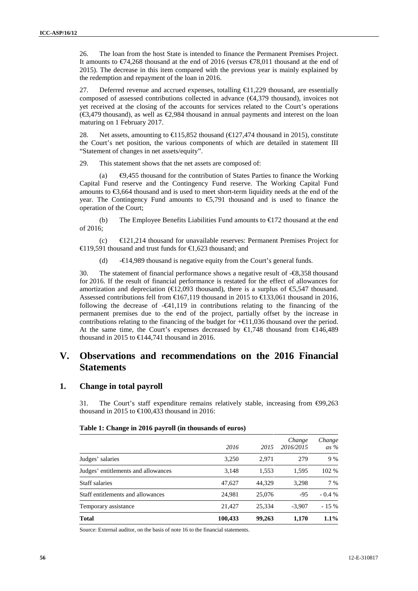26. The loan from the host State is intended to finance the Permanent Premises Project. It amounts to €74,268 thousand at the end of 2016 (versus €78,011 thousand at the end of 2015). The decrease in this item compared with the previous year is mainly explained by the redemption and repayment of the loan in 2016.

27. Deferred revenue and accrued expenses, totalling  $\bigoplus$  1,229 thousand, are essentially composed of assessed contributions collected in advance  $(\epsilon 4.379$  thousand), invoices not yet received at the closing of the accounts for services related to the Court's operations ( $\bigoplus$ ,479 thousand), as well as  $\bigoplus$ ,984 thousand in annual payments and interest on the loan maturing on 1 February 2017.

28. Net assets, amounting to  $\bigoplus$  15,852 thousand ( $\bigoplus$  27,474 thousand in 2015), constitute the Court's net position, the various components of which are detailed in statement III "Statement of changes in net assets/equity".

29. This statement shows that the net assets are composed of:

(a)  $\Theta$ ,455 thousand for the contribution of States Parties to finance the Working Capital Fund reserve and the Contingency Fund reserve. The Working Capital Fund amounts to €3,664 thousand and is used to meet short-term liquidity needs at the end of the year. The Contingency Fund amounts to €5,791 thousand and is used to finance the operation of the Court;

(b) The Employee Benefits Liabilities Fund amounts to  $\epsilon$  172 thousand at the end of 2016;

 $\epsilon$ 121,214 thousand for unavailable reserves: Permanent Premises Project for €119,591 thousand and trust funds for €1,623 thousand; and

(d) -€14,989 thousand is negative equity from the Court's general funds.

30. The statement of financial performance shows a negative result of -€8,358 thousand for 2016. If the result of financial performance is restated for the effect of allowances for amortization and depreciation ( $\in$ 12,093 thousand), there is a surplus of  $\in$ 5,547 thousand. Assessed contributions fell from  $\text{€167,119}$  thousand in 2015 to  $\text{€133,061}$  thousand in 2016, following the decrease of  $-\epsilon 41,119$  in contributions relating to the financing of the permanent premises due to the end of the project, partially offset by the increase in contributions relating to the financing of the budget for  $+\epsilon 11,036$  thousand over the period. At the same time, the Court's expenses decreased by  $\in$ 1,748 thousand from  $\in$ 146,489 thousand in 2015 to  $\bigoplus$  44.741 thousand in 2016.

## **V. Observations and recommendations on the 2016 Financial Statements**

## **1. Change in total payroll**

31. The Court's staff expenditure remains relatively stable, increasing from  $\Theta$ 9,263 thousand in 2015 to  $\bigoplus$  00,433 thousand in 2016:

#### **Table 1: Change in 2016 payroll (in thousands of euros)**

|                                     | 2016    | 2015   | Change<br>2016/2015 | Change<br>as $\%$ |
|-------------------------------------|---------|--------|---------------------|-------------------|
| Judges' salaries                    | 3,250   | 2,971  | 279                 | 9 %               |
| Judges' entitlements and allowances | 3,148   | 1,553  | 1,595               | 102 %             |
| <b>Staff salaries</b>               | 47.627  | 44.329 | 3.298               | 7 %               |
| Staff entitlements and allowances   | 24.981  | 25,076 | -95                 | $-0.4\%$          |
| Temporary assistance                | 21.427  | 25.334 | $-3.907$            | $-15%$            |
| <b>Total</b>                        | 100,433 | 99,263 | 1,170               | $1.1\%$           |

Source: External auditor, on the basis of note 16 to the financial statements.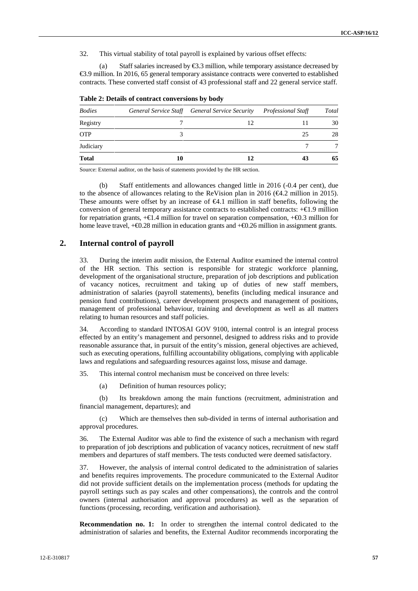32. This virtual stability of total payroll is explained by various offset effects:

(a) Staff salaries increased by  $\epsilon$ 3.3 million, while temporary assistance decreased by €3.9 million. In 2016, 65 general temporary assistance contracts were converted to established contracts. These converted staff consist of 43 professional staff and 22 general service staff.

| <b>Bodies</b> |    | General Service Staff General Service Security | Professional Staff | <b>Total</b> |
|---------------|----|------------------------------------------------|--------------------|--------------|
| Registry      |    |                                                |                    | 30           |
| <b>OTP</b>    |    |                                                | 25                 | 28           |
| Judiciary     |    |                                                |                    |              |
| <b>Total</b>  | 10 |                                                | 43                 | 65           |

**Table 2: Details of contract conversions by body**

Source: External auditor, on the basis of statements provided by the HR section.

(b) Staff entitlements and allowances changed little in 2016 (-0.4 per cent), due to the absence of allowances relating to the ReVision plan in 2016 ( $\epsilon$ 4.2 million in 2015). These amounts were offset by an increase of  $\bigoplus$ . 1 million in staff benefits, following the conversion of general temporary assistance contracts to established contracts:  $+\epsilon 1.9$  million for repatriation grants,  $+\epsilon 1.4$  million for travel on separation compensation,  $+\epsilon 0.3$  million for home leave travel,  $+$  $\Theta$ .28 million in education grants and  $+$  $\Theta$ .26 million in assignment grants.

## **2. Internal control of payroll**

33. During the interim audit mission, the External Auditor examined the internal control of the HR section. This section is responsible for strategic workforce planning, development of the organisational structure, preparation of job descriptions and publication of vacancy notices, recruitment and taking up of duties of new staff members, administration of salaries (payroll statements), benefits (including medical insurance and pension fund contributions), career development prospects and management of positions, management of professional behaviour, training and development as well as all matters relating to human resources and staff policies.

34. According to standard INTOSAI GOV 9100, internal control is an integral process effected by an entity's management and personnel, designed to address risks and to provide reasonable assurance that, in pursuit of the entity's mission, general objectives are achieved, such as executing operations, fulfilling accountability obligations, complying with applicable laws and regulations and safeguarding resources against loss, misuse and damage.

35. This internal control mechanism must be conceived on three levels:

(a) Definition of human resources policy;

(b) Its breakdown among the main functions (recruitment, administration and financial management, departures); and

(c) Which are themselves then sub-divided in terms of internal authorisation and approval procedures.

36. The External Auditor was able to find the existence of such a mechanism with regard to preparation of job descriptions and publication of vacancy notices, recruitment of new staff members and departures of staff members. The tests conducted were deemed satisfactory.

37. However, the analysis of internal control dedicated to the administration of salaries and benefits requires improvements. The procedure communicated to the External Auditor did not provide sufficient details on the implementation process (methods for updating the payroll settings such as pay scales and other compensations), the controls and the control owners (internal authorisation and approval procedures) as well as the separation of functions (processing, recording, verification and authorisation).

**Recommendation no. 1:** In order to strengthen the internal control dedicated to the administration of salaries and benefits, the External Auditor recommends incorporating the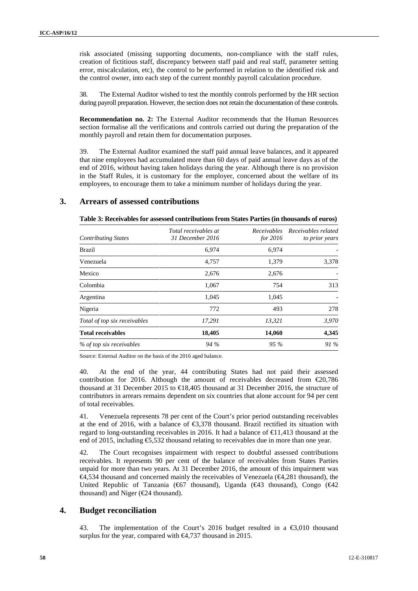risk associated (missing supporting documents, non-compliance with the staff rules, creation of fictitious staff, discrepancy between staff paid and real staff, parameter setting error, miscalculation, etc), the control to be performed in relation to the identified risk and the control owner, into each step of the current monthly payroll calculation procedure.

38. The External Auditor wished to test the monthly controls performed by the HR section during payroll preparation. However, the section does not retain the documentation of these controls.

**Recommendation no. 2:** The External Auditor recommends that the Human Resources section formalise all the verifications and controls carried out during the preparation of the monthly payroll and retain them for documentation purposes.

39. The External Auditor examined the staff paid annual leave balances, and it appeared that nine employees had accumulated more than 60 days of paid annual leave days as of the end of 2016, without having taken holidays during the year. Although there is no provision in the Staff Rules, it is customary for the employer, concerned about the welfare of its employees, to encourage them to take a minimum number of holidays during the year.

## **3. Arrears of assessed contributions**

| Table 3: Receivables for assessed contributions from States Parties (in thousands of euros) |  |
|---------------------------------------------------------------------------------------------|--|
|---------------------------------------------------------------------------------------------|--|

| <b>Contributing States</b>   | Total receivables at<br>31 December 2016 | <i>for</i> 2016 | Receivables Receivables related<br>to prior years |
|------------------------------|------------------------------------------|-----------------|---------------------------------------------------|
| Brazil                       | 6,974                                    | 6,974           |                                                   |
| Venezuela                    | 4,757                                    | 1,379           | 3,378                                             |
| Mexico                       | 2,676                                    | 2,676           |                                                   |
| Colombia                     | 1,067                                    | 754             | 313                                               |
| Argentina                    | 1,045                                    | 1,045           |                                                   |
| Nigeria                      | 772                                      | 493             | 278                                               |
| Total of top six receivables | 17,291                                   | 13,321          | 3,970                                             |
| <b>Total receivables</b>     | 18,405                                   | 14,060          | 4,345                                             |
| % of top six receivables     | 94 %                                     | $95\%$          | 91 %                                              |
|                              |                                          |                 |                                                   |

Source: External Auditor on the basis of the 2016 aged balance.

40. At the end of the year, 44 contributing States had not paid their assessed contribution for 2016. Although the amount of receivables decreased from  $\epsilon$ 20,786 thousand at 31 December 2015 to  $\bigoplus$  8,405 thousand at 31 December 2016, the structure of contributors in arrears remains dependent on six countries that alone account for 94 per cent of total receivables.

41. Venezuela represents 78 per cent of the Court's prior period outstanding receivables at the end of 2016, with a balance of  $\epsilon$ 3,378 thousand. Brazil rectified its situation with regard to long-outstanding receivables in 2016. It had a balance of  $\bigoplus$  1,413 thousand at the end of 2015, including €5,532 thousand relating to receivables due in more than one year.

42. The Court recognises impairment with respect to doubtful assessed contributions receivables. It represents 90 per cent of the balance of receivables from States Parties unpaid for more than two years. At 31 December 2016, the amount of this impairment was €4,534 thousand and concerned mainly the receivables of Venezuela (€4,281 thousand), the United Republic of Tanzania (€67 thousand), Uganda (€43 thousand), Congo (€42 thousand) and Niger ( $E$ 4 thousand).

## **4. Budget reconciliation**

43. The implementation of the Court's 2016 budget resulted in a  $\epsilon$ 3,010 thousand surplus for the year, compared with  $\epsilon 4.737$  thousand in 2015.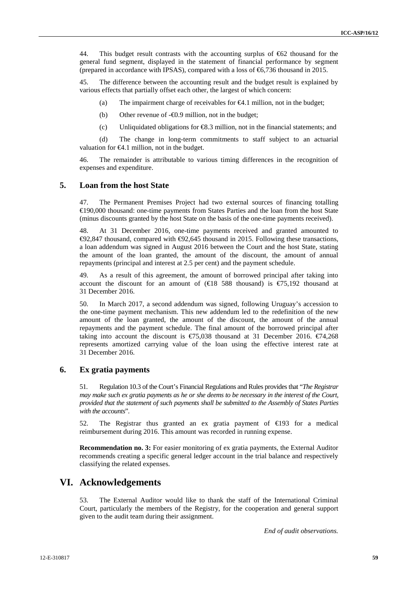44. This budget result contrasts with the accounting surplus of €62 thousand for the general fund segment, displayed in the statement of financial performance by segment (prepared in accordance with IPSAS), compared with a loss of  $\epsilon$ 6,736 thousand in 2015.

45. The difference between the accounting result and the budget result is explained by various effects that partially offset each other, the largest of which concern:

(a) The impairment charge of receivables for  $\epsilon 4.1$  million, not in the budget;

(b) Other revenue of -€0.9 million, not in the budget;

(c) Unliquidated obligations for  $\Theta$ .3 million, not in the financial statements; and

(d) The change in long-term commitments to staff subject to an actuarial valuation for  $\Theta$ .1 million, not in the budget.

46. The remainder is attributable to various timing differences in the recognition of expenses and expenditure.

## **5. Loan from the host State**

47. The Permanent Premises Project had two external sources of financing totalling €190,000 thousand: one-time payments from States Parties and the loan from the host State (minus discounts granted by the host State on the basis of the one-time payments received).

48. At 31 December 2016, one-time payments received and granted amounted to  $\Theta$ 2,847 thousand, compared with  $\Theta$ 2,645 thousand in 2015. Following these transactions, a loan addendum was signed in August 2016 between the Court and the host State, stating the amount of the loan granted, the amount of the discount, the amount of annual repayments (principal and interest at 2.5 per cent) and the payment schedule.

49. As a result of this agreement, the amount of borrowed principal after taking into account the discount for an amount of  $(\text{ } \in \text{ } 8 \text{ } 588 \text{ }$  thousand) is  $\text{ } \in \text{ } 75,192 \text{ }$  thousand at 31 December 2016.

50. In March 2017, a second addendum was signed, following Uruguay's accession to the one-time payment mechanism. This new addendum led to the redefinition of the new amount of the loan granted, the amount of the discount, the amount of the annual repayments and the payment schedule. The final amount of the borrowed principal after taking into account the discount is  $\epsilon$ 75,038 thousand at 31 December 2016.  $\epsilon$ 74,268 represents amortized carrying value of the loan using the effective interest rate at 31 December 2016.

### **6. Ex gratia payments**

51. Regulation 10.3 of the Court's Financial Regulations and Rules provides that "*The Registrar may make such ex gratia payments as he or she deems to be necessary in the interest of the Court, provided that the statement of such payments shall be submitted to the Assembly of States Parties with the accounts*".

52. The Registrar thus granted an ex gratia payment of  $\bigoplus$ 93 for a medical reimbursement during 2016. This amount was recorded in running expense.

**Recommendation no. 3:** For easier monitoring of ex gratia payments, the External Auditor recommends creating a specific general ledger account in the trial balance and respectively classifying the related expenses.

## **VI. Acknowledgements**

53. The External Auditor would like to thank the staff of the International Criminal Court, particularly the members of the Registry, for the cooperation and general support given to the audit team during their assignment.

*End of audit observations.*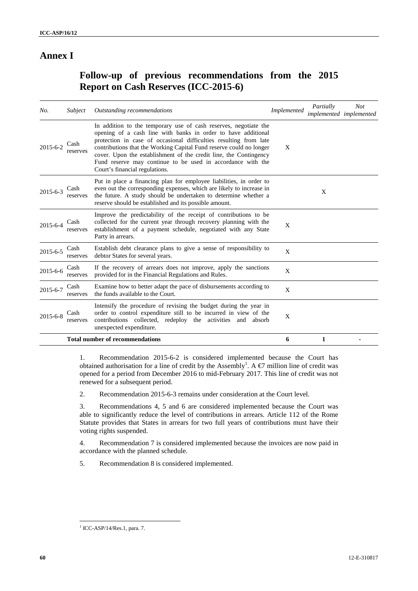# **Annex I**

# **Follow-up of previous recommendations from the 2015 Report on Cash Reserves (ICC-2015-6)**

| No.            | Subject          | Outstanding recommendations                                                                                                                                                                                                                                                                                                                                                                                                                         | Implemented  | Partially<br>implemented implemented | <b>Not</b> |
|----------------|------------------|-----------------------------------------------------------------------------------------------------------------------------------------------------------------------------------------------------------------------------------------------------------------------------------------------------------------------------------------------------------------------------------------------------------------------------------------------------|--------------|--------------------------------------|------------|
| $2015 - 6 - 2$ | Cash<br>reserves | In addition to the temporary use of cash reserves, negotiate the<br>opening of a cash line with banks in order to have additional<br>protection in case of occasional difficulties resulting from late<br>contributions that the Working Capital Fund reserve could no longer<br>cover. Upon the establishment of the credit line, the Contingency<br>Fund reserve may continue to be used in accordance with the<br>Court's financial regulations. | X            |                                      |            |
| $2015 - 6 - 3$ | Cash<br>reserves | Put in place a financing plan for employee liabilities, in order to<br>even out the corresponding expenses, which are likely to increase in<br>the future. A study should be undertaken to determine whether a<br>reserve should be established and its possible amount.                                                                                                                                                                            |              | X                                    |            |
| 2015-6-4       | Cash<br>reserves | Improve the predictability of the receipt of contributions to be<br>collected for the current year through recovery planning with the<br>establishment of a payment schedule, negotiated with any State<br>Party in arrears.                                                                                                                                                                                                                        | X            |                                      |            |
| 2015-6-5       | Cash<br>reserves | Establish debt clearance plans to give a sense of responsibility to<br>debtor States for several years.                                                                                                                                                                                                                                                                                                                                             | $\mathbf{X}$ |                                      |            |
| 2015-6-6       | Cash<br>reserves | If the recovery of arrears does not improve, apply the sanctions<br>provided for in the Financial Regulations and Rules.                                                                                                                                                                                                                                                                                                                            | X            |                                      |            |
| 2015-6-7       | Cash<br>reserves | Examine how to better adapt the pace of disbursements according to<br>the funds available to the Court.                                                                                                                                                                                                                                                                                                                                             | X            |                                      |            |
| $2015 - 6 - 8$ | Cash<br>reserves | Intensify the procedure of revising the budget during the year in<br>order to control expenditure still to be incurred in view of the<br>contributions collected, redeploy the activities<br>and<br>absorb<br>unexpected expenditure.                                                                                                                                                                                                               | X            |                                      |            |
|                |                  | <b>Total number of recommendations</b>                                                                                                                                                                                                                                                                                                                                                                                                              | 6            | 1                                    |            |

1. Recommendation 2015-6-2 is considered implemented because the Court has obtained authorisation for a line of credit by the Assembly<sup>1</sup>. A  $\epsilon$  million line of credit was opened for a period from December 2016 to mid-February 2017. This line of credit was not renewed for a subsequent period.

2. Recommendation 2015-6-3 remains under consideration at the Court level.

3. Recommendations 4, 5 and 6 are considered implemented because the Court was able to significantly reduce the level of contributions in arrears. Article 112 of the Rome Statute provides that States in arrears for two full years of contributions must have their voting rights suspended.

4. Recommendation 7 is considered implemented because the invoices are now paid in accordance with the planned schedule.

5. Recommendation 8 is considered implemented.

 $1$  ICC-ASP/14/Res.1, para. 7.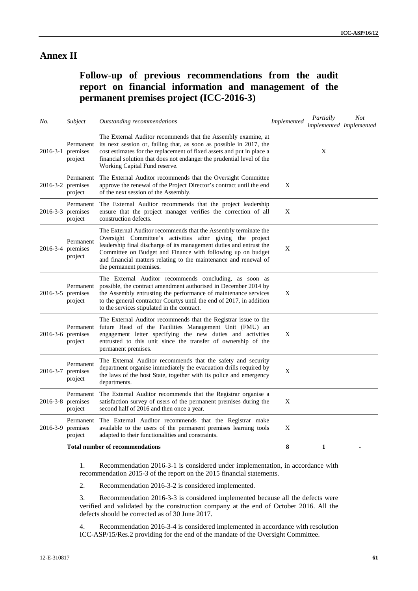# **Annex II**

# **Follow-up of previous recommendations from the audit report on financial information and management of the permanent premises project (ICC-2016-3)**

| No.      | Subject                                         | Outstanding recommendations                                                                                                                                                                                                                                                                                                                                       | Implemented | Partially<br>implemented implemented | Not |
|----------|-------------------------------------------------|-------------------------------------------------------------------------------------------------------------------------------------------------------------------------------------------------------------------------------------------------------------------------------------------------------------------------------------------------------------------|-------------|--------------------------------------|-----|
|          | Permanent<br>$2016-3-1$ premises<br>project     | The External Auditor recommends that the Assembly examine, at<br>its next session or, failing that, as soon as possible in 2017, the<br>cost estimates for the replacement of fixed assets and put in place a<br>financial solution that does not endanger the prudential level of the<br>Working Capital Fund reserve.                                           |             | X                                    |     |
|          | Permanent<br>$2016-3-2$ premises<br>project     | The External Auditor recommends that the Oversight Committee<br>approve the renewal of the Project Director's contract until the end<br>of the next session of the Assembly.                                                                                                                                                                                      | X           |                                      |     |
|          | Permanent<br>$2016-3-3$ premises<br>project     | The External Auditor recommends that the project leadership<br>ensure that the project manager verifies the correction of all<br>construction defects.                                                                                                                                                                                                            | X           |                                      |     |
|          | Permanent<br>$2016-3-4$ premises<br>project     | The External Auditor recommends that the Assembly terminate the<br>Oversight Committee's activities after giving the project<br>leadership final discharge of its management duties and entrust the<br>Committee on Budget and Finance with following up on budget<br>and financial matters relating to the maintenance and renewal of<br>the permanent premises. | X           |                                      |     |
|          | Permanent<br>$2016-3-5$ premises<br>project     | The External Auditor recommends concluding, as soon as<br>possible, the contract amendment authorised in December 2014 by<br>the Assembly entrusting the performance of maintenance services<br>to the general contractor Courtys until the end of 2017, in addition<br>to the services stipulated in the contract.                                               | X           |                                      |     |
|          | Permanent<br>2016-3-6 premises<br>project       | The External Auditor recommends that the Registrar issue to the<br>future Head of the Facilities Management Unit (FMU) an<br>engagement letter specifying the new duties and activities<br>entrusted to this unit since the transfer of ownership of the<br>permanent premises.                                                                                   | X           |                                      |     |
|          | Permanent<br>2016-3-7 premises<br>project       | The External Auditor recommends that the safety and security<br>department organise immediately the evacuation drills required by<br>the laws of the host State, together with its police and emergency<br>departments.                                                                                                                                           | X           |                                      |     |
|          | Permanent<br>$2016 - 3 - 8$ premises<br>project | The External Auditor recommends that the Registrar organise a<br>satisfaction survey of users of the permanent premises during the<br>second half of 2016 and then once a year.                                                                                                                                                                                   | $\mathbf X$ |                                      |     |
| 2016-3-9 | Permanent<br>premises<br>project                | The External Auditor recommends that the Registrar make<br>available to the users of the permanent premises learning tools<br>adapted to their functionalities and constraints.                                                                                                                                                                                   | X           |                                      |     |
|          |                                                 | <b>Total number of recommendations</b>                                                                                                                                                                                                                                                                                                                            | 8           | $\mathbf{1}$                         | ٠   |

1. Recommendation 2016-3-1 is considered under implementation, in accordance with recommendation 2015-3 of the report on the 2015 financial statements.

2. Recommendation 2016-3-2 is considered implemented.

3. Recommendation 2016-3-3 is considered implemented because all the defects were verified and validated by the construction company at the end of October 2016. All the defects should be corrected as of 30 June 2017.

4. Recommendation 2016-3-4 is considered implemented in accordance with resolution ICC-ASP/15/Res.2 providing for the end of the mandate of the Oversight Committee.